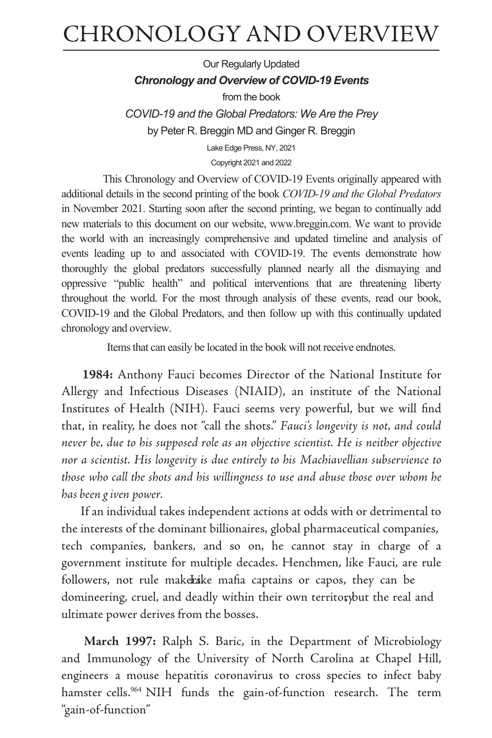## CHRONOLOGY AND OVERVIEW

## Our Regularly Updated *Chronology and Overview of COVID-19 Events*

from the book *COVID-19 and the Global Predators: We Are the Prey* by Peter R. Breggin MD and Ginger R. Breggin

> Lake Edge Press, NY, 2021 Copyright 2021 and 2022

This Chronology and Overview of COVID-19 Events originally appeared with additional details in the second printing of the book *COVID-19 and the Global Predators* in November 2021. Starting soon after the second printing, we began to continually add new materials to this document on our website, www.breggin.com. We want to provide the world with an increasingly comprehensive and updated timeline and analysis of events leading up to and associated with COVID-19. The events demonstrate how thoroughly the global predators successfully planned nearly all the dismaying and oppressive "public health" and political interventions that are threatening liberty throughout the world. For the most through analysis of these events, read our book, COVID-19 and the Global Predators, and then follow up with this continually updated chronology and overview.

Items that can easily be located in the book will not receive endnotes.

**1984:** Anthony Fauci becomes Director of the National Institute for Allergy and Infectious Diseases (NIAID), an institute of the National Institutes of Health (NIH). Fauci seems very powerful, but we will find that, in reality, he does not "call the shots." *Fauci's longevity is not, and could never be, due to his supposed role as an objective scientist. He is neither objective nor a scientist. His longevity is due entirely to his Machiavellian subservience to those who call the shots and his willingness to use and abuse those over whom he has been given power.*

If an individual takes independent actions at odds with or detrimental to the interests of the dominant billionaires, global pharmaceutical companies, tech companies, bankers, and so on, he cannot stay in charge of a government institute for multiple decades. Henchmen, like Fauci, are rule followers, not rule makeriske mafia captains or capos, they can be domineering, cruel, and deadly within their own territory but the real and ultimate power derives from the bosses.

**March 1997:** Ralph S. Baric, in the Department of Microbiology and Immunology of the University of North Carolina at Chapel Hill, engineers a mouse hepatitis coronavirus to cross species to infect baby hamster cells.<sup>964</sup> NIH funds the gain-of-function research. The term "gain-of-function"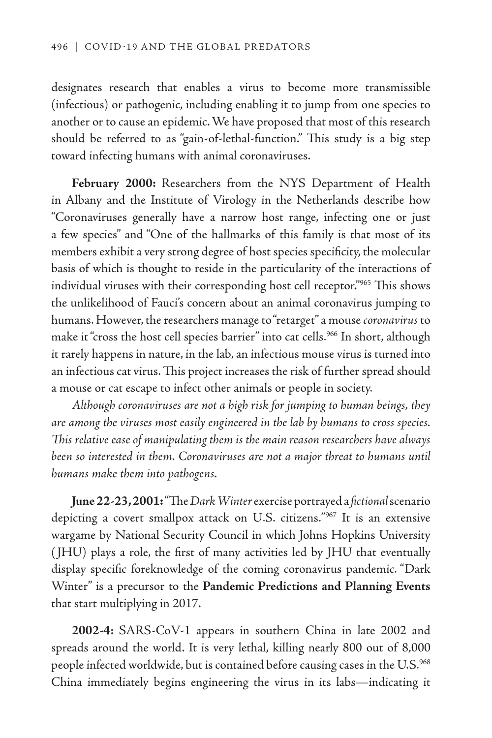designates research that enables a virus to become more transmissible (infectious) or pathogenic, including enabling it to jump from one species to another or to cause an epidemic. We have proposed that most of this research should be referred to as "gain-of-lethal-function." This study is a big step toward infecting humans with animal coronaviruses.

**February 2000:** Researchers from the NYS Department of Health in Albany and the Institute of Virology in the Netherlands describe how "Coronaviruses generally have a narrow host range, infecting one or just a few species" and "One of the hallmarks of this family is that most of its members exhibit a very strong degree of host species specificity, the molecular basis of which is thought to reside in the particularity of the interactions of individual viruses with their corresponding host cell receptor."965 This shows the unlikelihood of Fauci's concern about an animal coronavirus jumping to humans. However, the researchers manage to "retarget" a mouse *coronavirus* to make it "cross the host cell species barrier" into cat cells.<sup>966</sup> In short, although it rarely happens in nature, in the lab, an infectious mouse virus is turned into an infectious cat virus. This project increases the risk of further spread should a mouse or cat escape to infect other animals or people in society.

*Although coronaviruses are not a high risk for jumping to human beings, they are among the viruses most easily engineered in the lab by humans to cross species. This relative ease of manipulating them is the main reason researchers have always been so interested in them. Coronaviruses are not a major threat to humans until humans make them into pathogens.* 

**June 22-23, 2001:** "The *Dark Winter* exercise portrayed a *fictional* scenario depicting a covert smallpox attack on U.S. citizens."967 It is an extensive wargame by National Security Council in which Johns Hopkins University ( JHU) plays a role, the first of many activities led by JHU that eventually display specific foreknowledge of the coming coronavirus pandemic. "Dark Winter" is a precursor to the **Pandemic Predictions and Planning Events** that start multiplying in 2017.

**2002-4:** SARS-CoV-1 appears in southern China in late 2002 and spreads around the world. It is very lethal, killing nearly 800 out of 8,000 people infected worldwide, but is contained before causing cases in the U.S.<sup>968</sup> China immediately begins engineering the virus in its labs—indicating it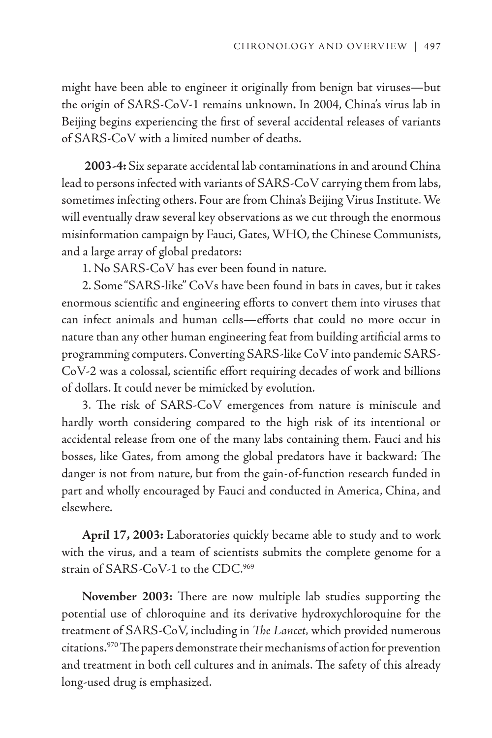might have been able to engineer it originally from benign bat viruses—but the origin of SARS-CoV-1 remains unknown. In 2004, China's virus lab in Beijing begins experiencing the first of several accidental releases of variants of SARS-CoV with a limited number of deaths.

**2003-4:** Six separate accidental lab contaminations in and around China lead to persons infected with variants of SARS-CoV carrying them from labs, sometimes infecting others. Four are from China's Beijing Virus Institute. We will eventually draw several key observations as we cut through the enormous misinformation campaign by Fauci, Gates, WHO, the Chinese Communists, and a large array of global predators:

1. No SARS-CoV has ever been found in nature.

2. Some "SARS-like" CoVs have been found in bats in caves, but it takes enormous scientific and engineering efforts to convert them into viruses that can infect animals and human cells—efforts that could no more occur in nature than any other human engineering feat from building artificial arms to programming computers. Converting SARS-like CoV into pandemic SARS-CoV-2 was a colossal, scientific effort requiring decades of work and billions of dollars. It could never be mimicked by evolution.

3. The risk of SARS-CoV emergences from nature is miniscule and hardly worth considering compared to the high risk of its intentional or accidental release from one of the many labs containing them. Fauci and his bosses, like Gates, from among the global predators have it backward: The danger is not from nature, but from the gain-of-function research funded in part and wholly encouraged by Fauci and conducted in America, China, and elsewhere.

**April 17, 2003:** Laboratories quickly became able to study and to work with the virus, and a team of scientists submits the complete genome for a strain of SARS-CoV-1 to the CDC.969

**November 2003:** There are now multiple lab studies supporting the potential use of chloroquine and its derivative hydroxychloroquine for the treatment of SARS-CoV, including in *The Lancet,* which provided numerous citations.970 The papers demonstrate their mechanisms of action for prevention and treatment in both cell cultures and in animals. The safety of this already long-used drug is emphasized.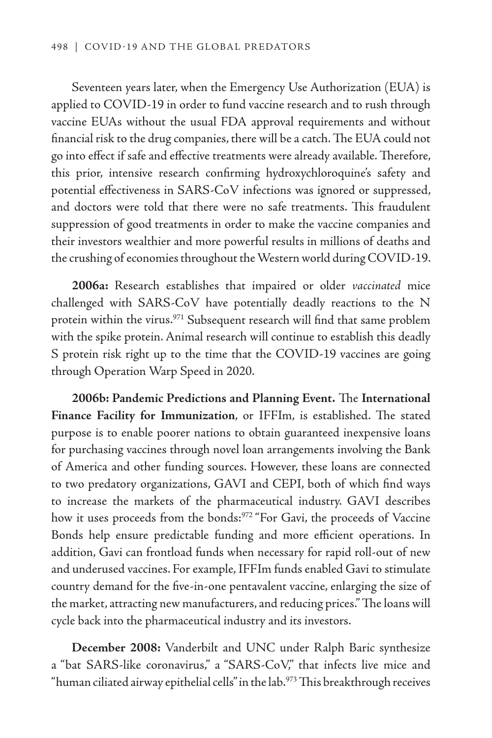Seventeen years later, when the Emergency Use Authorization (EUA) is applied to COVID-19 in order to fund vaccine research and to rush through vaccine EUAs without the usual FDA approval requirements and without financial risk to the drug companies, there will be a catch. The EUA could not go into effect if safe and effective treatments were already available. Therefore, this prior, intensive research confirming hydroxychloroquine's safety and potential effectiveness in SARS-CoV infections was ignored or suppressed, and doctors were told that there were no safe treatments. This fraudulent suppression of good treatments in order to make the vaccine companies and their investors wealthier and more powerful results in millions of deaths and the crushing of economies throughout the Western world during COVID-19.

**2006a:** Research establishes that impaired or older *vaccinated* mice challenged with SARS-CoV have potentially deadly reactions to the N protein within the virus.<sup>971</sup> Subsequent research will find that same problem with the spike protein. Animal research will continue to establish this deadly S protein risk right up to the time that the COVID-19 vaccines are going through Operation Warp Speed in 2020.

**2006b: Pandemic Predictions and Planning Event.** The **International Finance Facility for Immunization**, or IFFIm, is established. The stated purpose is to enable poorer nations to obtain guaranteed inexpensive loans for purchasing vaccines through novel loan arrangements involving the Bank of America and other funding sources. However, these loans are connected to two predatory organizations, GAVI and CEPI, both of which find ways to increase the markets of the pharmaceutical industry. GAVI describes how it uses proceeds from the bonds:<sup>972</sup> "For Gavi, the proceeds of Vaccine Bonds help ensure predictable funding and more efficient operations. In addition, Gavi can frontload funds when necessary for rapid roll-out of new and underused vaccines. For example, IFFIm funds enabled Gavi to stimulate country demand for the five-in-one pentavalent vaccine, enlarging the size of the market, attracting new manufacturers, and reducing prices." The loans will cycle back into the pharmaceutical industry and its investors.

**December 2008:** Vanderbilt and UNC under Ralph Baric synthesize a "bat SARS-like coronavirus," a "SARS-CoV," that infects live mice and "human ciliated airway epithelial cells" in the lab.<sup>973</sup> This breakthrough receives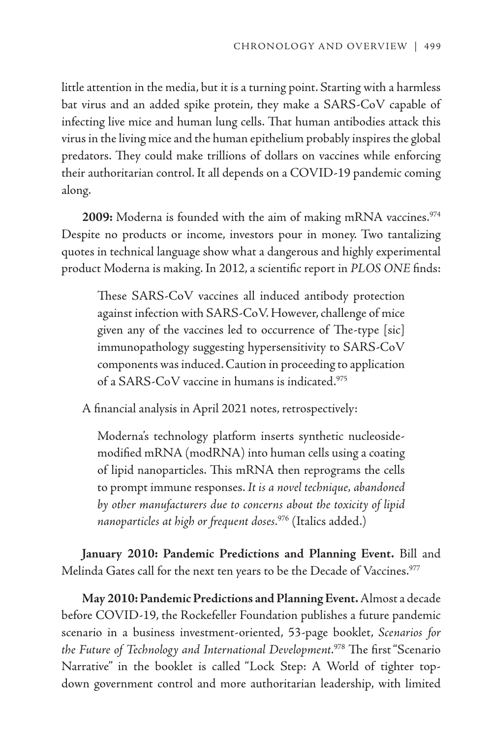little attention in the media, but it is a turning point. Starting with a harmless bat virus and an added spike protein, they make a SARS-CoV capable of infecting live mice and human lung cells. That human antibodies attack this virus in the living mice and the human epithelium probably inspires the global predators. They could make trillions of dollars on vaccines while enforcing their authoritarian control. It all depends on a COVID-19 pandemic coming along.

2009: Moderna is founded with the aim of making mRNA vaccines.<sup>974</sup> Despite no products or income, investors pour in money. Two tantalizing quotes in technical language show what a dangerous and highly experimental product Moderna is making. In 2012, a scientific report in *PLOS ONE* finds:

These SARS-CoV vaccines all induced antibody protection against infection with SARS-CoV. However, challenge of mice given any of the vaccines led to occurrence of The-type [sic] immunopathology suggesting hypersensitivity to SARS-CoV components was induced. Caution in proceeding to application of a SARS-CoV vaccine in humans is indicated.<sup>975</sup>

A financial analysis in April 2021 notes, retrospectively:

Moderna's technology platform inserts synthetic nucleosidemodified mRNA (modRNA) into human cells using a coating of lipid nanoparticles. This mRNA then reprograms the cells to prompt immune responses. *It is a novel technique, abandoned by other manufacturers due to concerns about the toxicity of lipid nanoparticles at high or frequent doses.*976 (Italics added.)

**January 2010: Pandemic Predictions and Planning Event.** Bill and Melinda Gates call for the next ten years to be the Decade of Vaccines.<sup>977</sup>

**May 2010: Pandemic Predictions and Planning Event.** Almost a decade before COVID-19, the Rockefeller Foundation publishes a future pandemic scenario in a business investment-oriented, 53-page booklet, *Scenarios for the Future of Technology and International Development*. 978 The first "Scenario Narrative" in the booklet is called "Lock Step: A World of tighter topdown government control and more authoritarian leadership, with limited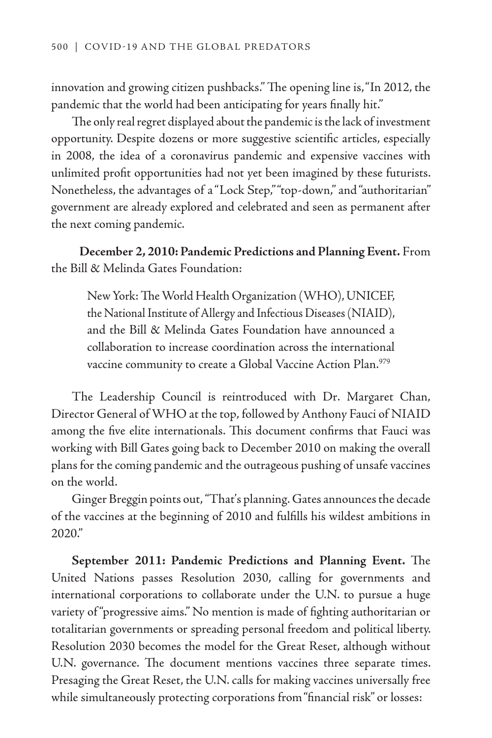innovation and growing citizen pushbacks." The opening line is, "In 2012, the pandemic that the world had been anticipating for years finally hit."

The only real regret displayed about the pandemic is the lack of investment opportunity. Despite dozens or more suggestive scientific articles, especially in 2008, the idea of a coronavirus pandemic and expensive vaccines with unlimited profit opportunities had not yet been imagined by these futurists. Nonetheless, the advantages of a "Lock Step," "top-down," and "authoritarian" government are already explored and celebrated and seen as permanent after the next coming pandemic.

 **December 2, 2010: Pandemic Predictions and Planning Event.** From the Bill & Melinda Gates Foundation:

New York: The World Health Organization (WHO), UNICEF, the National Institute of Allergy and Infectious Diseases (NIAID), and the Bill & Melinda Gates Foundation have announced a collaboration to increase coordination across the international vaccine community to create a Global Vaccine Action Plan.<sup>979</sup>

The Leadership Council is reintroduced with Dr. Margaret Chan, Director General of WHO at the top, followed by Anthony Fauci of NIAID among the five elite internationals. This document confirms that Fauci was working with Bill Gates going back to December 2010 on making the overall plans for the coming pandemic and the outrageous pushing of unsafe vaccines on the world.

Ginger Breggin points out, "That's planning. Gates announces the decade of the vaccines at the beginning of 2010 and fulfills his wildest ambitions in 2020."

**September 2011: Pandemic Predictions and Planning Event.** The United Nations passes Resolution 2030, calling for governments and international corporations to collaborate under the U.N. to pursue a huge variety of "progressive aims." No mention is made of fighting authoritarian or totalitarian governments or spreading personal freedom and political liberty. Resolution 2030 becomes the model for the Great Reset, although without U.N. governance. The document mentions vaccines three separate times. Presaging the Great Reset, the U.N. calls for making vaccines universally free while simultaneously protecting corporations from "financial risk" or losses: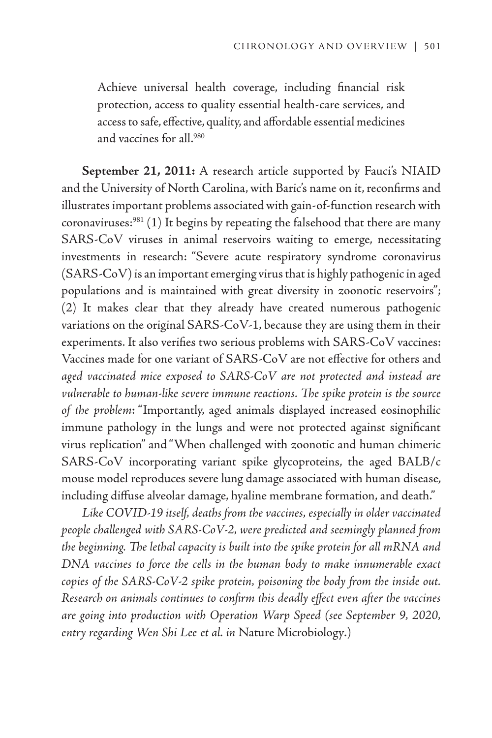Achieve universal health coverage, including financial risk protection, access to quality essential health-care services, and access to safe, effective, quality, and affordable essential medicines and vaccines for all.980

September 21, 2011: A research article supported by Fauci's NIAID and the University of North Carolina, with Baric's name on it, reconfirms and illustrates important problems associated with gain-of-function research with coronaviruses:981 (1) It begins by repeating the falsehood that there are many SARS-CoV viruses in animal reservoirs waiting to emerge, necessitating investments in research: "Severe acute respiratory syndrome coronavirus (SARS-CoV) is an important emerging virus that is highly pathogenic in aged populations and is maintained with great diversity in zoonotic reservoirs"; (2) It makes clear that they already have created numerous pathogenic variations on the original SARS-CoV-1, because they are using them in their experiments. It also verifies two serious problems with SARS-CoV vaccines: Vaccines made for one variant of SARS-CoV are not effective for others and *aged vaccinated mice exposed to SARS-CoV are not protected and instead are vulnerable to human-like severe immune reactions. The spike protein is the source of the problem*: "Importantly, aged animals displayed increased eosinophilic immune pathology in the lungs and were not protected against significant virus replication" and "When challenged with zoonotic and human chimeric SARS-CoV incorporating variant spike glycoproteins, the aged BALB/c mouse model reproduces severe lung damage associated with human disease, including diffuse alveolar damage, hyaline membrane formation, and death."

*Like COVID-19 itself, deaths from the vaccines, especially in older vaccinated people challenged with SARS-CoV-2, were predicted and seemingly planned from the beginning. The lethal capacity is built into the spike protein for all mRNA and DNA vaccines to force the cells in the human body to make innumerable exact copies of the SARS-CoV-2 spike protein, poisoning the body from the inside out. Research on animals continues to confirm this deadly effect even after the vaccines are going into production with Operation Warp Speed (see September 9, 2020, entry regarding Wen Shi Lee et al. in* Nature Microbiology*.*)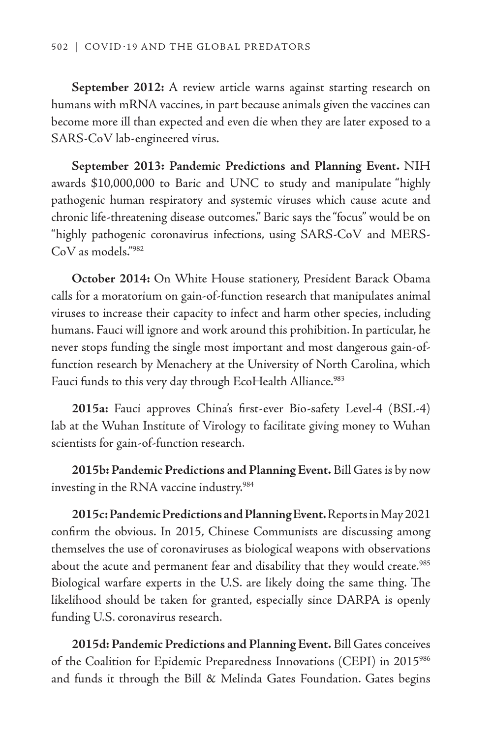**September 2012:** A review article warns against starting research on humans with mRNA vaccines, in part because animals given the vaccines can become more ill than expected and even die when they are later exposed to a SARS-CoV lab-engineered virus.

**September 2013: Pandemic Predictions and Planning Event.** NIH awards \$10,000,000 to Baric and UNC to study and manipulate "highly pathogenic human respiratory and systemic viruses which cause acute and chronic life-threatening disease outcomes." Baric says the "focus" would be on "highly pathogenic coronavirus infections, using SARS-CoV and MERS-CoV as models."982

**October 2014:** On White House stationery, President Barack Obama calls for a moratorium on gain-of-function research that manipulates animal viruses to increase their capacity to infect and harm other species, including humans. Fauci will ignore and work around this prohibition. In particular, he never stops funding the single most important and most dangerous gain-offunction research by Menachery at the University of North Carolina, which Fauci funds to this very day through EcoHealth Alliance.<sup>983</sup>

**2015a:** Fauci approves China's first-ever Bio-safety Level-4 (BSL-4) lab at the Wuhan Institute of Virology to facilitate giving money to Wuhan scientists for gain-of-function research.

**2015b: Pandemic Predictions and Planning Event.** Bill Gates is by now investing in the RNA vaccine industry.984

**2015c: Pandemic Predictions and Planning Event.** Reports in May 2021 confirm the obvious. In 2015, Chinese Communists are discussing among themselves the use of coronaviruses as biological weapons with observations about the acute and permanent fear and disability that they would create.<sup>985</sup> Biological warfare experts in the U.S. are likely doing the same thing. The likelihood should be taken for granted, especially since DARPA is openly funding U.S. coronavirus research.

**2015d: Pandemic Predictions and Planning Event.** Bill Gates conceives of the Coalition for Epidemic Preparedness Innovations (CEPI) in 2015986 and funds it through the Bill & Melinda Gates Foundation. Gates begins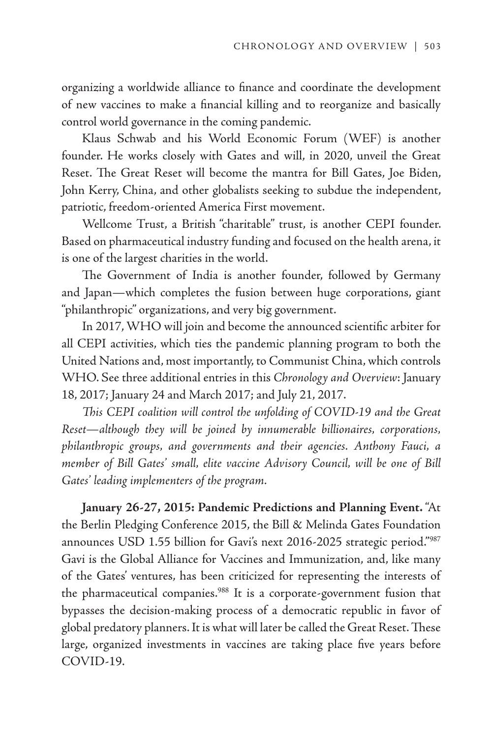organizing a worldwide alliance to finance and coordinate the development of new vaccines to make a financial killing and to reorganize and basically control world governance in the coming pandemic.

Klaus Schwab and his World Economic Forum (WEF) is another founder. He works closely with Gates and will, in 2020, unveil the Great Reset. The Great Reset will become the mantra for Bill Gates, Joe Biden, John Kerry, China, and other globalists seeking to subdue the independent, patriotic, freedom-oriented America First movement.

Wellcome Trust, a British "charitable" trust, is another CEPI founder. Based on pharmaceutical industry funding and focused on the health arena, it is one of the largest charities in the world.

The Government of India is another founder, followed by Germany and Japan—which completes the fusion between huge corporations, giant "philanthropic" organizations, and very big government.

In 2017, WHO will join and become the announced scientific arbiter for all CEPI activities, which ties the pandemic planning program to both the United Nations and, most importantly, to Communist China, which controls WHO. See three additional entries in this *Chronology and Overview*: January 18, 2017; January 24 and March 2017; and July 21, 2017.

*This CEPI coalition will control the unfolding of COVID-19 and the Great Reset—although they will be joined by innumerable billionaires, corporations, philanthropic groups, and governments and their agencies. Anthony Fauci, a member of Bill Gates' small, elite vaccine Advisory Council, will be one of Bill Gates' leading implementers of the program.* 

**January 26-27, 2015: Pandemic Predictions and Planning Event.** "At the Berlin Pledging Conference 2015, the Bill & Melinda Gates Foundation announces USD 1.55 billion for Gavi's next 2016-2025 strategic period."987 Gavi is the Global Alliance for Vaccines and Immunization, and, like many of the Gates' ventures, has been criticized for representing the interests of the pharmaceutical companies.<sup>988</sup> It is a corporate-government fusion that bypasses the decision-making process of a democratic republic in favor of global predatory planners. It is what will later be called the Great Reset. These large, organized investments in vaccines are taking place five years before COVID-19.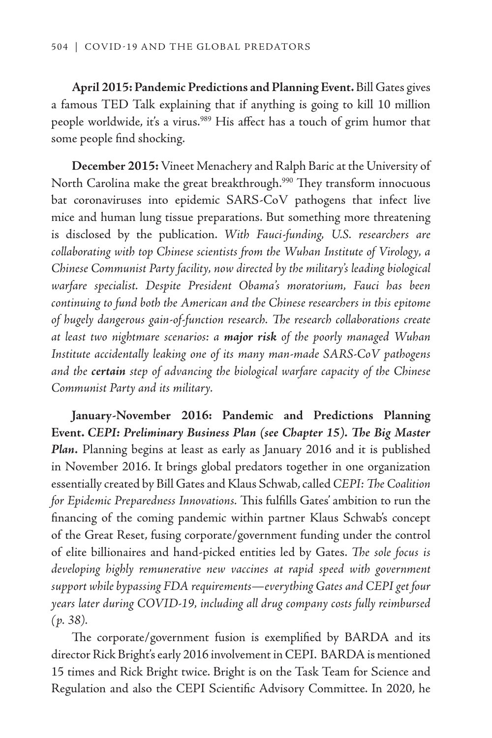**April 2015: Pandemic Predictions and Planning Event.** Bill Gates gives a famous TED Talk explaining that if anything is going to kill 10 million people worldwide, it's a virus.<sup>989</sup> His affect has a touch of grim humor that some people find shocking.

**December 2015:** Vineet Menachery and Ralph Baric at the University of North Carolina make the great breakthrough.<sup>990</sup> They transform innocuous bat coronaviruses into epidemic SARS-CoV pathogens that infect live mice and human lung tissue preparations. But something more threatening is disclosed by the publication. *With Fauci-funding, U.S. researchers are collaborating with top Chinese scientists from the Wuhan Institute of Virology, a Chinese Communist Party facility, now directed by the military's leading biological warfare specialist. Despite President Obama's moratorium, Fauci has been continuing to fund both the American and the Chinese researchers in this epitome of hugely dangerous gain-of-function research. The research collaborations create at least two nightmare scenarios: a major risk of the poorly managed Wuhan Institute accidentally leaking one of its many man-made SARS-CoV pathogens and the certain step of advancing the biological warfare capacity of the Chinese Communist Party and its military.* 

**January-November 2016: Pandemic and Predictions Planning Event.** *CEPI: Preliminary Business Plan (see Chapter 15). The Big Master Plan.* Planning begins at least as early as January 2016 and it is published in November 2016. It brings global predators together in one organization essentially created by Bill Gates and Klaus Schwab, called *CEPI: The Coalition for Epidemic Preparedness Innovations.* This fulfills Gates' ambition to run the financing of the coming pandemic within partner Klaus Schwab's concept of the Great Reset, fusing corporate/government funding under the control of elite billionaires and hand-picked entities led by Gates. *The sole focus is developing highly remunerative new vaccines at rapid speed with government support while bypassing FDA requirements—everything Gates and CEPI get four years later during COVID-19, including all drug company costs fully reimbursed (p. 38).*

The corporate/government fusion is exemplified by BARDA and its director Rick Bright's early 2016 involvement in CEPI. BARDA is mentioned 15 times and Rick Bright twice. Bright is on the Task Team for Science and Regulation and also the CEPI Scientific Advisory Committee. In 2020, he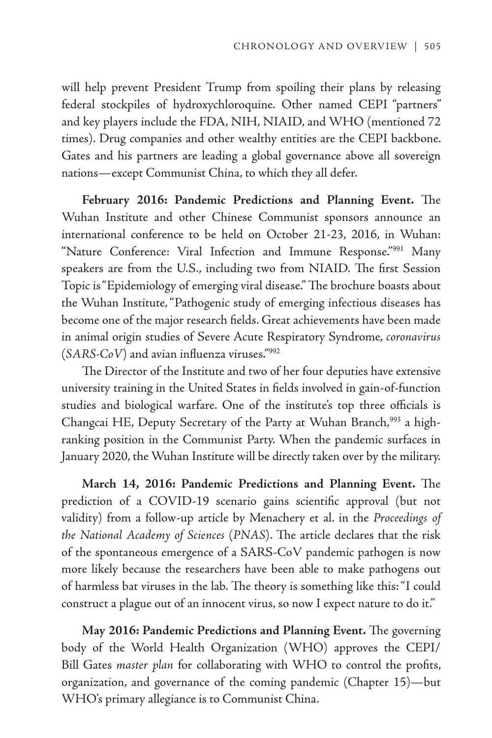will help prevent President Trump from spoiling their plans by releasing federal stockpiles of hydroxychloroquine. Other named CEPI "partners" and key players include the FDA, NIH, NIAID, and WHO (mentioned 72 times). Drug companies and other wealthy entities are the CEPI backbone. Gates and his partners are leading a global governance above all sovereign nations—except Communist China, to which they all defer.

**February 2016: Pandemic Predictions and Planning Event.** The Wuhan Institute and other Chinese Communist sponsors announce an international conference to be held on October 21-23, 2016, in Wuhan: "Nature Conference: Viral Infection and Immune Response."991 Many speakers are from the U.S., including two from NIAID. The first Session Topic is "Epidemiology of emerging viral disease." The brochure boasts about the Wuhan Institute, "Pathogenic study of emerging infectious diseases has become one of the major research fields. Great achievements have been made in animal origin studies of Severe Acute Respiratory Syndrome, *coronavirus* (*SARS-CoV*) and avian influenza viruses."992

The Director of the Institute and two of her four deputies have extensive university training in the United States in fields involved in gain-of-function studies and biological warfare. One of the institute's top three officials is Changcai HE, Deputy Secretary of the Party at Wuhan Branch,<sup>993</sup> a highranking position in the Communist Party. When the pandemic surfaces in January 2020, the Wuhan Institute will be directly taken over by the military.

**March 14, 2016: Pandemic Predictions and Planning Event.** The prediction of a COVID-19 scenario gains scientific approval (but not validity) from a follow-up article by Menachery et al. in the *Proceedings of the National Academy of Sciences* (*PNAS*). The article declares that the risk of the spontaneous emergence of a SARS-CoV pandemic pathogen is now more likely because the researchers have been able to make pathogens out of harmless bat viruses in the lab. The theory is something like this: "I could construct a plague out of an innocent virus, so now I expect nature to do it."

 **May 2016: Pandemic Predictions and Planning Event.** The governing body of the World Health Organization (WHO) approves the CEPI/ Bill Gates *master plan* for collaborating with WHO to control the profits, organization, and governance of the coming pandemic (Chapter 15)—but WHO's primary allegiance is to Communist China.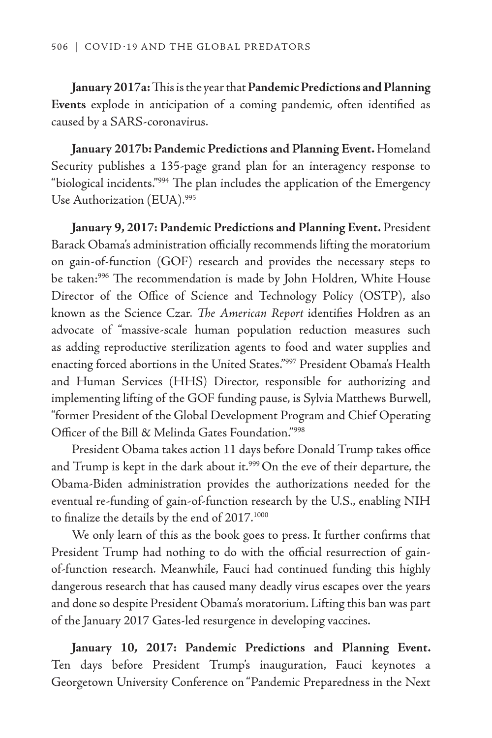**January 2017a:** This is the year that **Pandemic Predictions and Planning Events** explode in anticipation of a coming pandemic, often identified as caused by a SARS-coronavirus.

**January 2017b: Pandemic Predictions and Planning Event.** Homeland Security publishes a 135-page grand plan for an interagency response to "biological incidents."994 The plan includes the application of the Emergency Use Authorization (EUA).995

**January 9, 2017: Pandemic Predictions and Planning Event.** President Barack Obama's administration officially recommends lifting the moratorium on gain-of-function (GOF) research and provides the necessary steps to be taken:<sup>996</sup> The recommendation is made by John Holdren, White House Director of the Office of Science and Technology Policy (OSTP), also known as the Science Czar. *The American Report* identifies Holdren as an advocate of "massive-scale human population reduction measures such as adding reproductive sterilization agents to food and water supplies and enacting forced abortions in the United States."997 President Obama's Health and Human Services (HHS) Director, responsible for authorizing and implementing lifting of the GOF funding pause, is Sylvia Matthews Burwell, "former President of the Global Development Program and Chief Operating Officer of the Bill & Melinda Gates Foundation."998

President Obama takes action 11 days before Donald Trump takes office and Trump is kept in the dark about it.<sup>999</sup> On the eve of their departure, the Obama-Biden administration provides the authorizations needed for the eventual re-funding of gain-of-function research by the U.S., enabling NIH to finalize the details by the end of 2017.<sup>1000</sup>

We only learn of this as the book goes to press. It further confirms that President Trump had nothing to do with the official resurrection of gainof-function research. Meanwhile, Fauci had continued funding this highly dangerous research that has caused many deadly virus escapes over the years and done so despite President Obama's moratorium. Lifting this ban was part of the January 2017 Gates-led resurgence in developing vaccines.

**January 10, 2017: Pandemic Predictions and Planning Event.**  Ten days before President Trump's inauguration, Fauci keynotes a Georgetown University Conference on "Pandemic Preparedness in the Next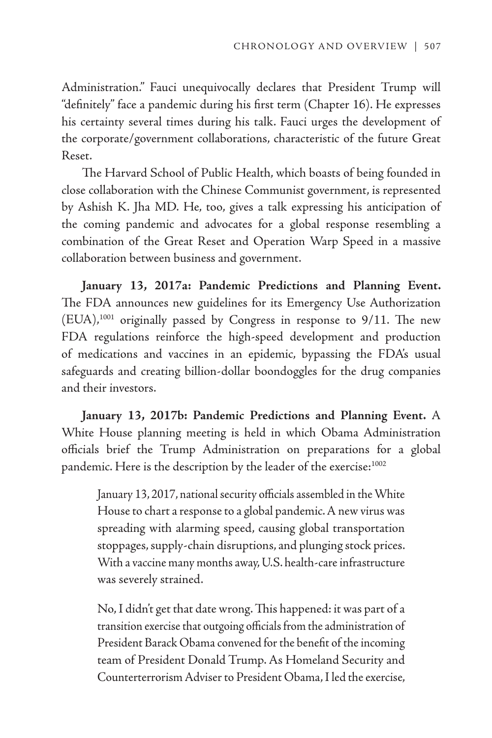Administration." Fauci unequivocally declares that President Trump will "definitely" face a pandemic during his first term (Chapter 16). He expresses his certainty several times during his talk. Fauci urges the development of the corporate/government collaborations, characteristic of the future Great Reset.

The Harvard School of Public Health, which boasts of being founded in close collaboration with the Chinese Communist government, is represented by Ashish K. Jha MD. He, too, gives a talk expressing his anticipation of the coming pandemic and advocates for a global response resembling a combination of the Great Reset and Operation Warp Speed in a massive collaboration between business and government.

**January 13, 2017a: Pandemic Predictions and Planning Event.**  The FDA announces new guidelines for its Emergency Use Authorization  $(EUA)<sup>1001</sup>$  originally passed by Congress in response to  $9/11$ . The new FDA regulations reinforce the high-speed development and production of medications and vaccines in an epidemic, bypassing the FDA's usual safeguards and creating billion-dollar boondoggles for the drug companies and their investors.

**January 13, 2017b: Pandemic Predictions and Planning Event.** A White House planning meeting is held in which Obama Administration officials brief the Trump Administration on preparations for a global pandemic. Here is the description by the leader of the exercise:<sup>1002</sup>

January 13, 2017, national security officials assembled in the White House to chart a response to a global pandemic. A new virus was spreading with alarming speed, causing global transportation stoppages, supply-chain disruptions, and plunging stock prices. With a vaccine many months away, U.S. health-care infrastructure was severely strained.

No, I didn't get that date wrong. This happened: it was part of a transition exercise that outgoing officials from the administration of President Barack Obama convened for the benefit of the incoming team of President Donald Trump. As Homeland Security and Counterterrorism Adviser to President Obama, I led the exercise,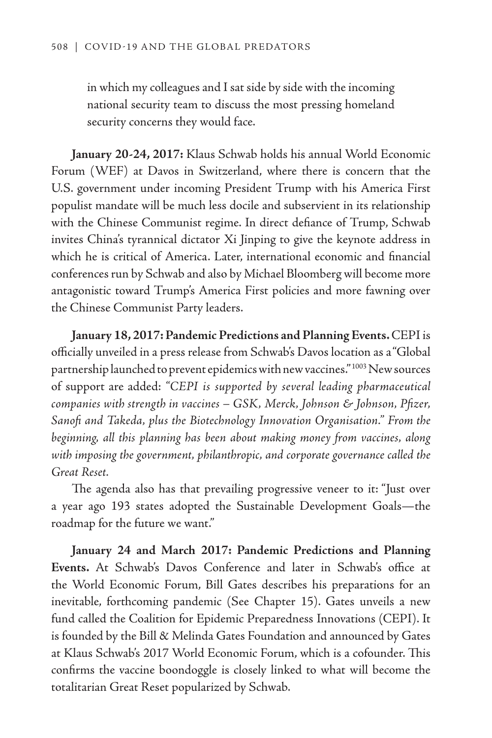in which my colleagues and I sat side by side with the incoming national security team to discuss the most pressing homeland security concerns they would face.

**January 20-24, 2017:** Klaus Schwab holds his annual World Economic Forum (WEF) at Davos in Switzerland, where there is concern that the U.S. government under incoming President Trump with his America First populist mandate will be much less docile and subservient in its relationship with the Chinese Communist regime. In direct defiance of Trump, Schwab invites China's tyrannical dictator Xi Jinping to give the keynote address in which he is critical of America. Later, international economic and financial conferences run by Schwab and also by Michael Bloomberg will become more antagonistic toward Trump's America First policies and more fawning over the Chinese Communist Party leaders.

**January 18, 2017: Pandemic Predictions and Planning Events.** CEPI is officially unveiled in a press release from Schwab's Davos location as a "Global partnership launched to prevent epidemics with new vaccines." 1003 New sources of support are added: *"CEPI is supported by several leading pharmaceutical companies with strength in vaccines – GSK, Merck, Johnson & Johnson, Pfizer, Sanofi and Takeda, plus the Biotechnology Innovation Organisation." From the beginning, all this planning has been about making money from vaccines, along with imposing the government, philanthropic, and corporate governance called the Great Reset.* 

The agenda also has that prevailing progressive veneer to it: "Just over a year ago 193 states adopted the Sustainable Development Goals—the roadmap for the future we want."

**January 24 and March 2017: Pandemic Predictions and Planning Events.** At Schwab's Davos Conference and later in Schwab's office at the World Economic Forum, Bill Gates describes his preparations for an inevitable, forthcoming pandemic (See Chapter 15). Gates unveils a new fund called the Coalition for Epidemic Preparedness Innovations (CEPI). It is founded by the Bill & Melinda Gates Foundation and announced by Gates at Klaus Schwab's 2017 World Economic Forum, which is a cofounder. This confirms the vaccine boondoggle is closely linked to what will become the totalitarian Great Reset popularized by Schwab.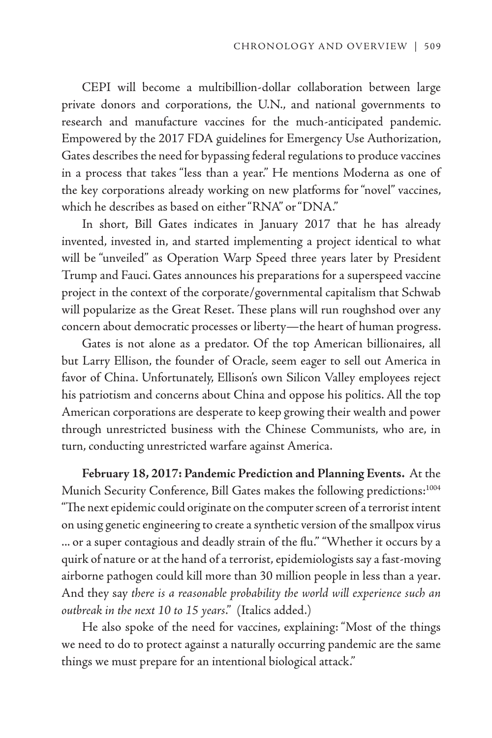CEPI will become a multibillion-dollar collaboration between large private donors and corporations, the U.N., and national governments to research and manufacture vaccines for the much-anticipated pandemic. Empowered by the 2017 FDA guidelines for Emergency Use Authorization, Gates describes the need for bypassing federal regulations to produce vaccines in a process that takes "less than a year." He mentions Moderna as one of the key corporations already working on new platforms for "novel" vaccines, which he describes as based on either "RNA" or "DNA."

In short, Bill Gates indicates in January 2017 that he has already invented, invested in, and started implementing a project identical to what will be "unveiled" as Operation Warp Speed three years later by President Trump and Fauci. Gates announces his preparations for a superspeed vaccine project in the context of the corporate/governmental capitalism that Schwab will popularize as the Great Reset. These plans will run roughshod over any concern about democratic processes or liberty—the heart of human progress.

Gates is not alone as a predator. Of the top American billionaires, all but Larry Ellison, the founder of Oracle, seem eager to sell out America in favor of China. Unfortunately, Ellison's own Silicon Valley employees reject his patriotism and concerns about China and oppose his politics. All the top American corporations are desperate to keep growing their wealth and power through unrestricted business with the Chinese Communists, who are, in turn, conducting unrestricted warfare against America.

**February 18, 2017: Pandemic Prediction and Planning Events.**  At the Munich Security Conference, Bill Gates makes the following predictions:<sup>1004</sup> "The next epidemic could originate on the computer screen of a terrorist intent on using genetic engineering to create a synthetic version of the smallpox virus ... or a super contagious and deadly strain of the flu." "Whether it occurs by a quirk of nature or at the hand of a terrorist, epidemiologists say a fast-moving airborne pathogen could kill more than 30 million people in less than a year. And they say *there is a reasonable probability the world will experience such an outbreak in the next 10 to 15 years*." (Italics added.)

He also spoke of the need for vaccines, explaining: "Most of the things we need to do to protect against a naturally occurring pandemic are the same things we must prepare for an intentional biological attack."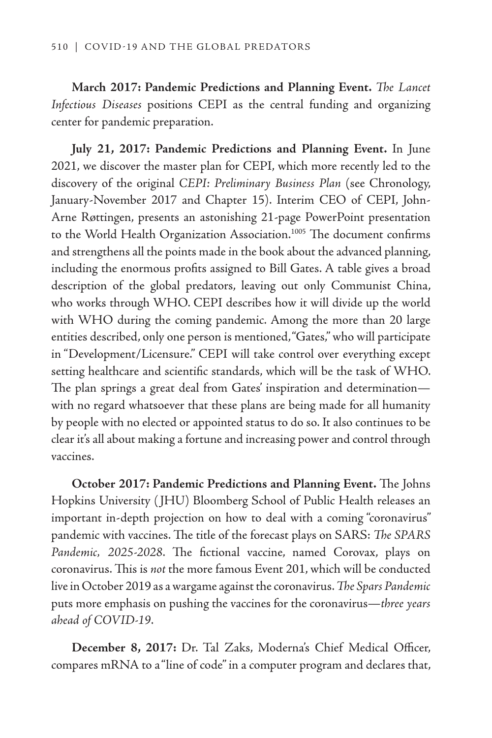**March 2017: Pandemic Predictions and Planning Event.** *The Lancet Infectious Diseases* positions CEPI as the central funding and organizing center for pandemic preparation.

**July 21, 2017: Pandemic Predictions and Planning Event.** In June 2021, we discover the master plan for CEPI, which more recently led to the discovery of the original *CEPI: Preliminary Business Plan* (see Chronology, January-November 2017 and Chapter 15). Interim CEO of CEPI, John-Arne Røttingen, presents an astonishing 21-page PowerPoint presentation to the World Health Organization Association.<sup>1005</sup> The document confirms and strengthens all the points made in the book about the advanced planning, including the enormous profits assigned to Bill Gates. A table gives a broad description of the global predators, leaving out only Communist China, who works through WHO. CEPI describes how it will divide up the world with WHO during the coming pandemic. Among the more than 20 large entities described, only one person is mentioned, "Gates," who will participate in "Development/Licensure." CEPI will take control over everything except setting healthcare and scientific standards, which will be the task of WHO. The plan springs a great deal from Gates' inspiration and determination with no regard whatsoever that these plans are being made for all humanity by people with no elected or appointed status to do so. It also continues to be clear it's all about making a fortune and increasing power and control through vaccines.

**October 2017: Pandemic Predictions and Planning Event.** The Johns Hopkins University ( JHU) Bloomberg School of Public Health releases an important in-depth projection on how to deal with a coming "coronavirus" pandemic with vaccines. The title of the forecast plays on SARS: *The SPARS Pandemic, 2025-2028*. The fictional vaccine, named Corovax, plays on coronavirus. This is *not* the more famous Event 201, which will be conducted live in October 2019 as a wargame against the coronavirus. *The Spars Pandemic* puts more emphasis on pushing the vaccines for the coronavirus—*three years ahead of COVID-19*.

**December 8, 2017:** Dr. Tal Zaks, Moderna's Chief Medical Officer, compares mRNA to a "line of code" in a computer program and declares that,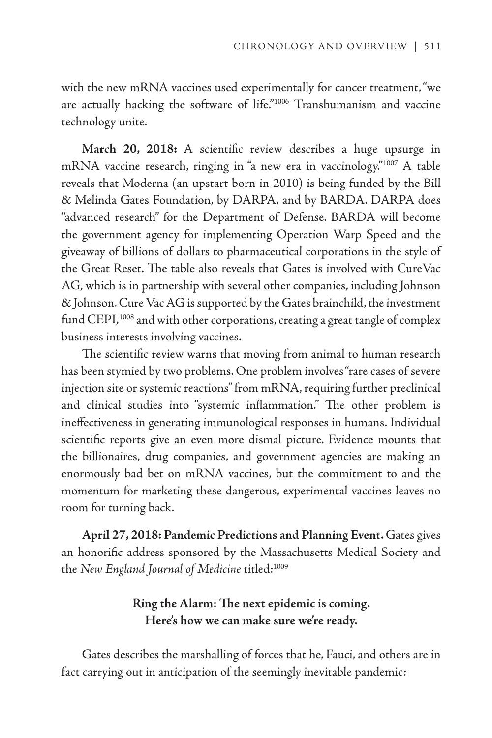with the new mRNA vaccines used experimentally for cancer treatment, "we are actually hacking the software of life."1006 Transhumanism and vaccine technology unite.

**March 20, 2018:** A scientific review describes a huge upsurge in mRNA vaccine research, ringing in "a new era in vaccinology."1007 A table reveals that Moderna (an upstart born in 2010) is being funded by the Bill & Melinda Gates Foundation, by DARPA, and by BARDA. DARPA does "advanced research" for the Department of Defense. BARDA will become the government agency for implementing Operation Warp Speed and the giveaway of billions of dollars to pharmaceutical corporations in the style of the Great Reset. The table also reveals that Gates is involved with CureVac AG, which is in partnership with several other companies, including Johnson & Johnson. Cure Vac AG is supported by the Gates brainchild, the investment fund CEPI,<sup>1008</sup> and with other corporations, creating a great tangle of complex business interests involving vaccines.

The scientific review warns that moving from animal to human research has been stymied by two problems. One problem involves "rare cases of severe injection site or systemic reactions" from mRNA, requiring further preclinical and clinical studies into "systemic inflammation." The other problem is ineffectiveness in generating immunological responses in humans. Individual scientific reports give an even more dismal picture. Evidence mounts that the billionaires, drug companies, and government agencies are making an enormously bad bet on mRNA vaccines, but the commitment to and the momentum for marketing these dangerous, experimental vaccines leaves no room for turning back.

**April 27, 2018: Pandemic Predictions and Planning Event.** Gates gives an honorific address sponsored by the Massachusetts Medical Society and the *New England Journal of Medicine* titled:<sup>1009</sup>

## **Ring the Alarm: The next epidemic is coming. Here's how we can make sure we're ready.**

Gates describes the marshalling of forces that he, Fauci, and others are in fact carrying out in anticipation of the seemingly inevitable pandemic: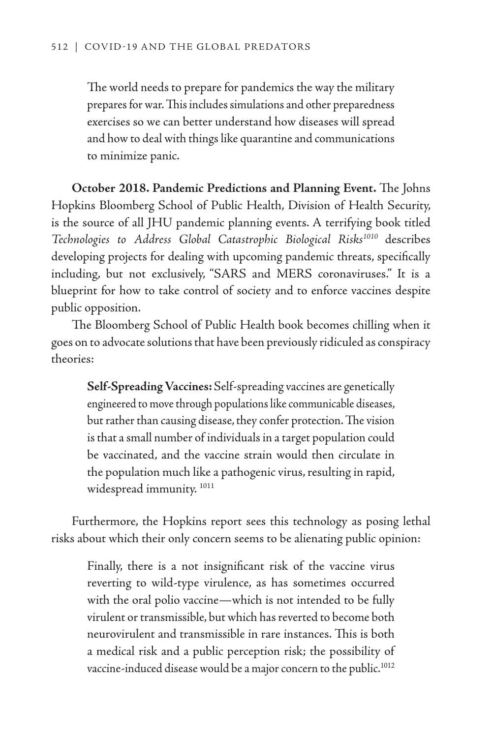The world needs to prepare for pandemics the way the military prepares for war. This includes simulations and other preparedness exercises so we can better understand how diseases will spread and how to deal with things like quarantine and communications to minimize panic.

**October 2018. Pandemic Predictions and Planning Event.** The Johns Hopkins Bloomberg School of Public Health, Division of Health Security, is the source of all JHU pandemic planning events. A terrifying book titled *Technologies to Address Global Catastrophic Biological Risks1010* describes developing projects for dealing with upcoming pandemic threats, specifically including, but not exclusively, "SARS and MERS coronaviruses." It is a blueprint for how to take control of society and to enforce vaccines despite public opposition.

The Bloomberg School of Public Health book becomes chilling when it goes on to advocate solutions that have been previously ridiculed as conspiracy theories:

**Self-Spreading Vaccines:** Self-spreading vaccines are genetically engineered to move through populations like communicable diseases, but rather than causing disease, they confer protection. The vision is that a small number of individuals in a target population could be vaccinated, and the vaccine strain would then circulate in the population much like a pathogenic virus, resulting in rapid, widespread immunity.<sup>1011</sup>

Furthermore, the Hopkins report sees this technology as posing lethal risks about which their only concern seems to be alienating public opinion:

Finally, there is a not insignificant risk of the vaccine virus reverting to wild-type virulence, as has sometimes occurred with the oral polio vaccine—which is not intended to be fully virulent or transmissible, but which has reverted to become both neurovirulent and transmissible in rare instances. This is both a medical risk and a public perception risk; the possibility of vaccine-induced disease would be a major concern to the public.<sup>1012</sup>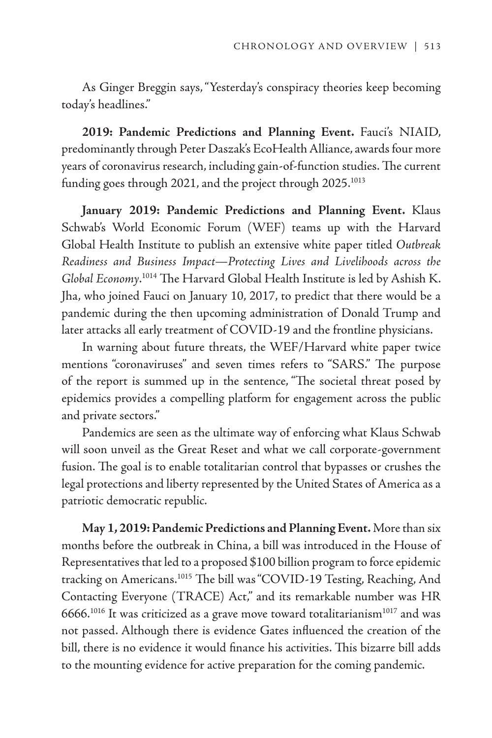As Ginger Breggin says, "Yesterday's conspiracy theories keep becoming today's headlines."

**2019: Pandemic Predictions and Planning Event.** Fauci's NIAID, predominantly through Peter Daszak's EcoHealth Alliance, awards four more years of coronavirus research, including gain-of-function studies. The current funding goes through 2021, and the project through 2025.<sup>1013</sup>

**January 2019: Pandemic Predictions and Planning Event.** Klaus Schwab's World Economic Forum (WEF) teams up with the Harvard Global Health Institute to publish an extensive white paper titled *Outbreak Readiness and Business Impact—Protecting Lives and Livelihoods across the Global Economy*. 1014 The Harvard Global Health Institute is led by Ashish K. Jha, who joined Fauci on January 10, 2017, to predict that there would be a pandemic during the then upcoming administration of Donald Trump and later attacks all early treatment of COVID-19 and the frontline physicians.

In warning about future threats, the WEF/Harvard white paper twice mentions "coronaviruses" and seven times refers to "SARS." The purpose of the report is summed up in the sentence, "The societal threat posed by epidemics provides a compelling platform for engagement across the public and private sectors."

Pandemics are seen as the ultimate way of enforcing what Klaus Schwab will soon unveil as the Great Reset and what we call corporate-government fusion. The goal is to enable totalitarian control that bypasses or crushes the legal protections and liberty represented by the United States of America as a patriotic democratic republic.

**May 1, 2019: Pandemic Predictions and Planning Event.** More than six months before the outbreak in China, a bill was introduced in the House of Representatives that led to a proposed \$100 billion program to force epidemic tracking on Americans.1015 The bill was "COVID-19 Testing, Reaching, And Contacting Everyone (TRACE) Act," and its remarkable number was HR 6666.1016 It was criticized as a grave move toward totalitarianism1017 and was not passed. Although there is evidence Gates influenced the creation of the bill, there is no evidence it would finance his activities. This bizarre bill adds to the mounting evidence for active preparation for the coming pandemic.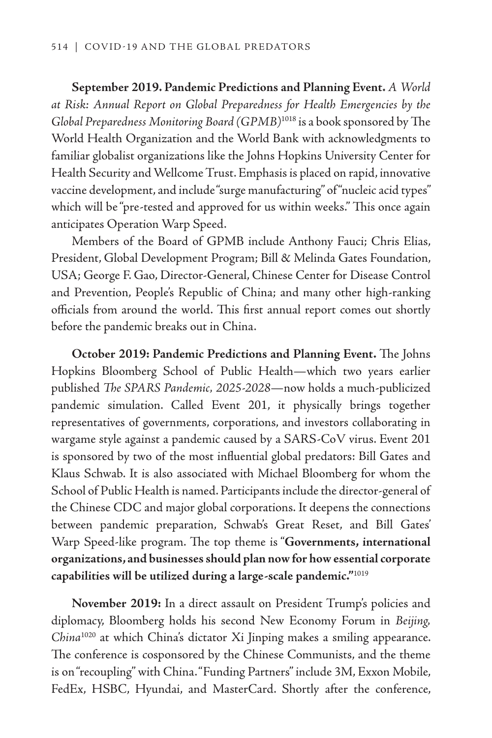**September 2019. Pandemic Predictions and Planning Event.** *A World at Risk: Annual Report on Global Preparedness for Health Emergencies by the Global Preparedness Monitoring Board (GPMB)*1018 is a book sponsored by The World Health Organization and the World Bank with acknowledgments to familiar globalist organizations like the Johns Hopkins University Center for Health Security and Wellcome Trust. Emphasis is placed on rapid, innovative vaccine development, and include "surge manufacturing" of "nucleic acid types" which will be "pre-tested and approved for us within weeks." This once again anticipates Operation Warp Speed.

Members of the Board of GPMB include Anthony Fauci; Chris Elias, President, Global Development Program; Bill & Melinda Gates Foundation, USA; George F. Gao, Director-General, Chinese Center for Disease Control and Prevention, People's Republic of China; and many other high-ranking officials from around the world. This first annual report comes out shortly before the pandemic breaks out in China.

**October 2019: Pandemic Predictions and Planning Event.** The Johns Hopkins Bloomberg School of Public Health—which two years earlier published *The SPARS Pandemic, 2025-2028*—now holds a much-publicized pandemic simulation. Called Event 201, it physically brings together representatives of governments, corporations, and investors collaborating in wargame style against a pandemic caused by a SARS-CoV virus. Event 201 is sponsored by two of the most influential global predators: Bill Gates and Klaus Schwab. It is also associated with Michael Bloomberg for whom the School of Public Health is named. Participants include the director-general of the Chinese CDC and major global corporations. It deepens the connections between pandemic preparation, Schwab's Great Reset, and Bill Gates' Warp Speed-like program. The top theme is "**Governments, international organizations, and businesses should plan now for how essential corporate capabilities will be utilized during a large-scale pandemic."**<sup>1019</sup>

**November 2019:** In a direct assault on President Trump's policies and diplomacy, Bloomberg holds his second New Economy Forum in *Beijing, China*1020 at which China's dictator Xi Jinping makes a smiling appearance. The conference is cosponsored by the Chinese Communists, and the theme is on "recoupling" with China. "Funding Partners" include 3M, Exxon Mobile, FedEx, HSBC, Hyundai, and MasterCard. Shortly after the conference,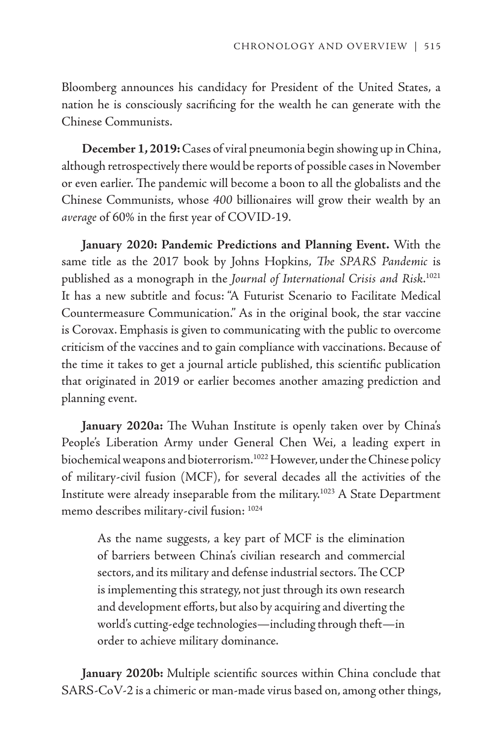Bloomberg announces his candidacy for President of the United States, a nation he is consciously sacrificing for the wealth he can generate with the Chinese Communists.

**December 1, 2019:** Cases of viral pneumonia begin showing up in China, although retrospectively there would be reports of possible cases in November or even earlier. The pandemic will become a boon to all the globalists and the Chinese Communists, whose *400* billionaires will grow their wealth by an *average* of 60% in the first year of COVID-19.

**January 2020: Pandemic Predictions and Planning Event.** With the same title as the 2017 book by Johns Hopkins, *The SPARS Pandemic* is published as a monograph in the *Journal of International Crisis and Risk*. 1021 It has a new subtitle and focus: "A Futurist Scenario to Facilitate Medical Countermeasure Communication." As in the original book, the star vaccine is Corovax. Emphasis is given to communicating with the public to overcome criticism of the vaccines and to gain compliance with vaccinations. Because of the time it takes to get a journal article published, this scientific publication that originated in 2019 or earlier becomes another amazing prediction and planning event.

**January 2020a:** The Wuhan Institute is openly taken over by China's People's Liberation Army under General Chen Wei, a leading expert in biochemical weapons and bioterrorism.1022 However, under the Chinese policy of military-civil fusion (MCF), for several decades all the activities of the Institute were already inseparable from the military.1023 A State Department memo describes military-civil fusion: 1024

As the name suggests, a key part of MCF is the elimination of barriers between China's civilian research and commercial sectors, and its military and defense industrial sectors. The CCP is implementing this strategy, not just through its own research and development efforts, but also by acquiring and diverting the world's cutting-edge technologies—including through theft—in order to achieve military dominance.

**January 2020b:** Multiple scientific sources within China conclude that SARS-CoV-2 is a chimeric or man-made virus based on, among other things,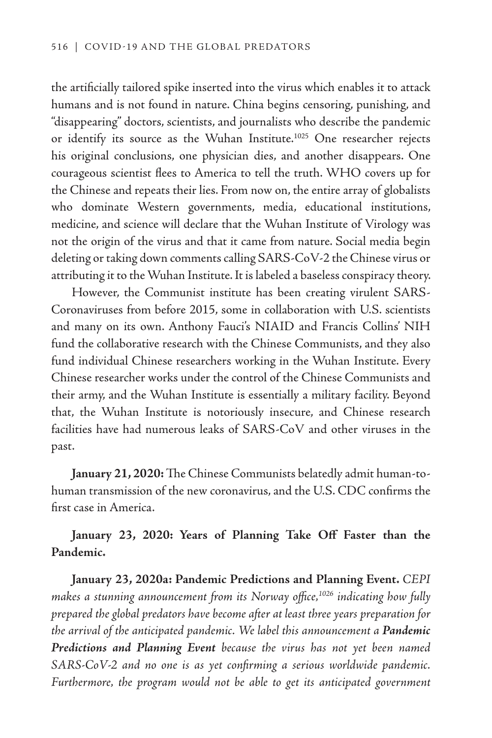the artificially tailored spike inserted into the virus which enables it to attack humans and is not found in nature. China begins censoring, punishing, and "disappearing" doctors, scientists, and journalists who describe the pandemic or identify its source as the Wuhan Institute.<sup>1025</sup> One researcher rejects his original conclusions, one physician dies, and another disappears. One courageous scientist flees to America to tell the truth. WHO covers up for the Chinese and repeats their lies. From now on, the entire array of globalists who dominate Western governments, media, educational institutions, medicine, and science will declare that the Wuhan Institute of Virology was not the origin of the virus and that it came from nature. Social media begin deleting or taking down comments calling SARS-CoV-2 the Chinese virus or attributing it to the Wuhan Institute. It is labeled a baseless conspiracy theory.

However, the Communist institute has been creating virulent SARS-Coronaviruses from before 2015, some in collaboration with U.S. scientists and many on its own. Anthony Fauci's NIAID and Francis Collins' NIH fund the collaborative research with the Chinese Communists, and they also fund individual Chinese researchers working in the Wuhan Institute. Every Chinese researcher works under the control of the Chinese Communists and their army, and the Wuhan Institute is essentially a military facility. Beyond that, the Wuhan Institute is notoriously insecure, and Chinese research facilities have had numerous leaks of SARS-CoV and other viruses in the past.

**January 21, 2020:** The Chinese Communists belatedly admit human-tohuman transmission of the new coronavirus, and the U.S. CDC confirms the first case in America.

## **January 23, 2020: Years of Planning Take Off Faster than the Pandemic.**

**January 23, 2020a: Pandemic Predictions and Planning Event.** *CEPI makes a stunning announcement from its Norway office,1026 indicating how fully prepared the global predators have become after at least three years preparation for the arrival of the anticipated pandemic. We label this announcement a Pandemic Predictions and Planning Event because the virus has not yet been named SARS-CoV-2 and no one is as yet confirming a serious worldwide pandemic.*  Furthermore, the program would not be able to get its anticipated government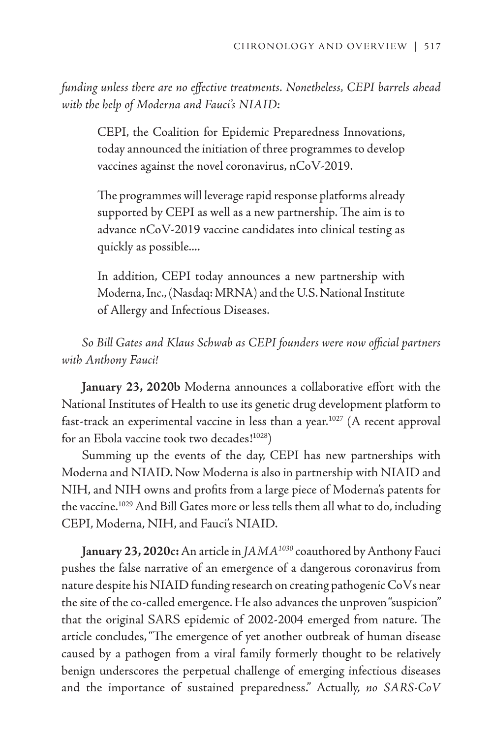*funding unless there are no effective treatments. Nonetheless, CEPI barrels ahead with the help of Moderna and Fauci's NIAID:*

CEPI, the Coalition for Epidemic Preparedness Innovations, today announced the initiation of three programmes to develop vaccines against the novel coronavirus, nCoV-2019.

The programmes will leverage rapid response platforms already supported by CEPI as well as a new partnership. The aim is to advance nCoV-2019 vaccine candidates into clinical testing as quickly as possible....

In addition, CEPI today announces a new partnership with Moderna, Inc., (Nasdaq: MRNA) and the U.S. National Institute of Allergy and Infectious Diseases.

*So Bill Gates and Klaus Schwab as CEPI founders were now official partners with Anthony Fauci!*

**January 23, 2020b** Moderna announces a collaborative effort with the National Institutes of Health to use its genetic drug development platform to fast-track an experimental vaccine in less than a year.<sup>1027</sup> (A recent approval for an Ebola vaccine took two decades!<sup>1028</sup>)

Summing up the events of the day, CEPI has new partnerships with Moderna and NIAID. Now Moderna is also in partnership with NIAID and NIH, and NIH owns and profits from a large piece of Moderna's patents for the vaccine.<sup>1029</sup> And Bill Gates more or less tells them all what to do, including CEPI, Moderna, NIH, and Fauci's NIAID.

**January 23, 2020c:** An article in *JAMA1030* coauthored by Anthony Fauci pushes the false narrative of an emergence of a dangerous coronavirus from nature despite his NIAID funding research on creating pathogenic CoVs near the site of the co-called emergence. He also advances the unproven "suspicion" that the original SARS epidemic of 2002-2004 emerged from nature. The article concludes, "The emergence of yet another outbreak of human disease caused by a pathogen from a viral family formerly thought to be relatively benign underscores the perpetual challenge of emerging infectious diseases and the importance of sustained preparedness." Actually, *no SARS-CoV*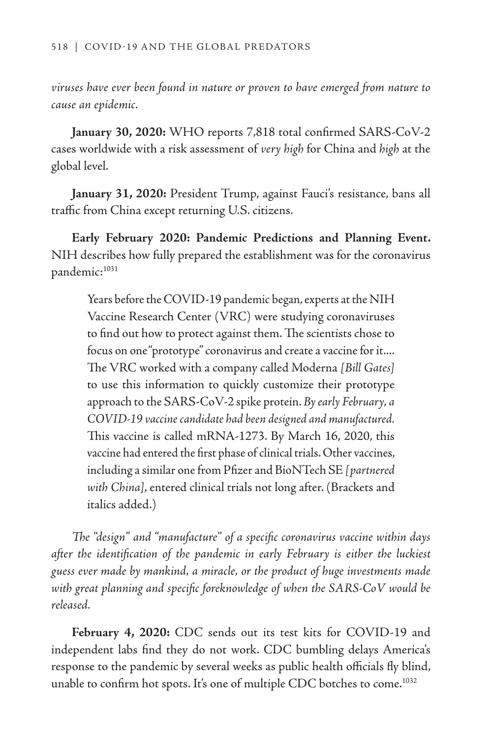*viruses have ever been found in nature or proven to have emerged from nature to cause an epidemic.* 

**January 30, 2020:** WHO reports 7,818 total confirmed SARS-CoV-2 cases worldwide with a risk assessment of *very high* for China and *high* at the global level.

**January 31, 2020:** President Trump, against Fauci's resistance, bans all traffic from China except returning U.S. citizens.

**Early February 2020: Pandemic Predictions and Planning Event.**  NIH describes how fully prepared the establishment was for the coronavirus pandemic:<sup>1031</sup>

Years before the COVID-19 pandemic began, experts at the NIH Vaccine Research Center (VRC) were studying coronaviruses to find out how to protect against them. The scientists chose to focus on one "prototype" coronavirus and create a vaccine for it.... The VRC worked with a company called Moderna *[Bill Gates]* to use this information to quickly customize their prototype approach to the SARS-CoV-2 spike protein. *By early February, a COVID-19 vaccine candidate had been designed and manufactured.*  This vaccine is called mRNA-1273. By March 16, 2020, this vaccine had entered the first phase of clinical trials. Other vaccines, including a similar one from Pfizer and BioNTech SE *[partnered with China]*, entered clinical trials not long after. (Brackets and italics added.)

*The "design" and "manufacture" of a specific coronavirus vaccine within days after the identification of the pandemic in early February is either the luckiest guess ever made by mankind, a miracle, or the product of huge investments made with great planning and specific foreknowledge of when the SARS-CoV would be released.* 

**February 4, 2020:** CDC sends out its test kits for COVID-19 and independent labs find they do not work. CDC bumbling delays America's response to the pandemic by several weeks as public health officials fly blind, unable to confirm hot spots. It's one of multiple CDC botches to come.<sup>1032</sup>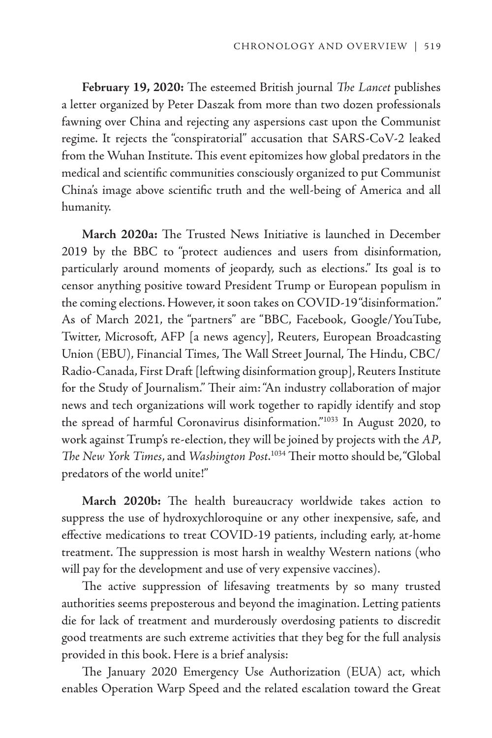**February 19, 2020:** The esteemed British journal *The Lancet* publishes a letter organized by Peter Daszak from more than two dozen professionals fawning over China and rejecting any aspersions cast upon the Communist regime. It rejects the "conspiratorial" accusation that SARS-CoV-2 leaked from the Wuhan Institute. This event epitomizes how global predators in the medical and scientific communities consciously organized to put Communist China's image above scientific truth and the well-being of America and all humanity.

**March 2020a:** The Trusted News Initiative is launched in December 2019 by the BBC to "protect audiences and users from disinformation, particularly around moments of jeopardy, such as elections." Its goal is to censor anything positive toward President Trump or European populism in the coming elections. However, it soon takes on COVID-19 "disinformation." As of March 2021, the "partners" are "BBC, Facebook, Google/YouTube, Twitter, Microsoft, AFP [a news agency], Reuters, European Broadcasting Union (EBU), Financial Times, The Wall Street Journal, The Hindu, CBC/ Radio-Canada, First Draft [leftwing disinformation group], Reuters Institute for the Study of Journalism." Their aim: "An industry collaboration of major news and tech organizations will work together to rapidly identify and stop the spread of harmful Coronavirus disinformation."1033 In August 2020, to work against Trump's re-election, they will be joined by projects with the *AP*, *The New York Times*, and *Washington Post*. 1034 Their motto should be, "Global predators of the world unite!"

**March 2020b:** The health bureaucracy worldwide takes action to suppress the use of hydroxychloroquine or any other inexpensive, safe, and effective medications to treat COVID-19 patients, including early, at-home treatment. The suppression is most harsh in wealthy Western nations (who will pay for the development and use of very expensive vaccines).

The active suppression of lifesaving treatments by so many trusted authorities seems preposterous and beyond the imagination. Letting patients die for lack of treatment and murderously overdosing patients to discredit good treatments are such extreme activities that they beg for the full analysis provided in this book. Here is a brief analysis:

The January 2020 Emergency Use Authorization (EUA) act, which enables Operation Warp Speed and the related escalation toward the Great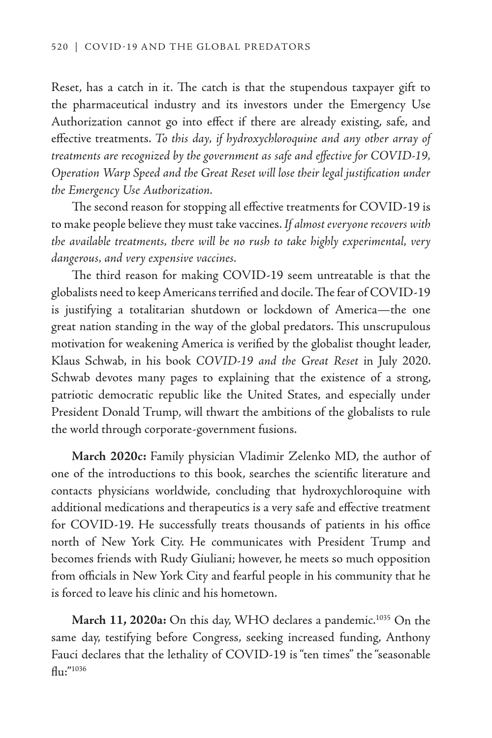Reset, has a catch in it. The catch is that the stupendous taxpayer gift to the pharmaceutical industry and its investors under the Emergency Use Authorization cannot go into effect if there are already existing, safe, and effective treatments. *To this day, if hydroxychloroquine and any other array of treatments are recognized by the government as safe and effective for COVID-19, Operation Warp Speed and the Great Reset will lose their legal justification under the Emergency Use Authorization.* 

The second reason for stopping all effective treatments for COVID-19 is to make people believe they must take vaccines. *If almost everyone recovers with the available treatments, there will be no rush to take highly experimental, very dangerous, and very expensive vaccines.* 

The third reason for making COVID-19 seem untreatable is that the globalists need to keep Americans terrified and docile. The fear of COVID-19 is justifying a totalitarian shutdown or lockdown of America—the one great nation standing in the way of the global predators. This unscrupulous motivation for weakening America is verified by the globalist thought leader, Klaus Schwab, in his book *COVID-19 and the Great Reset* in July 2020. Schwab devotes many pages to explaining that the existence of a strong, patriotic democratic republic like the United States, and especially under President Donald Trump, will thwart the ambitions of the globalists to rule the world through corporate-government fusions.

**March 2020c:** Family physician Vladimir Zelenko MD, the author of one of the introductions to this book, searches the scientific literature and contacts physicians worldwide, concluding that hydroxychloroquine with additional medications and therapeutics is a very safe and effective treatment for COVID-19. He successfully treats thousands of patients in his office north of New York City. He communicates with President Trump and becomes friends with Rudy Giuliani; however, he meets so much opposition from officials in New York City and fearful people in his community that he is forced to leave his clinic and his hometown.

March 11, 2020a: On this day, WHO declares a pandemic.<sup>1035</sup> On the same day, testifying before Congress, seeking increased funding, Anthony Fauci declares that the lethality of COVID-19 is "ten times" the "seasonable  $f_{11}$ <sup>."1036</sup>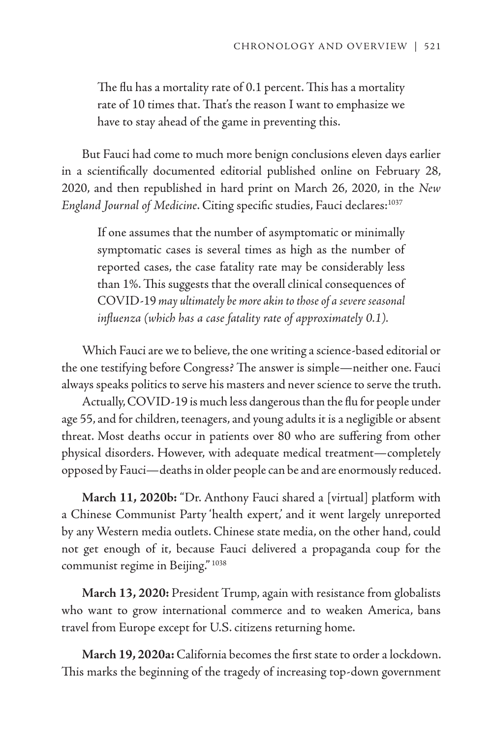The flu has a mortality rate of 0.1 percent. This has a mortality rate of 10 times that. That's the reason I want to emphasize we have to stay ahead of the game in preventing this.

But Fauci had come to much more benign conclusions eleven days earlier in a scientifically documented editorial published online on February 28, 2020, and then republished in hard print on March 26, 2020, in the *New England Journal of Medicine*. Citing specific studies, Fauci declares:<sup>1037</sup>

If one assumes that the number of asymptomatic or minimally symptomatic cases is several times as high as the number of reported cases, the case fatality rate may be considerably less than 1%. This suggests that the overall clinical consequences of COVID-19 *may ultimately be more akin to those of a severe seasonal influenza (which has a case fatality rate of approximately 0.1).*

Which Fauci are we to believe, the one writing a science-based editorial or the one testifying before Congress? The answer is simple—neither one. Fauci always speaks politics to serve his masters and never science to serve the truth.

Actually, COVID-19 is much less dangerous than the flu for people under age 55, and for children, teenagers, and young adults it is a negligible or absent threat. Most deaths occur in patients over 80 who are suffering from other physical disorders. However, with adequate medical treatment—completely opposed by Fauci—deaths in older people can be and are enormously reduced.

**March 11, 2020b:** "Dr. Anthony Fauci shared a [virtual] platform with a Chinese Communist Party 'health expert,' and it went largely unreported by any Western media outlets. Chinese state media, on the other hand, could not get enough of it, because Fauci delivered a propaganda coup for the communist regime in Beijing." 1038

**March 13, 2020:** President Trump, again with resistance from globalists who want to grow international commerce and to weaken America, bans travel from Europe except for U.S. citizens returning home.

**March 19, 2020a:** California becomes the first state to order a lockdown. This marks the beginning of the tragedy of increasing top-down government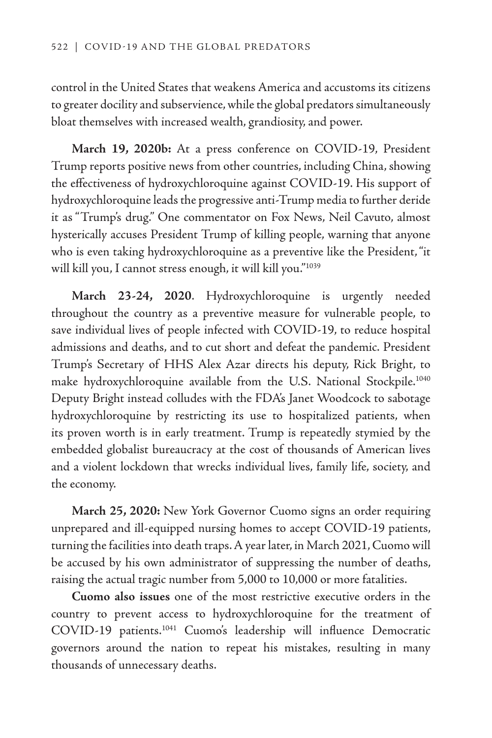control in the United States that weakens America and accustoms its citizens to greater docility and subservience, while the global predators simultaneously bloat themselves with increased wealth, grandiosity, and power.

**March 19, 2020b:** At a press conference on COVID-19, President Trump reports positive news from other countries, including China, showing the effectiveness of hydroxychloroquine against COVID-19. His support of hydroxychloroquine leads the progressive anti-Trump media to further deride it as "Trump's drug." One commentator on Fox News, Neil Cavuto, almost hysterically accuses President Trump of killing people, warning that anyone who is even taking hydroxychloroquine as a preventive like the President, "it will kill you, I cannot stress enough, it will kill you."1039

**March 23-24, 2020**. Hydroxychloroquine is urgently needed throughout the country as a preventive measure for vulnerable people, to save individual lives of people infected with COVID-19, to reduce hospital admissions and deaths, and to cut short and defeat the pandemic. President Trump's Secretary of HHS Alex Azar directs his deputy, Rick Bright, to make hydroxychloroquine available from the U.S. National Stockpile.<sup>1040</sup> Deputy Bright instead colludes with the FDA's Janet Woodcock to sabotage hydroxychloroquine by restricting its use to hospitalized patients, when its proven worth is in early treatment. Trump is repeatedly stymied by the embedded globalist bureaucracy at the cost of thousands of American lives and a violent lockdown that wrecks individual lives, family life, society, and the economy.

**March 25, 2020:** New York Governor Cuomo signs an order requiring unprepared and ill-equipped nursing homes to accept COVID-19 patients, turning the facilities into death traps. A year later, in March 2021, Cuomo will be accused by his own administrator of suppressing the number of deaths, raising the actual tragic number from 5,000 to 10,000 or more fatalities.

**Cuomo also issues** one of the most restrictive executive orders in the country to prevent access to hydroxychloroquine for the treatment of COVID-19 patients.1041 Cuomo's leadership will influence Democratic governors around the nation to repeat his mistakes, resulting in many thousands of unnecessary deaths.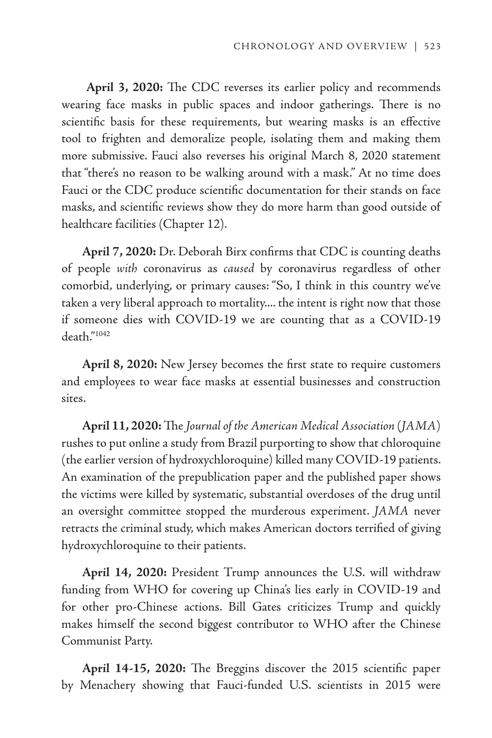**April 3, 2020:** The CDC reverses its earlier policy and recommends wearing face masks in public spaces and indoor gatherings. There is no scientific basis for these requirements, but wearing masks is an effective tool to frighten and demoralize people, isolating them and making them more submissive. Fauci also reverses his original March 8, 2020 statement that "there's no reason to be walking around with a mask." At no time does Fauci or the CDC produce scientific documentation for their stands on face masks, and scientific reviews show they do more harm than good outside of healthcare facilities (Chapter 12).

**April 7, 2020:** Dr. Deborah Birx confirms that CDC is counting deaths of people *with* coronavirus as *caused* by coronavirus regardless of other comorbid, underlying, or primary causes: "So, I think in this country we've taken a very liberal approach to mortality.... the intent is right now that those if someone dies with COVID-19 we are counting that as a COVID-19 death."1042

**April 8, 2020:** New Jersey becomes the first state to require customers and employees to wear face masks at essential businesses and construction sites.

**April 11, 2020:** The *Journal of the American Medical Association* (*JAMA*) rushes to put online a study from Brazil purporting to show that chloroquine (the earlier version of hydroxychloroquine) killed many COVID-19 patients. An examination of the prepublication paper and the published paper shows the victims were killed by systematic, substantial overdoses of the drug until an oversight committee stopped the murderous experiment. *JAMA* never retracts the criminal study, which makes American doctors terrified of giving hydroxychloroquine to their patients.

**April 14, 2020:** President Trump announces the U.S. will withdraw funding from WHO for covering up China's lies early in COVID-19 and for other pro-Chinese actions. Bill Gates criticizes Trump and quickly makes himself the second biggest contributor to WHO after the Chinese Communist Party.

**April 14-15, 2020:** The Breggins discover the 2015 scientific paper by Menachery showing that Fauci-funded U.S. scientists in 2015 were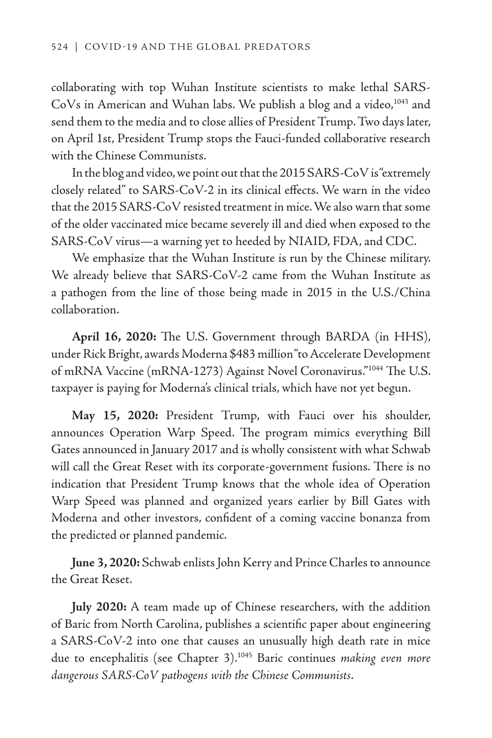collaborating with top Wuhan Institute scientists to make lethal SARS-CoVs in American and Wuhan labs. We publish a blog and a video,<sup>1043</sup> and send them to the media and to close allies of President Trump. Two days later, on April 1st, President Trump stops the Fauci-funded collaborative research with the Chinese Communists.

In the blog and video, we point out that the 2015 SARS-CoV is "extremely closely related" to SARS-CoV-2 in its clinical effects. We warn in the video that the 2015 SARS-CoV resisted treatment in mice. We also warn that some of the older vaccinated mice became severely ill and died when exposed to the SARS-CoV virus—a warning yet to heeded by NIAID, FDA, and CDC.

We emphasize that the Wuhan Institute is run by the Chinese military. We already believe that SARS-CoV-2 came from the Wuhan Institute as a pathogen from the line of those being made in 2015 in the U.S./China collaboration.

**April 16, 2020:** The U.S. Government through BARDA (in HHS), under Rick Bright, awards Moderna \$483 million "to Accelerate Development of mRNA Vaccine (mRNA-1273) Against Novel Coronavirus."1044 The U.S. taxpayer is paying for Moderna's clinical trials, which have not yet begun.

**May 15, 2020:** President Trump, with Fauci over his shoulder, announces Operation Warp Speed. The program mimics everything Bill Gates announced in January 2017 and is wholly consistent with what Schwab will call the Great Reset with its corporate-government fusions. There is no indication that President Trump knows that the whole idea of Operation Warp Speed was planned and organized years earlier by Bill Gates with Moderna and other investors, confident of a coming vaccine bonanza from the predicted or planned pandemic.

**June 3, 2020:** Schwab enlists John Kerry and Prince Charles to announce the Great Reset.

**July 2020:** A team made up of Chinese researchers, with the addition of Baric from North Carolina, publishes a scientific paper about engineering a SARS-CoV-2 into one that causes an unusually high death rate in mice due to encephalitis (see Chapter 3).1045 Baric continues *making even more dangerous SARS-CoV pathogens with the Chinese Communists*.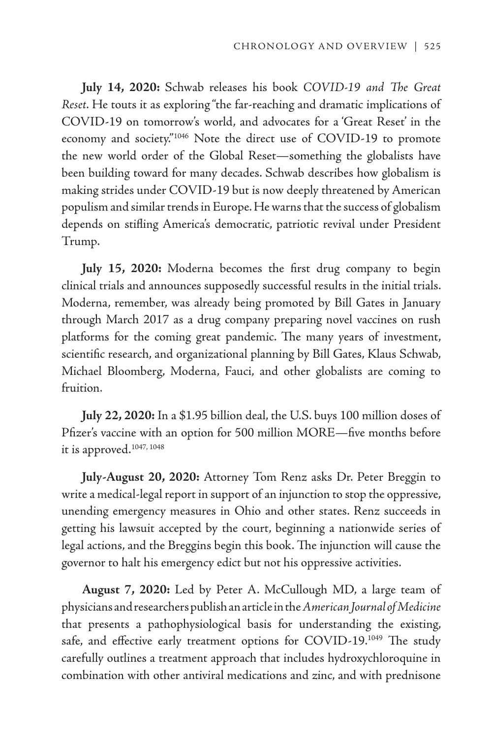**July 14, 2020:** Schwab releases his book *COVID-19 and The Great Reset*. He touts it as exploring "the far-reaching and dramatic implications of COVID-19 on tomorrow's world, and advocates for a 'Great Reset' in the economy and society."1046 Note the direct use of COVID-19 to promote the new world order of the Global Reset—something the globalists have been building toward for many decades. Schwab describes how globalism is making strides under COVID-19 but is now deeply threatened by American populism and similar trends in Europe. He warns that the success of globalism depends on stifling America's democratic, patriotic revival under President Trump.

**July 15, 2020:** Moderna becomes the first drug company to begin clinical trials and announces supposedly successful results in the initial trials. Moderna, remember, was already being promoted by Bill Gates in January through March 2017 as a drug company preparing novel vaccines on rush platforms for the coming great pandemic. The many years of investment, scientific research, and organizational planning by Bill Gates, Klaus Schwab, Michael Bloomberg, Moderna, Fauci, and other globalists are coming to fruition.

**July 22, 2020:** In a \$1.95 billion deal, the U.S. buys 100 million doses of Pfizer's vaccine with an option for 500 million MORE—five months before it is approved.<sup>1047, 1048</sup>

**July-August 20, 2020:** Attorney Tom Renz asks Dr. Peter Breggin to write a medical-legal report in support of an injunction to stop the oppressive, unending emergency measures in Ohio and other states. Renz succeeds in getting his lawsuit accepted by the court, beginning a nationwide series of legal actions, and the Breggins begin this book. The injunction will cause the governor to halt his emergency edict but not his oppressive activities.

**August 7, 2020:** Led by Peter A. McCullough MD, a large team of physicians and researchers publish an article in the *American Journal of Medicine* that presents a pathophysiological basis for understanding the existing, safe, and effective early treatment options for COVID-19.1049 The study carefully outlines a treatment approach that includes hydroxychloroquine in combination with other antiviral medications and zinc, and with prednisone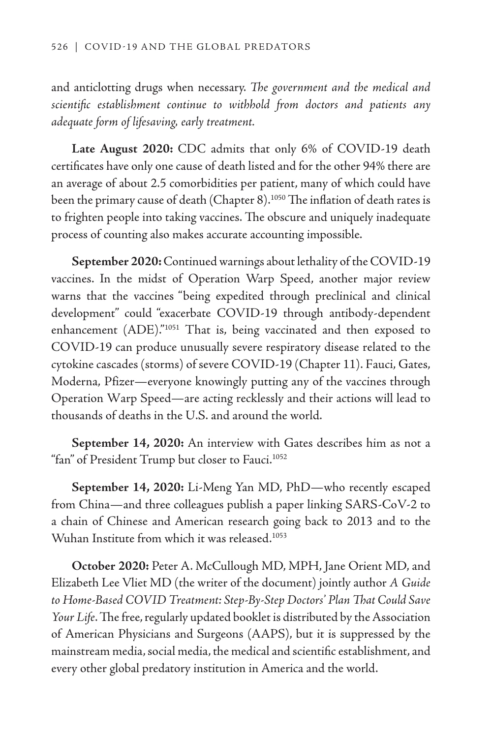and anticlotting drugs when necessary. *The government and the medical and scientific establishment continue to withhold from doctors and patients any adequate form of lifesaving, early treatment.* 

**Late August 2020:** CDC admits that only 6% of COVID-19 death certificates have only one cause of death listed and for the other 94% there are an average of about 2.5 comorbidities per patient, many of which could have been the primary cause of death (Chapter 8).<sup>1050</sup> The inflation of death rates is to frighten people into taking vaccines. The obscure and uniquely inadequate process of counting also makes accurate accounting impossible.

**September 2020:** Continued warnings about lethality of the COVID-19 vaccines. In the midst of Operation Warp Speed, another major review warns that the vaccines "being expedited through preclinical and clinical development" could "exacerbate COVID-19 through antibody-dependent enhancement (ADE)."<sup>1051</sup> That is, being vaccinated and then exposed to COVID-19 can produce unusually severe respiratory disease related to the cytokine cascades (storms) of severe COVID-19 (Chapter 11). Fauci, Gates, Moderna, Pfizer—everyone knowingly putting any of the vaccines through Operation Warp Speed—are acting recklessly and their actions will lead to thousands of deaths in the U.S. and around the world.

**September 14, 2020:** An interview with Gates describes him as not a "fan" of President Trump but closer to Fauci.<sup>1052</sup>

**September 14, 2020:** Li-Meng Yan MD, PhD—who recently escaped from China—and three colleagues publish a paper linking SARS-CoV-2 to a chain of Chinese and American research going back to 2013 and to the Wuhan Institute from which it was released.<sup>1053</sup>

**October 2020:** Peter A. McCullough MD, MPH, Jane Orient MD, and Elizabeth Lee Vliet MD (the writer of the document) jointly author *A Guide to Home-Based COVID Treatment: Step-By-Step Doctors' Plan That Could Save Your Life*. The free, regularly updated booklet is distributed by the Association of American Physicians and Surgeons (AAPS), but it is suppressed by the mainstream media, social media, the medical and scientific establishment, and every other global predatory institution in America and the world.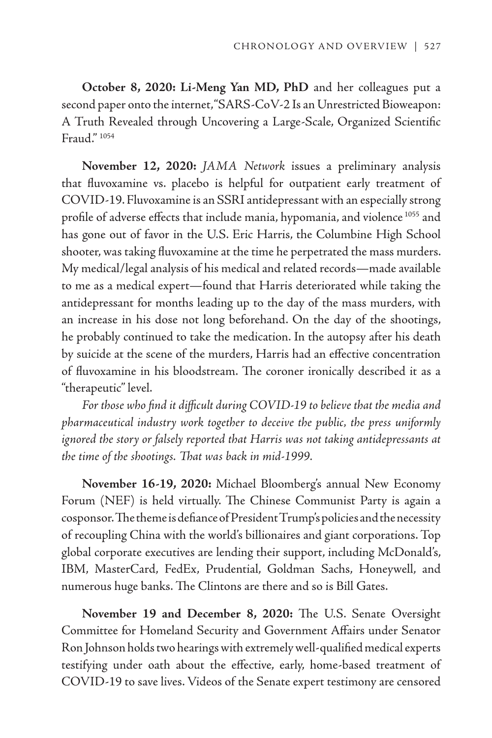**October 8, 2020: Li-Meng Yan MD, PhD** and her colleagues put a second paper onto the internet, "SARS-CoV-2 Is an Unrestricted Bioweapon: A Truth Revealed through Uncovering a Large-Scale, Organized Scientific Fraud." 1054

**November 12, 2020:** *JAMA Network* issues a preliminary analysis that fluvoxamine vs. placebo is helpful for outpatient early treatment of COVID-19. Fluvoxamine is an SSRI antidepressant with an especially strong profile of adverse effects that include mania, hypomania, and violence 1055 and has gone out of favor in the U.S. Eric Harris, the Columbine High School shooter, was taking fluvoxamine at the time he perpetrated the mass murders. My medical/legal analysis of his medical and related records—made available to me as a medical expert—found that Harris deteriorated while taking the antidepressant for months leading up to the day of the mass murders, with an increase in his dose not long beforehand. On the day of the shootings, he probably continued to take the medication. In the autopsy after his death by suicide at the scene of the murders, Harris had an effective concentration of fluvoxamine in his bloodstream. The coroner ironically described it as a "therapeutic" level.

*For those who find it difficult during COVID-19 to believe that the media and pharmaceutical industry work together to deceive the public, the press uniformly*  ignored the story or falsely reported that Harris was not taking antidepressants at *the time of the shootings. That was back in mid-1999.* 

**November 16-19, 2020:** Michael Bloomberg's annual New Economy Forum (NEF) is held virtually. The Chinese Communist Party is again a cosponsor. The theme is defiance of President Trump's policies and the necessity of recoupling China with the world's billionaires and giant corporations. Top global corporate executives are lending their support, including McDonald's, IBM, MasterCard, FedEx, Prudential, Goldman Sachs, Honeywell, and numerous huge banks. The Clintons are there and so is Bill Gates.

**November 19 and December 8, 2020:** The U.S. Senate Oversight Committee for Homeland Security and Government Affairs under Senator Ron Johnson holds two hearings with extremely well-qualified medical experts testifying under oath about the effective, early, home-based treatment of COVID-19 to save lives. Videos of the Senate expert testimony are censored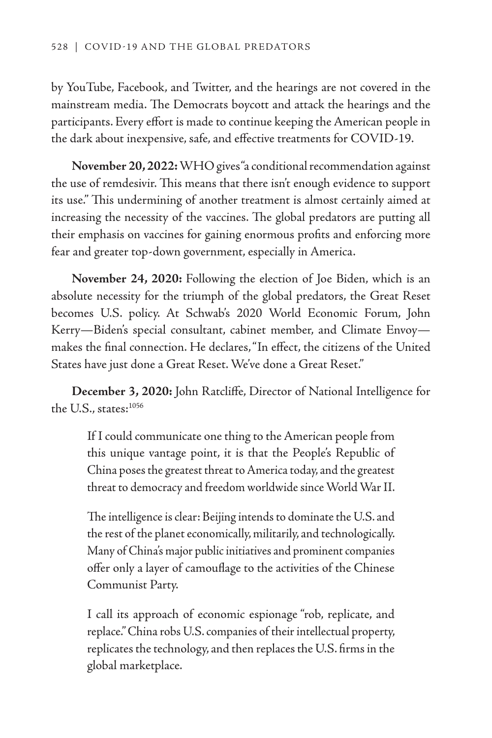by YouTube, Facebook, and Twitter, and the hearings are not covered in the mainstream media. The Democrats boycott and attack the hearings and the participants. Every effort is made to continue keeping the American people in the dark about inexpensive, safe, and effective treatments for COVID-19.

**November 20, 2022:** WHO gives "a conditional recommendation against the use of remdesivir. This means that there isn't enough evidence to support its use." This undermining of another treatment is almost certainly aimed at increasing the necessity of the vaccines. The global predators are putting all their emphasis on vaccines for gaining enormous profits and enforcing more fear and greater top-down government, especially in America.

**November 24, 2020:** Following the election of Joe Biden, which is an absolute necessity for the triumph of the global predators, the Great Reset becomes U.S. policy. At Schwab's 2020 World Economic Forum, John Kerry—Biden's special consultant, cabinet member, and Climate Envoy makes the final connection. He declares, "In effect, the citizens of the United States have just done a Great Reset. We've done a Great Reset."

**December 3, 2020:** John Ratcliffe, Director of National Intelligence for the U.S., states:<sup>1056</sup>

If I could communicate one thing to the American people from this unique vantage point, it is that the People's Republic of China poses the greatest threat to America today, and the greatest threat to democracy and freedom worldwide since World War II.

The intelligence is clear: Beijing intends to dominate the U.S. and the rest of the planet economically, militarily, and technologically. Many of China's major public initiatives and prominent companies offer only a layer of camouflage to the activities of the Chinese Communist Party.

I call its approach of economic espionage "rob, replicate, and replace." China robs U.S. companies of their intellectual property, replicates the technology, and then replaces the U.S. firms in the global marketplace.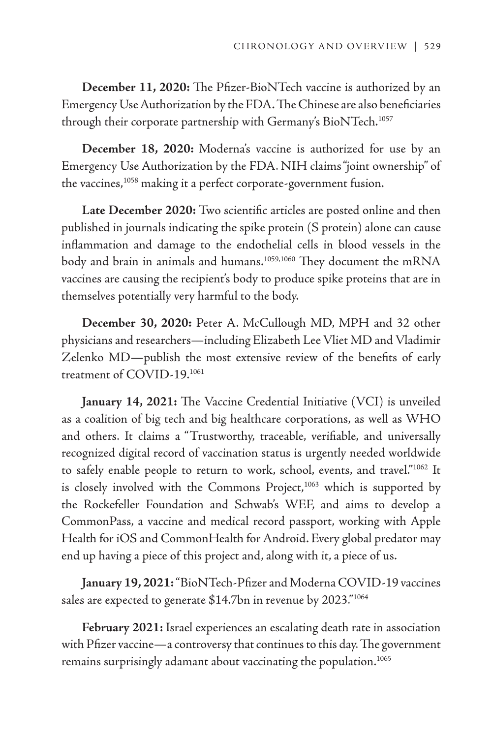**December 11, 2020:** The Pfizer-BioNTech vaccine is authorized by an Emergency Use Authorization by the FDA. The Chinese are also beneficiaries through their corporate partnership with Germany's BioNTech.<sup>1057</sup>

**December 18, 2020:** Moderna's vaccine is authorized for use by an Emergency Use Authorization by the FDA. NIH claims "joint ownership" of the vaccines,<sup>1058</sup> making it a perfect corporate-government fusion.

**Late December 2020:** Two scientific articles are posted online and then published in journals indicating the spike protein (S protein) alone can cause inflammation and damage to the endothelial cells in blood vessels in the body and brain in animals and humans.<sup>1059,1060</sup> They document the mRNA vaccines are causing the recipient's body to produce spike proteins that are in themselves potentially very harmful to the body.

**December 30, 2020:** Peter A. McCullough MD, MPH and 32 other physicians and researchers—including Elizabeth Lee Vliet MD and Vladimir Zelenko MD—publish the most extensive review of the benefits of early treatment of COVID-19.1061

**January 14, 2021:** The Vaccine Credential Initiative (VCI) is unveiled as a coalition of big tech and big healthcare corporations, as well as WHO and others. It claims a "Trustworthy, traceable, verifiable, and universally recognized digital record of vaccination status is urgently needed worldwide to safely enable people to return to work, school, events, and travel."1062 It is closely involved with the Commons Project,<sup>1063</sup> which is supported by the Rockefeller Foundation and Schwab's WEF, and aims to develop a CommonPass, a vaccine and medical record passport, working with Apple Health for iOS and CommonHealth for Android. Every global predator may end up having a piece of this project and, along with it, a piece of us.

**January 19, 2021:** "BioNTech-Pfizer and Moderna COVID-19 vaccines sales are expected to generate \$14.7bn in revenue by 2023."1064

**February 2021:** Israel experiences an escalating death rate in association with Pfizer vaccine—a controversy that continues to this day. The government remains surprisingly adamant about vaccinating the population.<sup>1065</sup>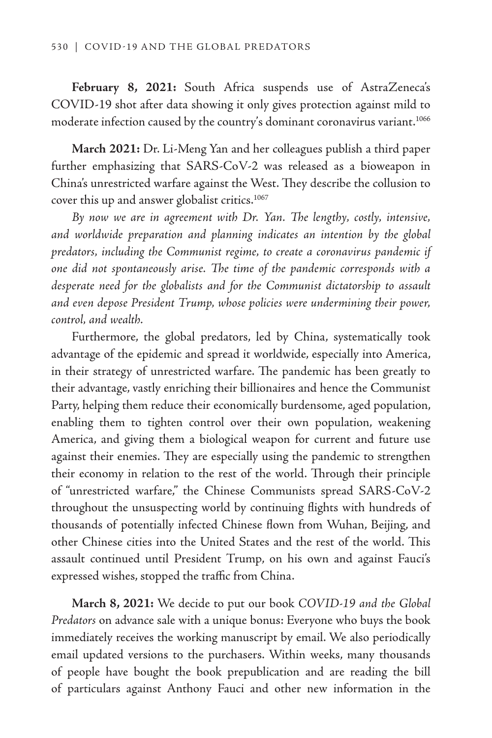**February 8, 2021:** South Africa suspends use of AstraZeneca's COVID-19 shot after data showing it only gives protection against mild to moderate infection caused by the country's dominant coronavirus variant.<sup>1066</sup>

**March 2021:** Dr. Li-Meng Yan and her colleagues publish a third paper further emphasizing that SARS-CoV-2 was released as a bioweapon in China's unrestricted warfare against the West. They describe the collusion to cover this up and answer globalist critics.1067

*By now we are in agreement with Dr. Yan. The lengthy, costly, intensive, and worldwide preparation and planning indicates an intention by the global predators, including the Communist regime, to create a coronavirus pandemic if one did not spontaneously arise. The time of the pandemic corresponds with a desperate need for the globalists and for the Communist dictatorship to assault and even depose President Trump, whose policies were undermining their power, control, and wealth.* 

Furthermore, the global predators, led by China, systematically took advantage of the epidemic and spread it worldwide, especially into America, in their strategy of unrestricted warfare. The pandemic has been greatly to their advantage, vastly enriching their billionaires and hence the Communist Party, helping them reduce their economically burdensome, aged population, enabling them to tighten control over their own population, weakening America, and giving them a biological weapon for current and future use against their enemies. They are especially using the pandemic to strengthen their economy in relation to the rest of the world. Through their principle of "unrestricted warfare," the Chinese Communists spread SARS-CoV-2 throughout the unsuspecting world by continuing flights with hundreds of thousands of potentially infected Chinese flown from Wuhan, Beijing, and other Chinese cities into the United States and the rest of the world. This assault continued until President Trump, on his own and against Fauci's expressed wishes, stopped the traffic from China.

**March 8, 2021:** We decide to put our book *COVID-19 and the Global Predators* on advance sale with a unique bonus: Everyone who buys the book immediately receives the working manuscript by email. We also periodically email updated versions to the purchasers. Within weeks, many thousands of people have bought the book prepublication and are reading the bill of particulars against Anthony Fauci and other new information in the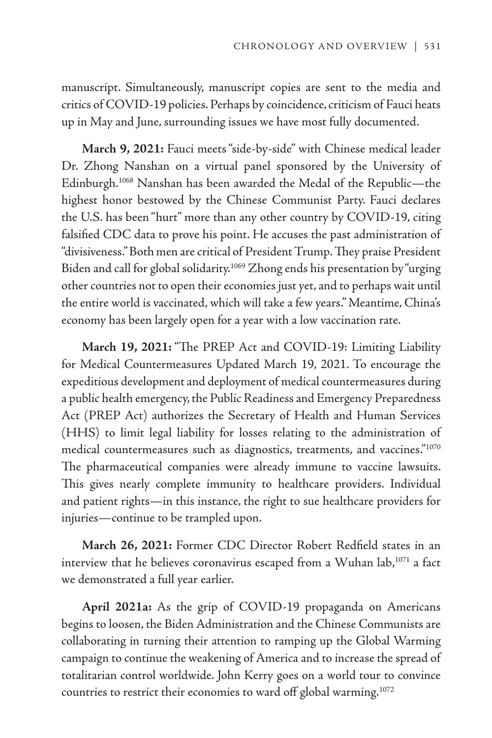manuscript. Simultaneously, manuscript copies are sent to the media and critics of COVID-19 policies. Perhaps by coincidence, criticism of Fauci heats up in May and June, surrounding issues we have most fully documented.

**March 9, 2021:** Fauci meets "side-by-side" with Chinese medical leader Dr. Zhong Nanshan on a virtual panel sponsored by the University of Edinburgh.1068 Nanshan has been awarded the Medal of the Republic—the highest honor bestowed by the Chinese Communist Party. Fauci declares the U.S. has been "hurt" more than any other country by COVID-19, citing falsified CDC data to prove his point. He accuses the past administration of "divisiveness." Both men are critical of President Trump. They praise President Biden and call for global solidarity.1069 Zhong ends his presentation by "urging other countries not to open their economies just yet, and to perhaps wait until the entire world is vaccinated, which will take a few years." Meantime, China's economy has been largely open for a year with a low vaccination rate.

**March 19, 2021:** "The PREP Act and COVID-19: Limiting Liability for Medical Countermeasures Updated March 19, 2021. To encourage the expeditious development and deployment of medical countermeasures during a public health emergency, the Public Readiness and Emergency Preparedness Act (PREP Act) authorizes the Secretary of Health and Human Services (HHS) to limit legal liability for losses relating to the administration of medical countermeasures such as diagnostics, treatments, and vaccines."1070 The pharmaceutical companies were already immune to vaccine lawsuits. This gives nearly complete immunity to healthcare providers. Individual and patient rights—in this instance, the right to sue healthcare providers for injuries—continue to be trampled upon.

**March 26, 2021:** Former CDC Director Robert Redfield states in an interview that he believes coronavirus escaped from a Wuhan lab,<sup>1071</sup> a fact we demonstrated a full year earlier.

**April 2021a:** As the grip of COVID-19 propaganda on Americans begins to loosen, the Biden Administration and the Chinese Communists are collaborating in turning their attention to ramping up the Global Warming campaign to continue the weakening of America and to increase the spread of totalitarian control worldwide. John Kerry goes on a world tour to convince countries to restrict their economies to ward off global warming.1072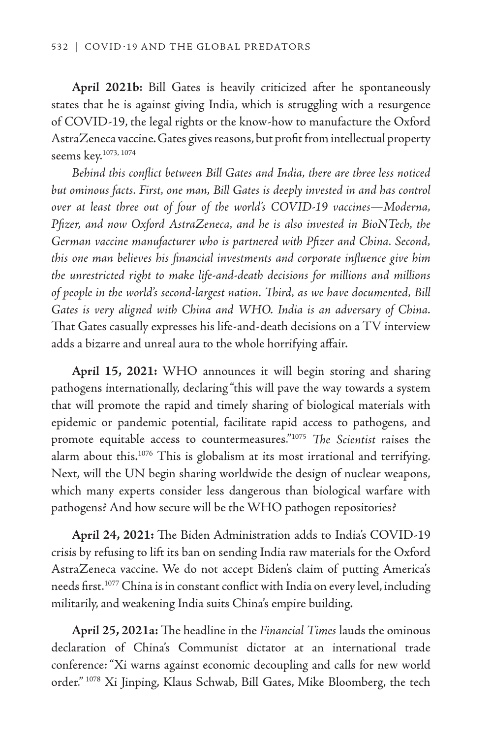**April 2021b:** Bill Gates is heavily criticized after he spontaneously states that he is against giving India, which is struggling with a resurgence of COVID-19, the legal rights or the know-how to manufacture the Oxford AstraZeneca vaccine. Gates gives reasons, but profit from intellectual property seems key.1073, <sup>1074</sup>

*Behind this conflict between Bill Gates and India, there are three less noticed but ominous facts. First, one man, Bill Gates is deeply invested in and has control over at least three out of four of the world's COVID-19 vaccines—Moderna, Pfizer, and now Oxford AstraZeneca, and he is also invested in BioNTech, the German vaccine manufacturer who is partnered with Pfizer and China. Second, this one man believes his financial investments and corporate influence give him the unrestricted right to make life-and-death decisions for millions and millions of people in the world's second-largest nation. Third, as we have documented, Bill Gates is very aligned with China and WHO. India is an adversary of China.*  That Gates casually expresses his life-and-death decisions on a TV interview adds a bizarre and unreal aura to the whole horrifying affair.

**April 15, 2021:**  WHO announces it will begin storing and sharing pathogens internationally, declaring "this will pave the way towards a system that will promote the rapid and timely sharing of biological materials with epidemic or pandemic potential, facilitate rapid access to pathogens, and promote equitable access to countermeasures."1075 *The Scientist* raises the alarm about this.1076 This is globalism at its most irrational and terrifying. Next, will the UN begin sharing worldwide the design of nuclear weapons, which many experts consider less dangerous than biological warfare with pathogens? And how secure will be the WHO pathogen repositories?

**April 24, 2021:** The Biden Administration adds to India's COVID-19 crisis by refusing to lift its ban on sending India raw materials for the Oxford AstraZeneca vaccine. We do not accept Biden's claim of putting America's needs first.1077 China is in constant conflict with India on every level, including militarily, and weakening India suits China's empire building.

**April 25, 2021a:** The headline in the *Financial Times* lauds the ominous declaration of China's Communist dictator at an international trade conference: "Xi warns against economic decoupling and calls for new world order." 1078 Xi Jinping, Klaus Schwab, Bill Gates, Mike Bloomberg, the tech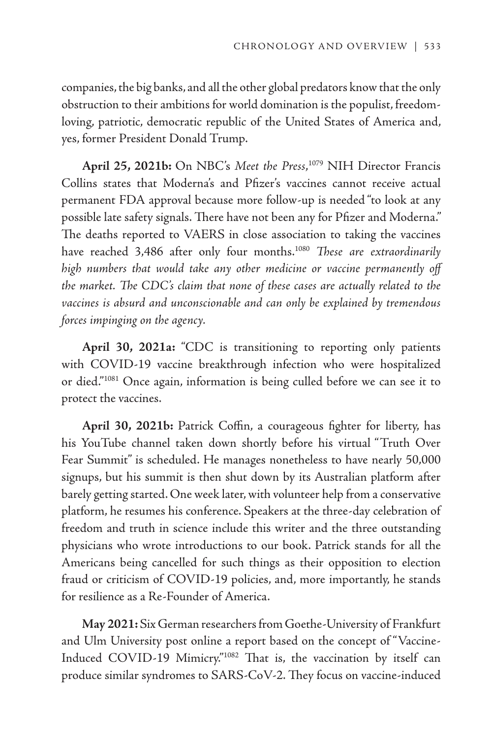companies, the big banks, and all the other global predators know that the only obstruction to their ambitions for world domination is the populist, freedomloving, patriotic, democratic republic of the United States of America and, yes, former President Donald Trump.

**April 25, 2021b:** On NBC's *Meet the Press*, 1079 NIH Director Francis Collins states that Moderna's and Pfizer's vaccines cannot receive actual permanent FDA approval because more follow-up is needed "to look at any possible late safety signals. There have not been any for Pfizer and Moderna." The deaths reported to VAERS in close association to taking the vaccines have reached 3,486 after only four months.1080 *These are extraordinarily high numbers that would take any other medicine or vaccine permanently off the market. The CDC's claim that none of these cases are actually related to the vaccines is absurd and unconscionable and can only be explained by tremendous forces impinging on the agency.*

**April 30, 2021a:** "CDC is transitioning to reporting only patients with COVID-19 vaccine breakthrough infection who were hospitalized or died."1081 Once again, information is being culled before we can see it to protect the vaccines.

**April 30, 2021b:** Patrick Coffin, a courageous fighter for liberty, has his YouTube channel taken down shortly before his virtual "Truth Over Fear Summit" is scheduled. He manages nonetheless to have nearly 50,000 signups, but his summit is then shut down by its Australian platform after barely getting started. One week later, with volunteer help from a conservative platform, he resumes his conference. Speakers at the three-day celebration of freedom and truth in science include this writer and the three outstanding physicians who wrote introductions to our book. Patrick stands for all the Americans being cancelled for such things as their opposition to election fraud or criticism of COVID-19 policies, and, more importantly, he stands for resilience as a Re-Founder of America.

**May 2021:** Six German researchers from Goethe-University of Frankfurt and Ulm University post online a report based on the concept of "Vaccine-Induced COVID-19 Mimicry."1082 That is, the vaccination by itself can produce similar syndromes to SARS-CoV-2. They focus on vaccine-induced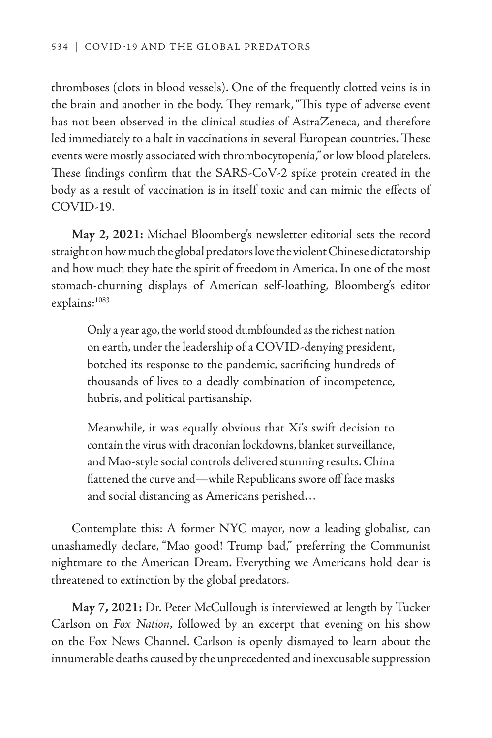thromboses (clots in blood vessels). One of the frequently clotted veins is in the brain and another in the body. They remark, "This type of adverse event has not been observed in the clinical studies of AstraZeneca, and therefore led immediately to a halt in vaccinations in several European countries. These events were mostly associated with thrombocytopenia," or low blood platelets. These findings confirm that the SARS-CoV-2 spike protein created in the body as a result of vaccination is in itself toxic and can mimic the effects of COVID-19.

**May 2, 2021:** Michael Bloomberg's newsletter editorial sets the record straight on how much the global predators love the violent Chinese dictatorship and how much they hate the spirit of freedom in America. In one of the most stomach-churning displays of American self-loathing, Bloomberg's editor explains:1083

Only a year ago, the world stood dumbfounded as the richest nation on earth, under the leadership of a COVID-denying president, botched its response to the pandemic, sacrificing hundreds of thousands of lives to a deadly combination of incompetence, hubris, and political partisanship.

Meanwhile, it was equally obvious that Xi's swift decision to contain the virus with draconian lockdowns, blanket surveillance, and Mao-style social controls delivered stunning results. China flattened the curve and—while Republicans swore off face masks and social distancing as Americans perished…

Contemplate this: A former NYC mayor, now a leading globalist, can unashamedly declare, "Mao good! Trump bad," preferring the Communist nightmare to the American Dream. Everything we Americans hold dear is threatened to extinction by the global predators.

**May 7, 2021:** Dr. Peter McCullough is interviewed at length by Tucker Carlson on *Fox Nation*, followed by an excerpt that evening on his show on the Fox News Channel. Carlson is openly dismayed to learn about the innumerable deaths caused by the unprecedented and inexcusable suppression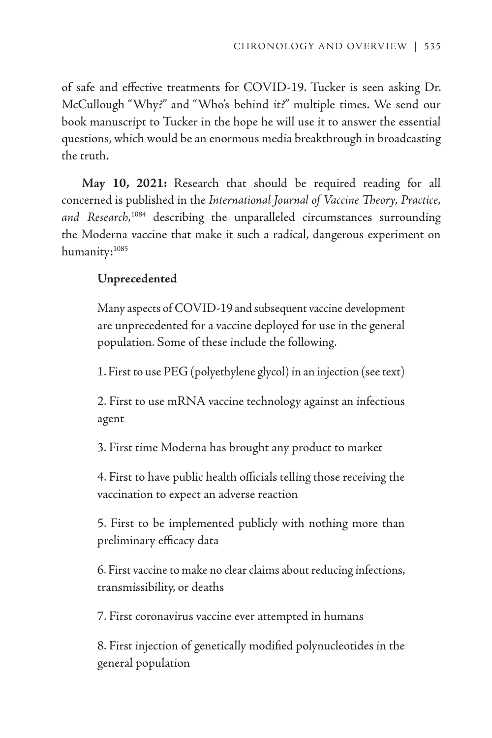of safe and effective treatments for COVID-19. Tucker is seen asking Dr. McCullough "Why?" and "Who's behind it?" multiple times. We send our book manuscript to Tucker in the hope he will use it to answer the essential questions, which would be an enormous media breakthrough in broadcasting the truth.

**May 10, 2021:** Research that should be required reading for all concerned is published in the *International Journal of Vaccine Theory, Practice, and Research,*1084 describing the unparalleled circumstances surrounding the Moderna vaccine that make it such a radical, dangerous experiment on humanity:1085

### **Unprecedented**

Many aspects of COVID-19 and subsequent vaccine development are unprecedented for a vaccine deployed for use in the general population. Some of these include the following.

1. First to use PEG (polyethylene glycol) in an injection (see text)

2. First to use mRNA vaccine technology against an infectious agent

3. First time Moderna has brought any product to market

4. First to have public health officials telling those receiving the vaccination to expect an adverse reaction

5. First to be implemented publicly with nothing more than preliminary efficacy data

6. First vaccine to make no clear claims about reducing infections, transmissibility, or deaths

7. First coronavirus vaccine ever attempted in humans

8. First injection of genetically modified polynucleotides in the general population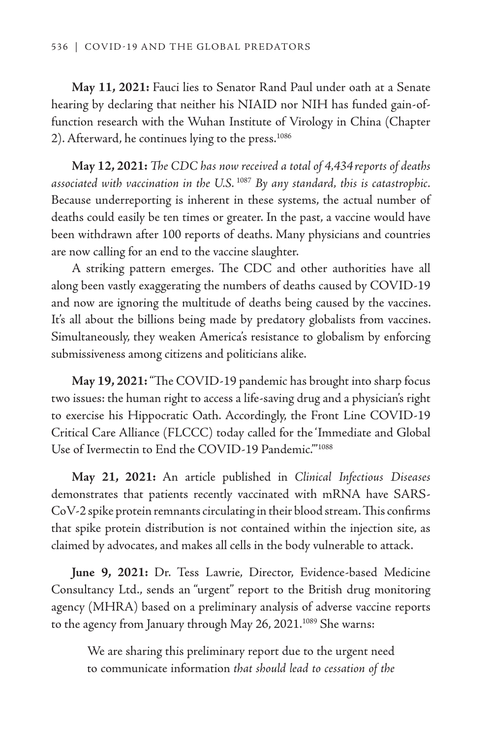**May 11, 2021:** Fauci lies to Senator Rand Paul under oath at a Senate hearing by declaring that neither his NIAID nor NIH has funded gain-offunction research with the Wuhan Institute of Virology in China (Chapter 2). Afterward, he continues lying to the press.<sup>1086</sup>

**May 12, 2021:** *The CDC has now received a total of 4,434reports of deaths associated with vaccination in the U.S.*<sup>1087</sup> *By any standard, this is catastrophic.* Because underreporting is inherent in these systems, the actual number of deaths could easily be ten times or greater. In the past, a vaccine would have been withdrawn after 100 reports of deaths. Many physicians and countries are now calling for an end to the vaccine slaughter.

A striking pattern emerges. The CDC and other authorities have all along been vastly exaggerating the numbers of deaths caused by COVID-19 and now are ignoring the multitude of deaths being caused by the vaccines. It's all about the billions being made by predatory globalists from vaccines. Simultaneously, they weaken America's resistance to globalism by enforcing submissiveness among citizens and politicians alike.

**May 19, 2021:** "The COVID-19 pandemic has brought into sharp focus two issues: the human right to access a life-saving drug and a physician's right to exercise his Hippocratic Oath. Accordingly, the Front Line COVID-19 Critical Care Alliance (FLCCC) today called for the 'Immediate and Global Use of Ivermectin to End the COVID-19 Pandemic.'"1088

**May 21, 2021:** An article published in *Clinical Infectious Diseases* demonstrates that patients recently vaccinated with mRNA have SARS-CoV-2 spike protein remnants circulating in their blood stream. This confirms that spike protein distribution is not contained within the injection site, as claimed by advocates, and makes all cells in the body vulnerable to attack.

**June 9, 2021:** Dr. Tess Lawrie, Director, Evidence-based Medicine Consultancy Ltd., sends an "urgent" report to the British drug monitoring agency (MHRA) based on a preliminary analysis of adverse vaccine reports to the agency from January through May 26, 2021.<sup>1089</sup> She warns:

We are sharing this preliminary report due to the urgent need to communicate information *that should lead to cessation of the*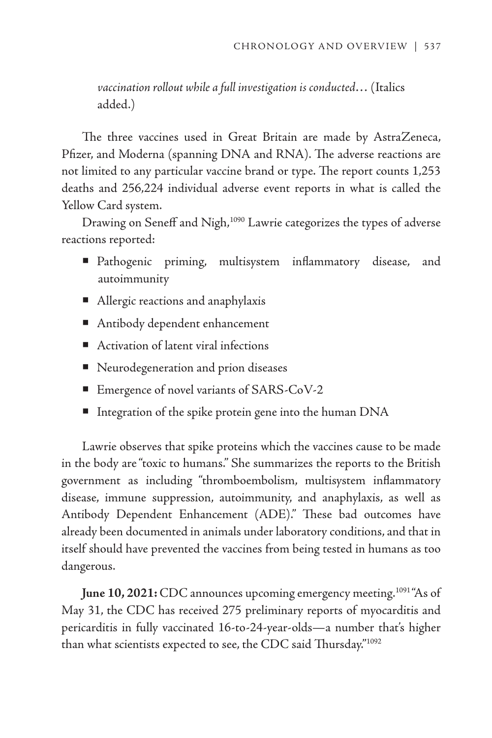*vaccination rollout while a full investigation is conducted…* (Italics added.)

The three vaccines used in Great Britain are made by AstraZeneca, Pfizer, and Moderna (spanning DNA and RNA). The adverse reactions are not limited to any particular vaccine brand or type. The report counts 1,253 deaths and 256,224 individual adverse event reports in what is called the Yellow Card system.

Drawing on Seneff and Nigh,<sup>1090</sup> Lawrie categorizes the types of adverse reactions reported:

- Pathogenic priming, multisystem inflammatory disease, and autoimmunity
- Allergic reactions and anaphylaxis
- Antibody dependent enhancement
- Activation of latent viral infections
- Neurodegeneration and prion diseases
- Emergence of novel variants of SARS-CoV-2
- Integration of the spike protein gene into the human DNA

Lawrie observes that spike proteins which the vaccines cause to be made in the body are "toxic to humans." She summarizes the reports to the British government as including "thromboembolism, multisystem inflammatory disease, immune suppression, autoimmunity, and anaphylaxis, as well as Antibody Dependent Enhancement (ADE)." These bad outcomes have already been documented in animals under laboratory conditions, and that in itself should have prevented the vaccines from being tested in humans as too dangerous.

June 10, 2021: CDC announces upcoming emergency meeting.<sup>1091</sup> "As of May 31, the CDC has received 275 preliminary reports of myocarditis and pericarditis in fully vaccinated 16-to-24-year-olds—a number that's higher than what scientists expected to see, the CDC said Thursday."1092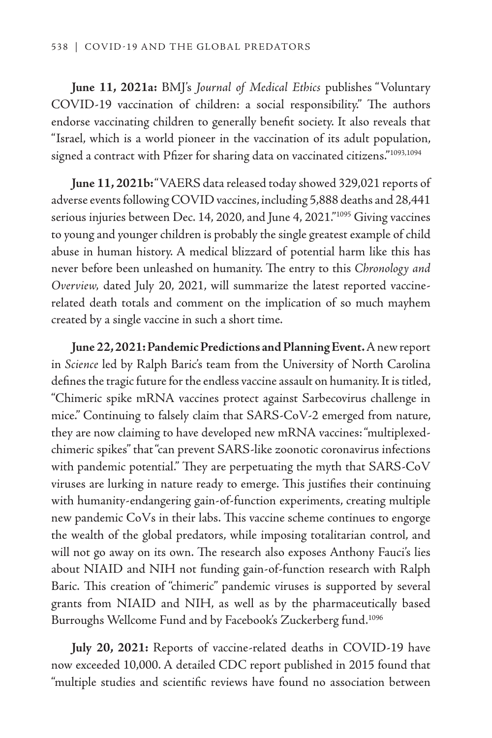**June 11, 2021a:** BMJ's *Journal of Medical Ethics* publishes "Voluntary COVID-19 vaccination of children: a social responsibility." The authors endorse vaccinating children to generally benefit society. It also reveals that "Israel, which is a world pioneer in the vaccination of its adult population, signed a contract with Pfizer for sharing data on vaccinated citizens."1093,1094

June 11, 2021b: "VAERS data released today showed 329,021 reports of adverse events following COVID vaccines, including 5,888 deaths and 28,441 serious injuries between Dec. 14, 2020, and June 4, 2021."<sup>1095</sup> Giving vaccines to young and younger children is probably the single greatest example of child abuse in human history. A medical blizzard of potential harm like this has never before been unleashed on humanity. The entry to this *Chronology and Overview,* dated July 20, 2021, will summarize the latest reported vaccinerelated death totals and comment on the implication of so much mayhem created by a single vaccine in such a short time.

**June 22, 2021: Pandemic Predictions and Planning Event.** A new report in *Science* led by Ralph Baric's team from the University of North Carolina defines the tragic future for the endless vaccine assault on humanity. It is titled, "Chimeric spike mRNA vaccines protect against Sarbecovirus challenge in mice." Continuing to falsely claim that SARS-CoV-2 emerged from nature, they are now claiming to have developed new mRNA vaccines: "multiplexedchimeric spikes" that "can prevent SARS-like zoonotic coronavirus infections with pandemic potential." They are perpetuating the myth that SARS-CoV viruses are lurking in nature ready to emerge. This justifies their continuing with humanity-endangering gain-of-function experiments, creating multiple new pandemic CoVs in their labs. This vaccine scheme continues to engorge the wealth of the global predators, while imposing totalitarian control, and will not go away on its own. The research also exposes Anthony Fauci's lies about NIAID and NIH not funding gain-of-function research with Ralph Baric. This creation of "chimeric" pandemic viruses is supported by several grants from NIAID and NIH, as well as by the pharmaceutically based Burroughs Wellcome Fund and by Facebook's Zuckerberg fund.<sup>1096</sup>

**July 20, 2021:** Reports of vaccine-related deaths in COVID-19 have now exceeded 10,000. A detailed CDC report published in 2015 found that "multiple studies and scientific reviews have found no association between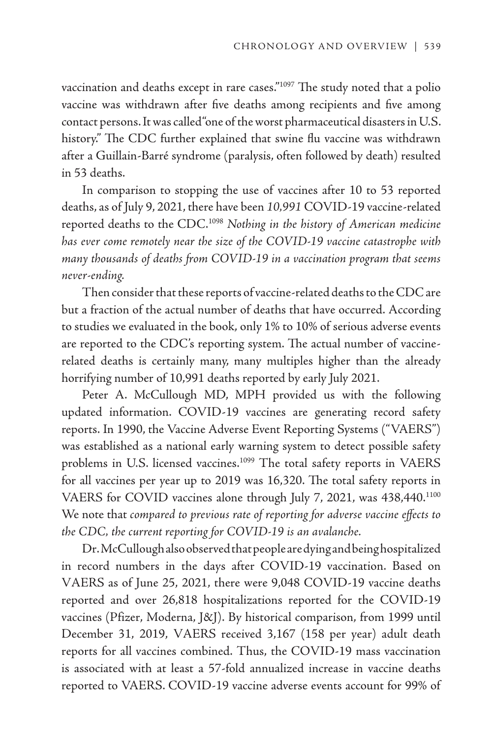vaccination and deaths except in rare cases."<sup>1097</sup> The study noted that a polio vaccine was withdrawn after five deaths among recipients and five among contact persons. It was called "one of the worst pharmaceutical disasters in U.S. history." The CDC further explained that swine flu vaccine was withdrawn after a Guillain-Barré syndrome (paralysis, often followed by death) resulted in 53 deaths.

In comparison to stopping the use of vaccines after 10 to 53 reported deaths, as of July 9, 2021, there have been *10,991* COVID-19 vaccine-related reported deaths to the CDC.1098 *Nothing in the history of American medicine has ever come remotely near the size of the COVID-19 vaccine catastrophe with many thousands of deaths from COVID-19 in a vaccination program that seems never-ending.* 

Then consider that these reports of vaccine-related deaths to the CDC are but a fraction of the actual number of deaths that have occurred. According to studies we evaluated in the book, only 1% to 10% of serious adverse events are reported to the CDC's reporting system. The actual number of vaccinerelated deaths is certainly many, many multiples higher than the already horrifying number of 10,991 deaths reported by early July 2021.

Peter A. McCullough MD, MPH provided us with the following updated information. COVID-19 vaccines are generating record safety reports. In 1990, the Vaccine Adverse Event Reporting Systems ("VAERS") was established as a national early warning system to detect possible safety problems in U.S. licensed vaccines.<sup>1099</sup> The total safety reports in VAERS for all vaccines per year up to 2019 was 16,320. The total safety reports in VAERS for COVID vaccines alone through July 7, 2021, was 438,440.1100 We note that *compared to previous rate of reporting for adverse vaccine effects to the CDC, the current reporting for COVID-19 is an avalanche.* 

Dr. McCullough also observed that people are dying and being hospitalized in record numbers in the days after COVID-19 vaccination. Based on VAERS as of June 25, 2021, there were 9,048 COVID-19 vaccine deaths reported and over 26,818 hospitalizations reported for the COVID-19 vaccines (Pfizer, Moderna, J&J). By historical comparison, from 1999 until December 31, 2019, VAERS received 3,167 (158 per year) adult death reports for all vaccines combined. Thus, the COVID-19 mass vaccination is associated with at least a 57-fold annualized increase in vaccine deaths reported to VAERS. COVID-19 vaccine adverse events account for 99% of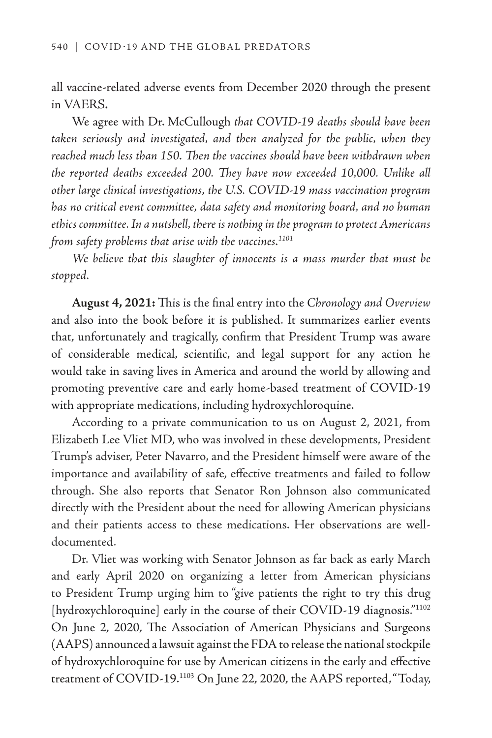all vaccine-related adverse events from December 2020 through the present in VAERS.

We agree with Dr. McCullough *that COVID-19 deaths should have been taken seriously and investigated, and then analyzed for the public, when they reached much less than 150. Then the vaccines should have been withdrawn when the reported deaths exceeded 200. They have now exceeded 10,000. Unlike all other large clinical investigations, the U.S. COVID-19 mass vaccination program has no critical event committee, data safety and monitoring board, and no human ethics committee. In a nutshell, there is nothing in the program to protect Americans from safety problems that arise with the vaccines.1101*

*We believe that this slaughter of innocents is a mass murder that must be stopped.* 

**August 4, 2021:** This is the final entry into the *Chronology and Overview*  and also into the book before it is published. It summarizes earlier events that, unfortunately and tragically, confirm that President Trump was aware of considerable medical, scientific, and legal support for any action he would take in saving lives in America and around the world by allowing and promoting preventive care and early home-based treatment of COVID-19 with appropriate medications, including hydroxychloroquine.

According to a private communication to us on August 2, 2021, from Elizabeth Lee Vliet MD, who was involved in these developments, President Trump's adviser, Peter Navarro, and the President himself were aware of the importance and availability of safe, effective treatments and failed to follow through. She also reports that Senator Ron Johnson also communicated directly with the President about the need for allowing American physicians and their patients access to these medications. Her observations are welldocumented.

Dr. Vliet was working with Senator Johnson as far back as early March and early April 2020 on organizing a letter from American physicians to President Trump urging him to "give patients the right to try this drug [hydroxychloroquine] early in the course of their COVID-19 diagnosis."<sup>1102</sup> On June 2, 2020, The Association of American Physicians and Surgeons (AAPS) announced a lawsuit against the FDA to release the national stockpile of hydroxychloroquine for use by American citizens in the early and effective treatment of COVID-19.1103 On June 22, 2020, the AAPS reported, "Today,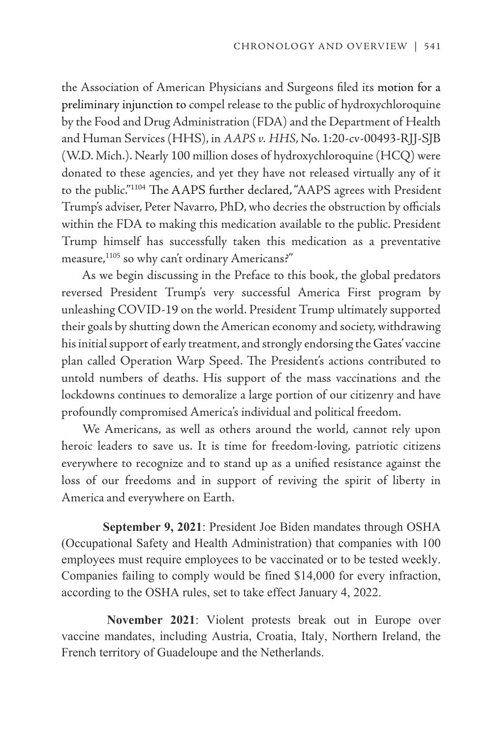the Association of American Physicians and Surgeons filed its motion for a preliminary injunction to compel release to the public of hydroxychloroquine by the Food and Drug Administration (FDA) and the Department of Health and Human Services (HHS), in *AAPS v. HHS*, No. 1:20-cv-00493-RJJ-SJB (W.D. Mich.). Nearly 100 million doses of hydroxychloroquine (HCQ) were donated to these agencies, and yet they have not released virtually any of it to the public." <sup>1104</sup> The AAPS further declared,"AAPS agrees with President Trump's adviser, Peter Navarro, PhD, who decries the obstruction by officials within the FDA to making this medication available to the public. President Trump himself has successfully taken this medication as a preventative measure,<sup>1105</sup> so why can't ordinary Americans?"

As we begin discussing in the Preface to this book, the global predators reversed President Trump's very successful America First program by unleashing COVID-19 on the world. President Trump ultimately supported their goals by shutting down the American economy and society, withdrawing his initial support of early treatment, and strongly endorsing the Gates' vaccine plan called Operation Warp Speed. The President's actions contributed to untold numbers of deaths. His support of the mass vaccinations and the lockdowns continues to demoralize a large portion of our citizenry and have profoundly compromised America's individual and political freedom.

We Americans, as well as others around the world, cannot rely upon heroic leaders to save us. It is time for freedom-loving, patriotic citizens everywhere to recognize and to stand up as a unified resistance against the loss of our freedoms and in support of reviving the spirit of liberty in America and everywhere on Earth.

**September 9, 2021**: President Joe Biden mandates through OSHA (Occupational Safety and Health Administration) that companies with 100 employees must require employees to be vaccinated or to be tested weekly. Companies failing to comply would be fined \$14,000 for every infraction, according to the OSHA rules, set to take effect January 4, 2022.

**November 2021**: Violent protests break out in Europe over vaccine mandates, including Austria, Croatia, Italy, Northern Ireland, the French territory of Guadeloupe and the Netherlands.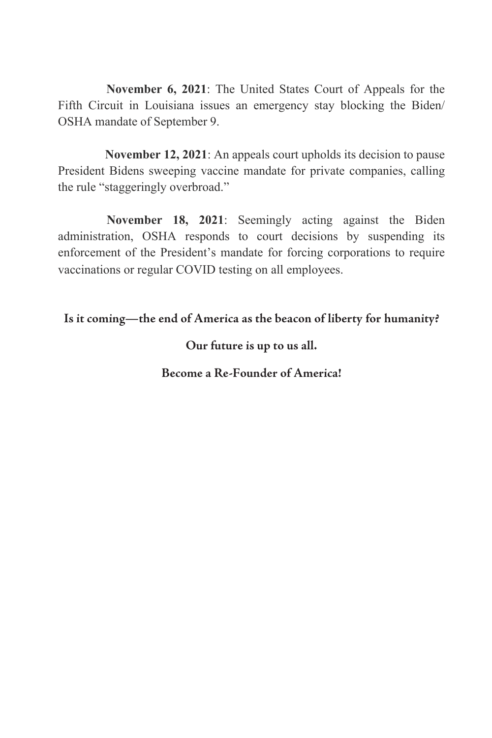**November 6, 2021**: The United States Court of Appeals for the Fifth Circuit in Louisiana issues an emergency stay blocking the Biden/ OSHA mandate of September 9.

 **November 12, 2021**: An appeals court upholds its decision to pause President Bidens sweeping vaccine mandate for private companies, calling the rule "staggeringly overbroad."

**November 18, 2021**: Seemingly acting against the Biden administration, OSHA responds to court decisions by suspending its enforcement of the President's mandate for forcing corporations to require vaccinations or regular COVID testing on all employees.

**Is it coming—the end of America as the beacon of liberty for humanity?**

**Our future is up to us all.**

**Become a Re-Founder of America!**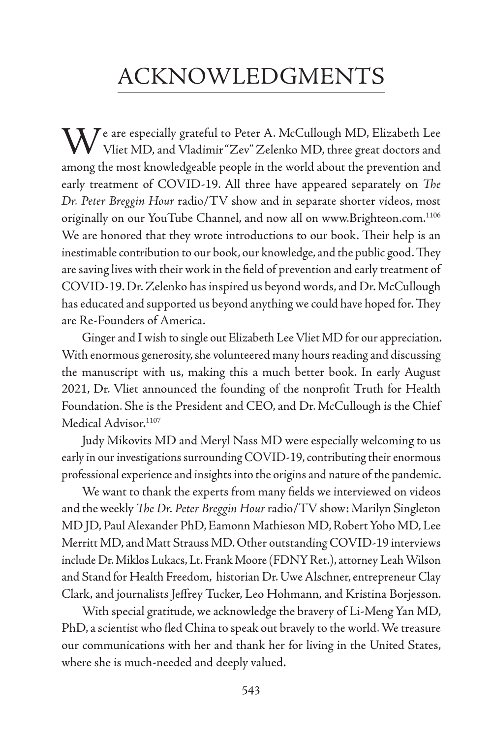# ACKNOWLEDGMENTS

 $\mathbf{W}^{\epsilon}$  are especially grateful to Peter A. McCullough MD, Elizabeth Lee Vliet MD, and Vladimir "Zev" Zelenko MD, three great doctors and among the most knowledgeable people in the world about the prevention and early treatment of COVID-19. All three have appeared separately on *The Dr. Peter Breggin Hour* radio/TV show and in separate shorter videos, most originally on our YouTube Channel, and now all on www.Brighteon.com. 1106 We are honored that they wrote introductions to our book. Their help is an inestimable contribution to our book, our knowledge, and the public good. They are saving lives with their work in the field of prevention and early treatment of COVID-19. Dr. Zelenko has inspired us beyond words, and Dr. McCullough has educated and supported us beyond anything we could have hoped for. They are Re-Founders of America.

Ginger and I wish to single out Elizabeth Lee Vliet MD for our appreciation. With enormous generosity, she volunteered many hours reading and discussing the manuscript with us, making this a much better book. In early August 2021, Dr. Vliet announced the founding of the nonprofit Truth for Health Foundation. She is the President and CEO, and Dr. McCullough is the Chief Medical Advisor.<sup>1107</sup>

Judy Mikovits MD and Meryl Nass MD were especially welcoming to us early in our investigations surrounding COVID-19, contributing their enormous professional experience and insights into the origins and nature of the pandemic.

We want to thank the experts from many fields we interviewed on videos and the weekly *The Dr. Peter Breggin Hour* radio/TV show: Marilyn Singleton MD JD, Paul Alexander PhD, Eamonn Mathieson MD, Robert Yoho MD, Lee Merritt MD, and Matt Strauss MD. Other outstanding COVID-19 interviews include Dr. Miklos Lukacs, Lt. Frank Moore (FDNY Ret.), attorney Leah Wilson and Stand for Health Freedom, historian Dr. Uwe Alschner, entrepreneur Clay Clark, and journalists Jeffrey Tucker, Leo Hohmann, and Kristina Borjesson.

With special gratitude, we acknowledge the bravery of Li-Meng Yan MD, PhD, a scientist who fled China to speak out bravely to the world. We treasure our communications with her and thank her for living in the United States, where she is much-needed and deeply valued.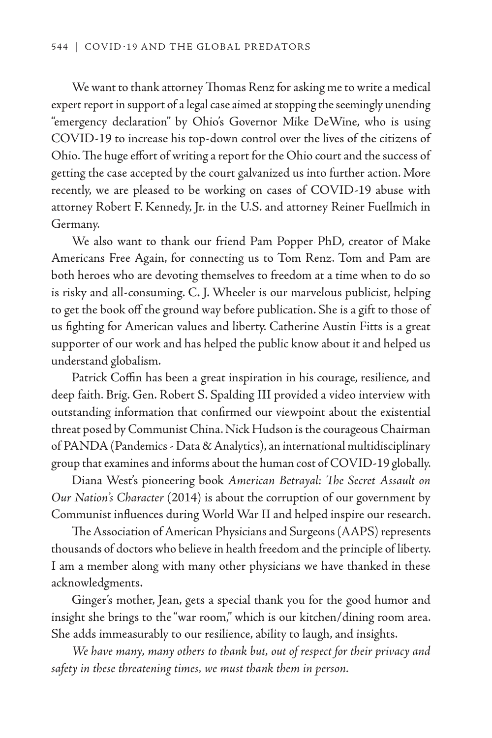We want to thank attorney Thomas Renz for asking me to write a medical expert report in support of a legal case aimed at stopping the seemingly unending "emergency declaration" by Ohio's Governor Mike DeWine, who is using COVID-19 to increase his top-down control over the lives of the citizens of Ohio. The huge effort of writing a report for the Ohio court and the success of getting the case accepted by the court galvanized us into further action. More recently, we are pleased to be working on cases of COVID-19 abuse with attorney Robert F. Kennedy, Jr. in the U.S. and attorney Reiner Fuellmich in Germany.

We also want to thank our friend Pam Popper PhD, creator of Make Americans Free Again, for connecting us to Tom Renz. Tom and Pam are both heroes who are devoting themselves to freedom at a time when to do so is risky and all-consuming. C. J. Wheeler is our marvelous publicist, helping to get the book off the ground way before publication. She is a gift to those of us fighting for American values and liberty. Catherine Austin Fitts is a great supporter of our work and has helped the public know about it and helped us understand globalism.

Patrick Coffin has been a great inspiration in his courage, resilience, and deep faith. Brig. Gen. Robert S. Spalding III provided a video interview with outstanding information that confirmed our viewpoint about the existential threat posed by Communist China. Nick Hudson is the courageous Chairman of PANDA (Pandemics - Data & Analytics), an international multidisciplinary group that examines and informs about the human cost of COVID-19 globally.

Diana West's pioneering book *American Betrayal: The Secret Assault on Our Nation's Character* (2014) is about the corruption of our government by Communist influences during World War II and helped inspire our research.

The Association of American Physicians and Surgeons (AAPS) represents thousands of doctors who believe in health freedom and the principle of liberty. I am a member along with many other physicians we have thanked in these acknowledgments.

Ginger's mother, Jean, gets a special thank you for the good humor and insight she brings to the "war room," which is our kitchen/dining room area. She adds immeasurably to our resilience, ability to laugh, and insights.

*We have many, many others to thank but, out of respect for their privacy and safety in these threatening times, we must thank them in person.*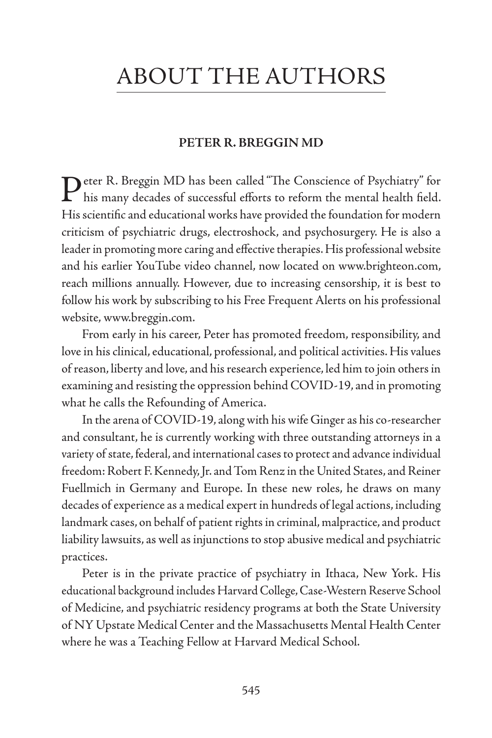# ABOUT THE AUTHORS

### **PETER R. BREGGIN MD**

Peter R. Breggin MD has been called "The Conscience of Psychiatry" for his many decades of successful efforts to reform the mental health field. His scientific and educational works have provided the foundation for modern criticism of psychiatric drugs, electroshock, and psychosurgery. He is also a leader in promoting more caring and effective therapies. His professional website and his earlier YouTube video channel, now located on www.brighteon.com, reach millions annually. However, due to increasing censorship, it is best to follow his work by subscribing to his Free Frequent Alerts on his professional website, www.breggin.com.

From early in his career, Peter has promoted freedom, responsibility, and love in his clinical, educational, professional, and political activities. His values of reason, liberty and love, and his research experience, led him to join others in examining and resisting the oppression behind COVID-19, and in promoting what he calls the Refounding of America.

In the arena of COVID-19, along with his wife Ginger as his co-researcher and consultant, he is currently working with three outstanding attorneys in a variety of state, federal, and international cases to protect and advance individual freedom: Robert F. Kennedy, Jr. and Tom Renz in the United States, and Reiner Fuellmich in Germany and Europe. In these new roles, he draws on many decades of experience as a medical expert in hundreds of legal actions, including landmark cases, on behalf of patient rights in criminal, malpractice, and product liability lawsuits, as well as injunctions to stop abusive medical and psychiatric practices.

Peter is in the private practice of psychiatry in Ithaca, New York. His educational background includes Harvard College, Case-Western Reserve School of Medicine, and psychiatric residency programs at both the State University of NY Upstate Medical Center and the Massachusetts Mental Health Center where he was a Teaching Fellow at Harvard Medical School.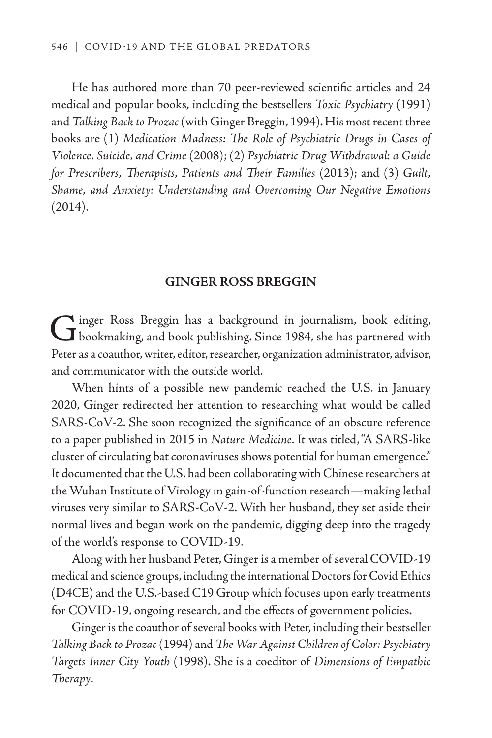He has authored more than 70 peer-reviewed scientific articles and 24 medical and popular books, including the bestsellers *Toxic Psychiatry* (1991) and *Talking Back to Prozac* (with Ginger Breggin, 1994). His most recent three books are (1) *Medication Madness: The Role of Psychiatric Drugs in Cases of Violence, Suicide, and Crime* (2008); (2) *Psychiatric Drug Withdrawal: a Guide for Prescribers, Therapists, Patients and Their Families* (2013); and (3) *Guilt, Shame, and Anxiety: Understanding and Overcoming Our Negative Emotions* (2014).

### **GINGER ROSS BREGGIN**

Ginger Ross Breggin has a background in journalism, book editing,  $\bigcup$  bookmaking, and book publishing. Since 1984, she has partnered with Peter as a coauthor, writer, editor, researcher, organization administrator, advisor, and communicator with the outside world.

When hints of a possible new pandemic reached the U.S. in January 2020, Ginger redirected her attention to researching what would be called SARS-CoV-2. She soon recognized the significance of an obscure reference to a paper published in 2015 in *Nature Medicine*. It was titled, "A SARS-like cluster of circulating bat coronaviruses shows potential for human emergence." It documented that the U.S. had been collaborating with Chinese researchers at the Wuhan Institute of Virology in gain-of-function research—making lethal viruses very similar to SARS-CoV-2. With her husband, they set aside their normal lives and began work on the pandemic, digging deep into the tragedy of the world's response to COVID-19.

Along with her husband Peter, Ginger is a member of several COVID-19 medical and science groups, including the international Doctors for Covid Ethics (D4CE) and the U.S.-based C19 Group which focuses upon early treatments for COVID-19, ongoing research, and the effects of government policies.

Ginger is the coauthor of several books with Peter, including their bestseller *Talking Back to Prozac* (1994) and *The War Against Children of Color: Psychiatry Targets Inner City Youth* (1998). She is a coeditor of *Dimensions of Empathic Therapy*.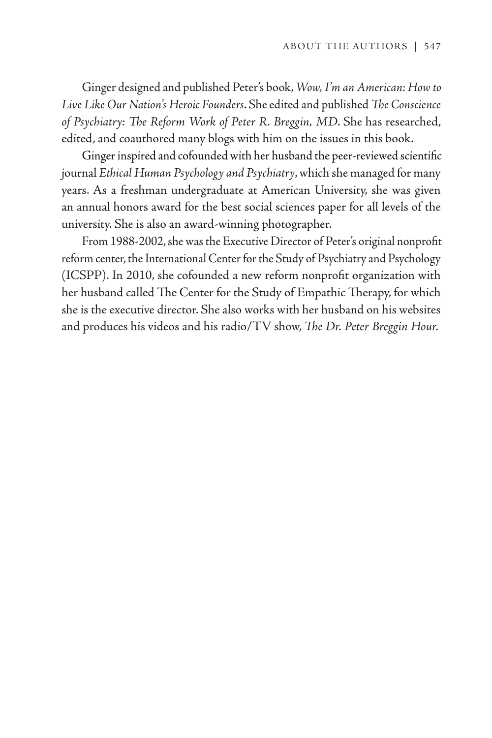Ginger designed and published Peter's book, *Wow, I'm an American: How to Live Like Our Nation's Heroic Founders*. She edited and published *The Conscience of Psychiatry: The Reform Work of Peter R. Breggin, MD*. She has researched, edited, and coauthored many blogs with him on the issues in this book.

Ginger inspired and cofounded with her husband the peer-reviewed scientific journal *Ethical Human Psychology and Psychiatry*, which she managed for many years. As a freshman undergraduate at American University, she was given an annual honors award for the best social sciences paper for all levels of the university. She is also an award-winning photographer.

From 1988-2002, she was the Executive Director of Peter's original nonprofit reform center, the International Center for the Study of Psychiatry and Psychology (ICSPP). In 2010, she cofounded a new reform nonprofit organization with her husband called The Center for the Study of Empathic Therapy, for which she is the executive director. She also works with her husband on his websites and produces his videos and his radio/TV show, *The Dr. Peter Breggin Hour.*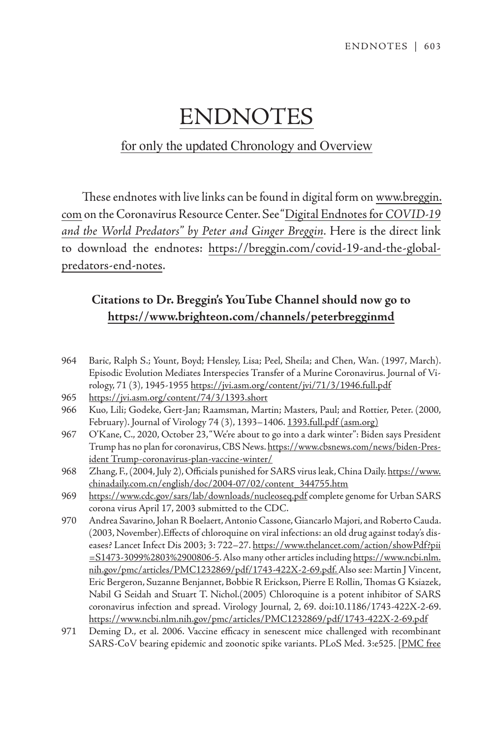# ENDNOTES

## for only the updated Chronology and Overview

These endnotes with live links can be found in digital form on www.breggin. com on the Coronavirus Resource Center. See"Digital Endnotes for *COVID-19 and the World Predators" by Peter and Ginger Breggin.* Here is the direct link to download the endnotes: https://breggin.com/covid-19-and-the-globalpredators-end-notes.

## **Citations to Dr. Breggin's YouTube Channel should now go to https://www.brighteon.com/channels/peterbregginmd**

- 964 Baric, Ralph S.; Yount, Boyd; Hensley, Lisa; Peel, Sheila; and Chen, Wan. (1997, March). Episodic Evolution Mediates Interspecies Transfer of a Murine Coronavirus. Journal of Virology, 71 (3), 1945-1955 https://jvi.asm.org/content/jvi/71/3/1946.full.pdf
- 965 https://jvi.asm.org/content/74/3/1393.short
- 966 Kuo, Lili; Godeke, Gert-Jan; Raamsman, Martin; Masters, Paul; and Rottier, Peter. (2000, February). Journal of Virology 74 (3), 1393–1406. 1393.full.pdf (asm.org)
- 967 O'Kane, C., 2020, October 23, "We're about to go into a dark winter": Biden says President Trump has no plan for coronavirus, CBS News. https://www.cbsnews.com/news/biden-President Trump-coronavirus-plan-vaccine-winter/
- 968 Zhang, F., (2004, July 2), Officials punished for SARS virus leak, China Daily. https://www. chinadaily.com.cn/english/doc/2004-07/02/content\_344755.htm
- 969 https://www.cdc.gov/sars/lab/downloads/nucleoseq.pdf complete genome for Urban SARS corona virus April 17, 2003 submitted to the CDC.
- 970 Andrea Savarino, Johan R Boelaert, Antonio Cassone, Giancarlo Majori, and Roberto Cauda. (2003, November).Effects of chloroquine on viral infections: an old drug against today's diseases? Lancet Infect Dis 2003; 3: 722-27. https://www.thelancet.com/action/showPdf?pii  $=$ S1473-3099%2803%2900806-5. Also many other articles including https://www.ncbi.nlm. nih.gov/pmc/articles/PMC1232869/pdf/1743-422X-2-69.pdf. Also see: Martin J Vincent, Eric Bergeron, Suzanne Benjannet, Bobbie R Erickson, Pierre E Rollin, Thomas G Ksiazek, Nabil G Seidah and Stuart T. Nichol.(2005) Chloroquine is a potent inhibitor of SARS coronavirus infection and spread. Virology Journal, 2, 69. doi:10.1186/1743-422X-2-69. https://www.ncbi.nlm.nih.gov/pmc/articles/PMC1232869/pdf/1743-422X-2-69.pdf
- 971 Deming D., et al. 2006. Vaccine efficacy in senescent mice challenged with recombinant SARS-CoV bearing epidemic and zoonotic spike variants. PLoS Med. 3:e525. [PMC free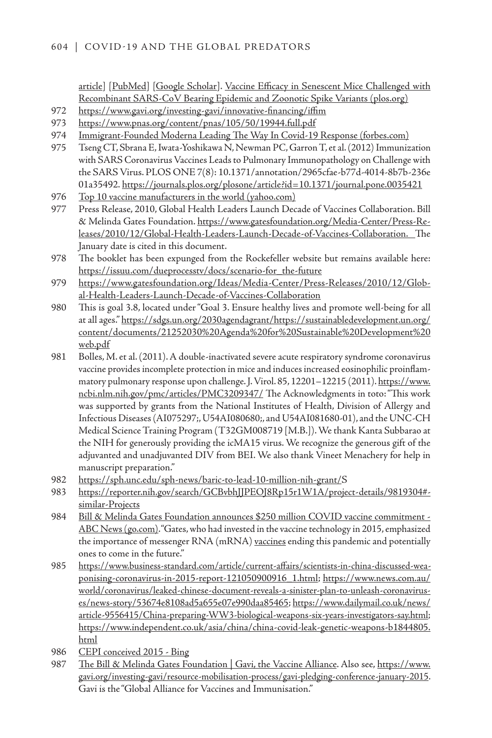article] [PubMed] [Google Scholar]. Vaccine Efficacy in Senescent Mice Challenged with Recombinant SARS-CoV Bearing Epidemic and Zoonotic Spike Variants (plos.org)

- 972 https://www.gavi.org/investing-gavi/innovative-financing/iffim
- 973 https://www.pnas.org/content/pnas/105/50/19944.full.pdf
- 974 Immigrant-Founded Moderna Leading The Way In Covid-19 Response (forbes.com)
- 975 Tseng CT, Sbrana E, Iwata-Yoshikawa N, Newman PC, Garron T, et al. (2012) Immunization with SARS Coronavirus Vaccines Leads to Pulmonary Immunopathology on Challenge with the SARS Virus. PLOS ONE 7(8): 10.1371/annotation/2965cfae-b77d-4014-8b7b-236e 01a35492. https://journals.plos.org/plosone/article?id=10.1371/journal.pone.0035421
- 976 Top 10 vaccine manufacturers in the world (yahoo.com)
- 977 Press Release, 2010, Global Health Leaders Launch Decade of Vaccines Collaboration. Bill & Melinda Gates Foundation. https://www.gatesfoundation.org/Media-Center/Press-Releases/2010/12/Global-Health-Leaders-Launch-Decade-of-Vaccines-Collaboration. The January date is cited in this document.
- 978 The booklet has been expunged from the Rockefeller website but remains available here: https://issuu.com/dueprocesstv/docs/scenario-for\_the-future
- 979 https://www.gatesfoundation.org/Ideas/Media-Center/Press-Releases/2010/12/Global-Health-Leaders-Launch-Decade-of-Vaccines-Collaboration
- 980 This is goal 3.8, located under "Goal 3. Ensure healthy lives and promote well-being for all at all ages." https://sdgs.un.org/2030agendagrant/https://sustainabledevelopment.un.org/ content/documents/21252030%20Agenda%20for%20Sustainable%20Development%20 web.pdf
- 981 Bolles, M. et al. (2011). A double-inactivated severe acute respiratory syndrome coronavirus vaccine provides incomplete protection in mice and induces increased eosinophilic proinflammatory pulmonary response upon challenge. J. Virol. 85, 12201–12215 (2011). https://www. ncbi.nlm.nih.gov/pmc/articles/PMC3209347/ The Acknowledgments in toto: "This work was supported by grants from the National Institutes of Health, Division of Allergy and Infectious Diseases (AI075297;, U54AI080680;, and U54AI081680-01), and the UNC-CH Medical Science Training Program (T32GM008719 [M.B.]). We thank Kanta Subbarao at the NIH for generously providing the icMA15 virus. We recognize the generous gift of the adjuvanted and unadjuvanted DIV from BEI. We also thank Vineet Menachery for help in manuscript preparation."
- 982 https://sph.unc.edu/sph-news/baric-to-lead-10-million-nih-grant/S
- 983 https://reporter.nih.gov/search/GCBvbhJJPEOJ8Rp15r1W1A/project-details/9819304#similar-Projects
- 984 Bill & Melinda Gates Foundation announces \$250 million COVID vaccine commitment ABC News (go.com). "Gates, who had invested in the vaccine technology in 2015, emphasized the importance of messenger RNA (mRNA) vaccines ending this pandemic and potentially ones to come in the future."
- 985 https://www.business-standard.com/article/current-affairs/scientists-in-china-discussed-weaponising-coronavirus-in-2015-report-121050900916\_1.html; https://www.news.com.au/ world/coronavirus/leaked-chinese-document-reveals-a-sinister-plan-to-unleash-coronaviruses/news-story/53674e8108ad5a655e07e990daa85465; https://www.dailymail.co.uk/news/ article-9556415/China-preparing-WW3-biological-weapons-six-years-investigators-say.html; https://www.independent.co.uk/asia/china/china-covid-leak-genetic-weapons-b1844805. html
- 986 CEPI conceived 2015 Bing
- 987 The Bill & Melinda Gates Foundation | Gavi, the Vaccine Alliance. Also see, https://www. gavi.org/investing-gavi/resource-mobilisation-process/gavi-pledging-conference-january-2015. Gavi is the "Global Alliance for Vaccines and Immunisation."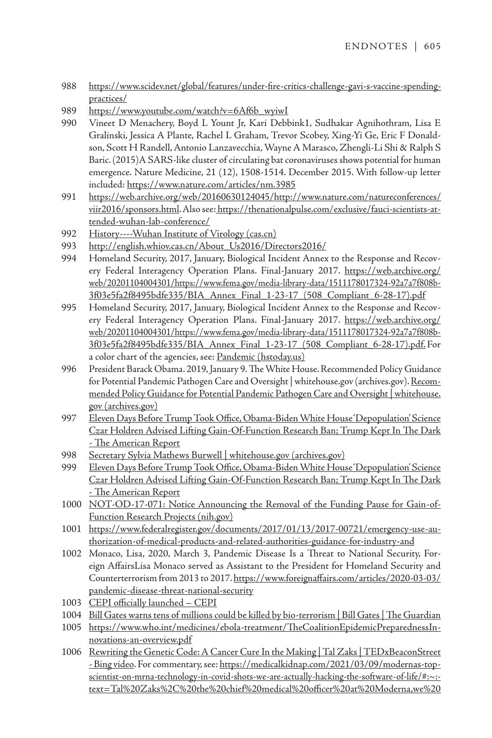- 988 https://www.scidev.net/global/features/under-fire-critics-challenge-gavi-s-vaccine-spendingpractices/
- 989 https://www.youtube.com/watch?v=6Af6b\_wyiwI
- 990 Vineet D Menachery, Boyd L Yount Jr, Kari Debbink1, Sudhakar Agnihothram, Lisa E Gralinski, Jessica A Plante, Rachel L Graham, Trevor Scobey, Xing-Yi Ge, Eric F Donaldson, Scott H Randell, Antonio Lanzavecchia, Wayne A Marasco, Zhengli-Li Shi & Ralph S Baric. (2015)A SARS-like cluster of circulating bat coronaviruses shows potential for human emergence. Nature Medicine, 21 (12), 1508-1514. December 2015. With follow-up letter included: https://www.nature.com/articles/nm.3985
- 991 https://web.archive.org/web/20160630124045/http://www.nature.com/natureconferences/ viir2016/sponsors.html. Also see: https://thenationalpulse.com/exclusive/fauci-scientists-attended-wuhan-lab-conference/
- 992 History----Wuhan Institute of Virology (cas.cn)
- 993 http://english.whiov.cas.cn/About\_Us2016/Directors2016/
- 994 Homeland Security, 2017, January, Biological Incident Annex to the Response and Recovery Federal Interagency Operation Plans. Final-January 2017. https://web.archive.org/ web/20201104004301/https://www.fema.gov/media-library-data/1511178017324-92a7a7f808b-3f03e5fa2f8495bdfe335/BIA\_Annex\_Final\_1-23-17\_(508\_Compliant\_6-28-17).pdf
- 995 Homeland Security, 2017, January, Biological Incident Annex to the Response and Recovery Federal Interagency Operation Plans. Final-January 2017. https://web.archive.org/ web/20201104004301/https://www.fema.gov/media-library-data/1511178017324-92a7a7f808b-3f03e5fa2f8495bdfe335/BIA\_Annex\_Final\_1-23-17\_(508\_Compliant\_6-28-17).pdf. For a color chart of the agencies, see: Pandemic (hstoday.us)
- 996 President Barack Obama. 2019, January 9. The White House. Recommended Policy Guidance for Potential Pandemic Pathogen Care and Oversight | whitehouse.gov (archives.gov). Recommended Policy Guidance for Potential Pandemic Pathogen Care and Oversight | whitehouse. gov (archives.gov)
- 997 Eleven Days Before Trump Took Office, Obama-Biden White House 'Depopulation' Science Czar Holdren Advised Lifting Gain-Of-Function Research Ban; Trump Kept In The Dark - The American Report
- 998 Secretary Sylvia Mathews Burwell | whitehouse.gov (archives.gov)
- 999 Eleven Days Before Trump Took Office, Obama-Biden White House 'Depopulation' Science Czar Holdren Advised Lifting Gain-Of-Function Research Ban; Trump Kept In The Dark - The American Report
- 1000 NOT-OD-17-071: Notice Announcing the Removal of the Funding Pause for Gain-of-Function Research Projects (nih.gov)
- 1001 https://www.federalregister.gov/documents/2017/01/13/2017-00721/emergency-use-authorization-of-medical-products-and-related-authorities-guidance-for-industry-and
- 1002 Monaco, Lisa, 2020, March 3, Pandemic Disease Is a Threat to National Security, Foreign AffairsLisa Monaco served as Assistant to the President for Homeland Security and Counterterrorism from 2013 to 2017. https://www.foreignaffairs.com/articles/2020-03-03/ pandemic-disease-threat-national-security
- 1003 CEPI officially launched CEPI
- 1004 Bill Gates warns tens of millions could be killed by bio-terrorism | Bill Gates | The Guardian
- 1005 https://www.who.int/medicines/ebola-treatment/TheCoalitionEpidemicPreparednessInnovations-an-overview.pdf
- 1006 Rewriting the Genetic Code: A Cancer Cure In the Making | Tal Zaks | TEDxBeaconStreet - Bing video. For commentary, see: https://medicalkidnap.com/2021/03/09/modernas-topscientist-on-mrna-technology-in-covid-shots-we-are-actually-hacking-the-software-of-life/#:~: text=Tal%20Zaks%2C%20the%20chief%20medical%20officer%20at%20Moderna,we%20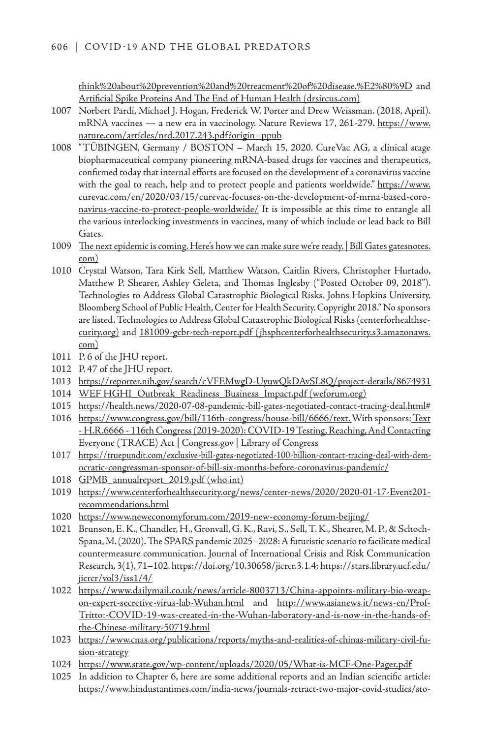think%20about%20prevention%20and%20treatment%20of%20disease.%E2%80%9D and Artificial Spike Proteins And The End of Human Health (drsircus.com)

- 1007 Norbert Pardi, Michael J. Hogan, Frederick W. Porter and Drew Weissman. (2018, April). mRNA vaccines — a new era in vaccinology. Nature Reviews 17, 261-279. https://www. nature.com/articles/nrd.2017.243.pdf?origin=ppub
- 1008 "TÜBINGEN, Germany / BOSTON March 15, 2020. CureVac AG, a clinical stage biopharmaceutical company pioneering mRNA-based drugs for vaccines and therapeutics, confirmed today that internal efforts are focused on the development of a coronavirus vaccine with the goal to reach, help and to protect people and patients worldwide." https://www. curevac.com/en/2020/03/15/curevac-focuses-on-the-development-of-mrna-based-coronavirus-vaccine-to-protect-people-worldwide/ It is impossible at this time to entangle all the various interlocking investments in vaccines, many of which include or lead back to Bill Gates.
- 1009 The next epidemic is coming. Here's how we can make sure we're ready. | Bill Gates gatesnotes. com)
- 1010 Crystal Watson, Tara Kirk Sell, Matthew Watson, Caitlin Rivers, Christopher Hurtado, Matthew P. Shearer, Ashley Geleta, and Thomas Inglesby ("Posted October 09, 2018"). Technologies to Address Global Catastrophic Biological Risks. Johns Hopkins University, Bloomberg School of Public Health, Center for Health Security. Copyright 2018." No sponsors are listed. Technologies to Address Global Catastrophic Biological Risks (centerforhealthsecurity.org) and 181009-gcbr-tech-report.pdf (jhsphcenterforhealthsecurity.s3.amazonaws. com)
- 1011 P. 6 of the JHU report.
- 1012 P. 47 of the JHU report.
- 1013 https://reporter.nih.gov/search/cVFEMwgD-UyuwQkDAvSL8Q/project-details/8674931
- 1014 WEF HGHI\_Outbreak\_Readiness\_Business\_Impact.pdf (weforum.org)
- 1015 https://health.news/2020-07-08-pandemic-bill-gates-negotiated-contact-tracing-deal.html#
- 1016 https://www.congress.gov/bill/116th-congress/house-bill/6666/text. With sponsors: Text - H.R.6666 - 116th Congress (2019-2020): COVID-19 Testing, Reaching, And Contacting Everyone (TRACE) Act | Congress.gov | Library of Congress
- 1017 https://truepundit.com/exclusive-bill-gates-negotiated-100-billion-contact-tracing-deal-with-democratic-congressman-sponsor-of-bill-six-months-before-coronavirus-pandemic/
- 1018 GPMB annualreport 2019.pdf (who.int)
- 1019 https://www.centerforhealthsecurity.org/news/center-news/2020/2020-01-17-Event201 recommendations.html
- 1020 https://www.neweconomyforum.com/2019-new-economy-forum-beijing/
- 1021 Brunson, E. K., Chandler, H., Gronvall, G. K., Ravi, S., Sell, T. K., Shearer, M. P., & Schoch-Spana, M. (2020). The SPARS pandemic 2025–2028: A futuristic scenario to facilitate medical countermeasure communication. Journal of International Crisis and Risk Communication Research, 3(1), 71–102. https://doi.org/10.30658/jicrcr.3.1.4; https://stars.library.ucf.edu/ jicrcr/vol3/iss1/4/
- 1022 https://www.dailymail.co.uk/news/article-8003713/China-appoints-military-bio-weapon-expert-secretive-virus-lab-Wuhan.html and http://www.asianews.it/news-en/Prof-Tritto:-COVID-19-was-created-in-the-Wuhan-laboratory-and-is-now-in-the-hands-ofthe-Chinese-military-50719.html
- 1023 https://www.cnas.org/publications/reports/myths-and-realities-of-chinas-military-civil-fusion-strategy
- 1024 https://www.state.gov/wp-content/uploads/2020/05/What-is-MCF-One-Pager.pdf
- 1025 In addition to Chapter 6, here are some additional reports and an Indian scientific article: https://www.hindustantimes.com/india-news/journals-retract-two-major-covid-studies/sto-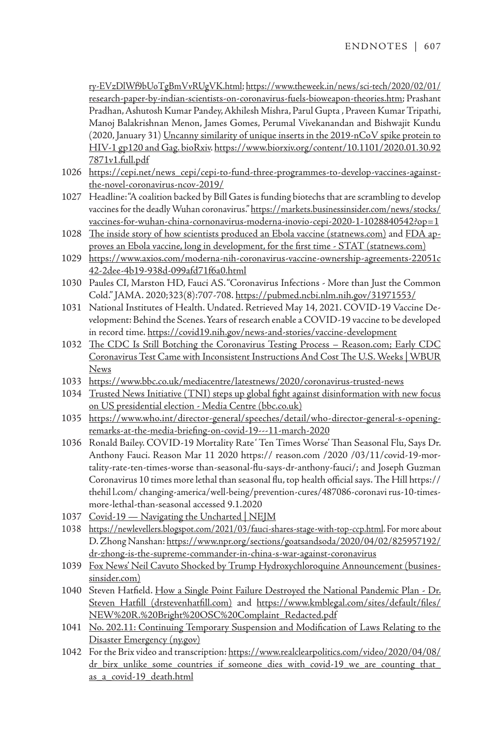ry-EVzDlWf9bUoTgBmVvRUgVK.html; https://www.theweek.in/news/sci-tech/2020/02/01/ research-paper-by-indian-scientists-on-coronavirus-fuels-bioweapon-theories.htm; Prashant Pradhan, Ashutosh Kumar Pandey, Akhilesh Mishra, Parul Gupta , Praveen Kumar Tripathi, Manoj Balakrishnan Menon, James Gomes, Perumal Vivekanandan and Bishwajit Kundu (2020, January 31) Uncanny similarity of unique inserts in the 2019-nCoV spike protein to HIV-1 gp120 and Gag. bioRxiv. https://www.biorxiv.org/content/10.1101/2020.01.30.92 7871v1.full.pdf

- 1026 https://cepi.net/news\_cepi/cepi-to-fund-three-programmes-to-develop-vaccines-againstthe-novel-coronavirus-ncov-2019/
- 1027 Headline: "A coalition backed by Bill Gates is funding biotechs that are scrambling to develop vaccines for the deadly Wuhan coronavirus." https://markets.businessinsider.com/news/stocks/ vaccines-for-wuhan-china-cornonavirus-moderna-inovio-cepi-2020-1-1028840542?op=1
- 1028 The inside story of how scientists produced an Ebola vaccine (statnews.com) and FDA approves an Ebola vaccine, long in development, for the first time - STAT (statnews.com)
- 1029 https://www.axios.com/moderna-nih-coronavirus-vaccine-ownership-agreements-22051c 42-2dee-4b19-938d-099afd71f6a0.html
- 1030 Paules CI, Marston HD, Fauci AS. "Coronavirus Infections More than Just the Common Cold." JAMA. 2020;323(8):707-708. https://pubmed.ncbi.nlm.nih.gov/31971553/
- 1031 National Institutes of Health. Undated. Retrieved May 14, 2021. COVID-19 Vaccine Development: Behind the Scenes. Years of research enable a COVID-19 vaccine to be developed in record time. https://covid19.nih.gov/news-and-stories/vaccine-development
- 1032 The CDC Is Still Botching the Coronavirus Testing Process Reason.com; Early CDC Coronavirus Test Came with Inconsistent Instructions And Cost The U.S. Weeks | WBUR News
- 1033 https://www.bbc.co.uk/mediacentre/latestnews/2020/coronavirus-trusted-news
- 1034 Trusted News Initiative (TNI) steps up global fight against disinformation with new focus on US presidential election - Media Centre (bbc.co.uk)
- 1035 https://www.who.int/director-general/speeches/detail/who-director-general-s-openingremarks-at-the-media-briefing-on-covid-19---11-march-2020
- 1036 Ronald Bailey. COVID-19 Mortality Rate ' Ten Times Worse' Than Seasonal Flu, Says Dr. Anthony Fauci. Reason Mar 11 2020 https:// reason.com /2020 /03/11/covid-19-mortality-rate-ten-times-worse than-seasonal-flu-says-dr-anthony-fauci/; and Joseph Guzman Coronavirus 10 times more lethal than seasonal flu, top health official says. The Hill https:// thehil l.com/ changing-america/well-being/prevention-cures/487086-coronavi rus-10-timesmore-lethal-than-seasonal accessed 9.1.2020
- 1037 Covid-19 Navigating the Uncharted | NEJM
- 1038 https://newlevellers.blogspot.com/2021/03/fauci-shares-stage-with-top-ccp.html. For more about D. Zhong Nanshan: https://www.npr.org/sections/goatsandsoda/2020/04/02/825957192/ dr-zhong-is-the-supreme-commander-in-china-s-war-against-coronavirus
- 1039 Fox News' Neil Cavuto Shocked by Trump Hydroxychloroquine Announcement (businessinsider.com)
- 1040 Steven Hatfield. How a Single Point Failure Destroyed the National Pandemic Plan Dr. Steven Hatfill (drstevenhatfill.com) and https://www.kmblegal.com/sites/default/files/ NEW%20R.%20Bright%20OSC%20Complaint\_Redacted.pdf
- 1041 No. 202.11: Continuing Temporary Suspension and Modification of Laws Relating to the Disaster Emergency (ny.gov)
- 1042 For the Brix video and transcription: https://www.realclearpolitics.com/video/2020/04/08/ dr\_birx\_unlike\_some\_countries\_if\_someone\_dies\_with\_covid-19\_we\_are\_counting\_that\_ as\_a\_covid-19\_death.html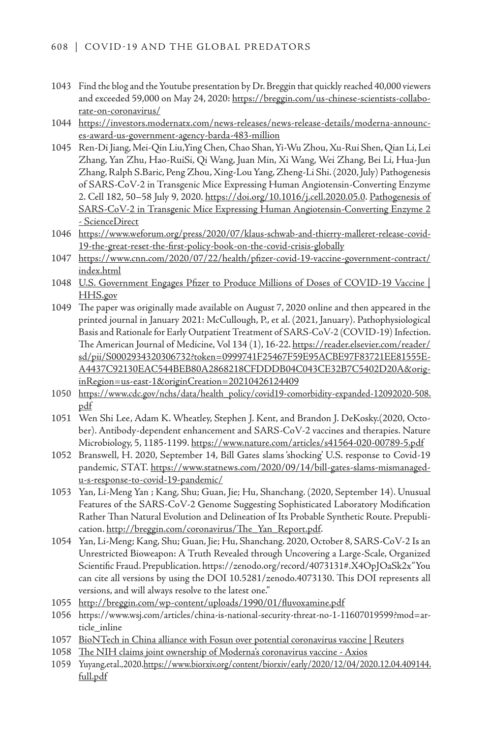- 1043 Find the blog and the Youtube presentation by Dr. Breggin that quickly reached 40,000 viewers and exceeded 59,000 on May 24, 2020: https://breggin.com/us-chinese-scientists-collaborate-on-coronavirus/
- 1044 https://investors.modernatx.com/news-releases/news-release-details/moderna-announces-award-us-government-agency-barda-483-million
- 1045 Ren-Di Jiang, Mei-Qin Liu,Ying Chen, Chao Shan, Yi-Wu Zhou, Xu-Rui Shen, Qian Li, Lei Zhang, Yan Zhu, Hao-RuiSi, Qi Wang, Juan Min, Xi Wang, Wei Zhang, Bei Li, Hua-Jun Zhang, Ralph S.Baric, Peng Zhou, Xing-Lou Yang, Zheng-Li Shi. (2020, July) Pathogenesis of SARS-CoV-2 in Transgenic Mice Expressing Human Angiotensin-Converting Enzyme 2. Cell 182, 50–58 July 9, 2020. https://doi.org/10.1016/j.cell.2020.05.0. Pathogenesis of SARS-CoV-2 in Transgenic Mice Expressing Human Angiotensin-Converting Enzyme 2 - ScienceDirect
- 1046 https://www.weforum.org/press/2020/07/klaus-schwab-and-thierry-malleret-release-covid-19-the-great-reset-the-first-policy-book-on-the-covid-crisis-globally
- 1047 https://www.cnn.com/2020/07/22/health/pfizer-covid-19-vaccine-government-contract/ index.html
- 1048 U.S. Government Engages Pfizer to Produce Millions of Doses of COVID-19 Vaccine | HHS.gov
- 1049 The paper was originally made available on August 7, 2020 online and then appeared in the printed journal in January 2021: McCullough, P., et al. (2021, January). Pathophysiological Basis and Rationale for Early Outpatient Treatment of SARS-CoV-2 (COVID-19) Infection. The American Journal of Medicine, Vol 134 (1), 16-22. https://reader.elsevier.com/reader/ sd/pii/S0002934320306732?token=0999741F25467F59E95ACBE97F83721EE81555E-A4437C92130EAC544BEB80A2868218CFDDDB04C043CE32B7C5402D20A&originRegion=us-east-1&originCreation=20210426124409
- 1050 https://www.cdc.gov/nchs/data/health\_policy/covid19-comorbidity-expanded-12092020-508. pdf
- 1051 Wen Shi Lee, Adam K. Wheatley, Stephen J. Kent, and Brandon J. DeKosky.(2020, October). Antibody-dependent enhancement and SARS-CoV-2 vaccines and therapies. Nature Microbiology, 5, 1185-1199. https://www.nature.com/articles/s41564-020-00789-5.pdf
- 1052 Branswell, H. 2020, September 14, Bill Gates slams 'shocking' U.S. response to Covid-19 pandemic, STAT. https://www.statnews.com/2020/09/14/bill-gates-slams-mismanagedu-s-response-to-covid-19-pandemic/
- 1053 Yan, Li-Meng Yan ; Kang, Shu; Guan, Jie; Hu, Shanchang. (2020, September 14). Unusual Features of the SARS-CoV-2 Genome Suggesting Sophisticated Laboratory Modification Rather Than Natural Evolution and Delineation of Its Probable Synthetic Route. Prepublication. http://breggin.com/coronavirus/The\_Yan\_Report.pdf.
- 1054 Yan, Li-Meng; Kang, Shu; Guan, Jie; Hu, Shanchang. 2020, October 8, SARS-CoV-2 Is an Unrestricted Bioweapon: A Truth Revealed through Uncovering a Large-Scale, Organized Scientific Fraud. Prepublication. https://zenodo.org/record/4073131#.X4OpJOaSk2x "You can cite all versions by using the DOI 10.5281/zenodo.4073130. This DOI represents all versions, and will always resolve to the latest one."
- 1055 http://breggin.com/wp-content/uploads/1990/01/fluvoxamine.pdf
- 1056 https://www.wsj.com/articles/china-is-national-security-threat-no-1-11607019599?mod=article\_inline
- 1057 BioNTech in China alliance with Fosun over potential coronavirus vaccine | Reuters
- 1058 The NIH claims joint ownership of Moderna's coronavirus vaccine Axios
- 1059 Yuyang, et al., 2020. https://www.biorxiv.org/content/biorxiv/early/2020/12/04/2020.12.04.409144. full.pdf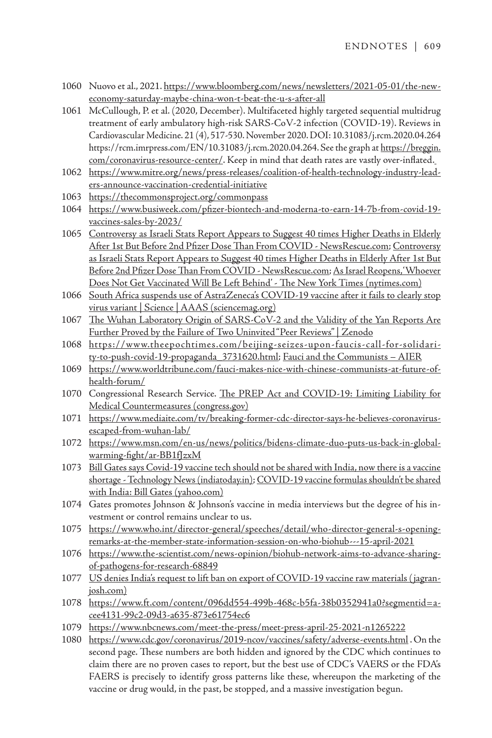- 1060 Nuovo et al., 2021. https://www.bloomberg.com/news/newsletters/2021-05-01/the-neweconomy-saturday-maybe-china-won-t-beat-the-u-s-after-all
- 1061 McCullough, P. et al. (2020, December). Multifaceted highly targeted sequential multidrug treatment of early ambulatory high-risk SARS-CoV-2 infection (COVID-19). Reviews in Cardiovascular Medicine. 21 (4), 517-530. November 2020. DOI: 10.31083/j.rcm.2020.04.264 https://rcm.imrpress.com/EN/10.31083/j.rcm.2020.04.264. See the graph at https://breggin. com/coronavirus-resource-center/. Keep in mind that death rates are vastly over-inflated.
- 1062 https://www.mitre.org/news/press-releases/coalition-of-health-technology-industry-leaders-announce-vaccination-credential-initiative
- 1063 https://thecommonsproject.org/commonpass
- 1064 https://www.busiweek.com/pfizer-biontech-and-moderna-to-earn-14-7b-from-covid-19 vaccines-sales-by-2023/
- 1065 Controversy as Israeli Stats Report Appears to Suggest 40 times Higher Deaths in Elderly After 1st But Before 2nd Pfizer Dose Than From COVID - NewsRescue.com; Controversy as Israeli Stats Report Appears to Suggest 40 times Higher Deaths in Elderly After 1st But Before 2nd Pfizer Dose Than From COVID - NewsRescue.com; As Israel Reopens, 'Whoever Does Not Get Vaccinated Will Be Left Behind' - The New York Times (nytimes.com)
- 1066 South Africa suspends use of AstraZeneca's COVID-19 vaccine after it fails to clearly stop virus variant | Science | AAAS (sciencemag.org)
- 1067 The Wuhan Laboratory Origin of SARS-CoV-2 and the Validity of the Yan Reports Are Further Proved by the Failure of Two Uninvited "Peer Reviews" | Zenodo
- 1068 https://www.theepochtimes.com/beijing-seizes-upon-faucis-call-for-solidarity-to-push-covid-19-propaganda\_3731620.html; Fauci and the Communists – AIER
- 1069 https://www.worldtribune.com/fauci-makes-nice-with-chinese-communists-at-future-ofhealth-forum/
- 1070 Congressional Research Service. The PREP Act and COVID-19: Limiting Liability for Medical Countermeasures (congress.gov)
- 1071 https://www.mediaite.com/tv/breaking-former-cdc-director-says-he-believes-coronavirusescaped-from-wuhan-lab/
- 1072 https://www.msn.com/en-us/news/politics/bidens-climate-duo-puts-us-back-in-globalwarming-fight/ar-BB1fJzxM
- 1073 Bill Gates says Covid-19 vaccine tech should not be shared with India, now there is a vaccine shortage - Technology News (indiatoday.in); COVID-19 vaccine formulas shouldn't be shared with India: Bill Gates (yahoo.com)
- 1074 Gates promotes Johnson & Johnson's vaccine in media interviews but the degree of his investment or control remains unclear to us.
- 1075 https://www.who.int/director-general/speeches/detail/who-director-general-s-openingremarks-at-the-member-state-information-session-on-who-biohub---15-april-2021
- 1076 https://www.the-scientist.com/news-opinion/biohub-network-aims-to-advance-sharingof-pathogens-for-research-68849
- 1077 US denies India's request to lift ban on export of COVID-19 vaccine raw materials (jagranjosh.com)
- 1078 https://www.ft.com/content/096dd554-499b-468c-b5fa-38b0352941a0?segmentid=acee4131-99c2-09d3-a635-873e61754ec6
- 1079 https://www.nbcnews.com/meet-the-press/meet-press-april-25-2021-n1265222
- 1080 https://www.cdc.gov/coronavirus/2019-ncov/vaccines/safety/adverse-events.html . On the second page. These numbers are both hidden and ignored by the CDC which continues to claim there are no proven cases to report, but the best use of CDC's VAERS or the FDA's FAERS is precisely to identify gross patterns like these, whereupon the marketing of the vaccine or drug would, in the past, be stopped, and a massive investigation begun.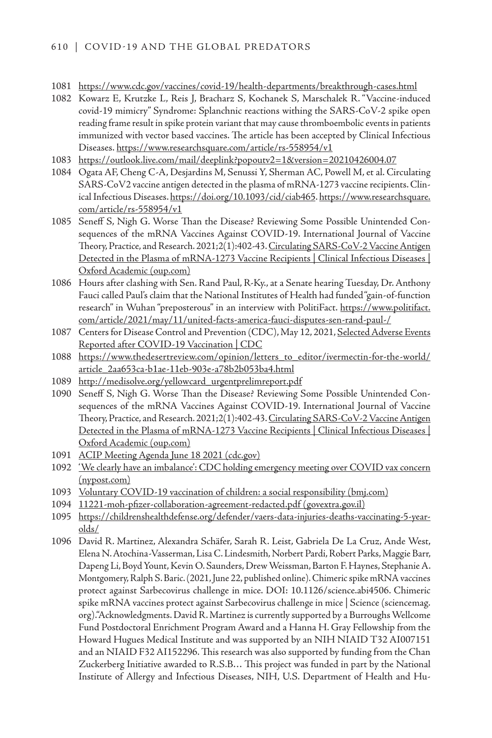- 1081 https://www.cdc.gov/vaccines/covid-19/health-departments/breakthrough-cases.html
- 1082 Kowarz E, Krutzke L, Reis J, Bracharz S, Kochanek S, Marschalek R. "Vaccine-induced covid-19 mimicry" Syndrome: Splanchnic reactions withing the SARS-CoV-2 spike open reading frame result in spike protein variant that may cause thromboembolic events in patients immunized with vector based vaccines. The article has been accepted by Clinical Infectious Diseases. https://www.researchsquare.com/article/rs-558954/v1
- 1083 https://outlook.live.com/mail/deeplink?popoutv2=1&version=20210426004.07
- 1084 Ogata AF, Cheng C-A, Desjardins M, Senussi Y, Sherman AC, Powell M, et al. Circulating SARS-CoV2 vaccine antigen detected in the plasma of mRNA-1273 vaccine recipients. Clinical Infectious Diseases. https://doi.org/10.1093/cid/ciab465. https://www.researchsquare. com/article/rs-558954/v1
- 1085 Seneff S, Nigh G. Worse Than the Disease? Reviewing Some Possible Unintended Consequences of the mRNA Vaccines Against COVID-19. International Journal of Vaccine Theory, Practice, and Research. 2021;2(1):402-43. Circulating SARS-CoV-2 Vaccine Antigen Detected in the Plasma of mRNA-1273 Vaccine Recipients | Clinical Infectious Diseases | Oxford Academic (oup.com)
- 1086 Hours after clashing with Sen. Rand Paul, R-Ky., at a Senate hearing Tuesday, Dr. Anthony Fauci called Paul's claim that the National Institutes of Health had funded "gain-of-function research" in Wuhan "preposterous" in an interview with PolitiFact. https://www.politifact. com/article/2021/may/11/united-facts-america-fauci-disputes-sen-rand-paul-/
- 1087 Centers for Disease Control and Prevention (CDC), May 12, 2021, Selected Adverse Events Reported after COVID-19 Vaccination | CDC
- 1088 https://www.thedesertreview.com/opinion/letters\_to\_editor/ivermectin-for-the-world/ article\_2aa653ca-b1ae-11eb-903e-a78b2b053ba4.html
- 1089 http://medisolve.org/yellowcard\_urgentprelimreport.pdf
- 1090 Seneff S, Nigh G. Worse Than the Disease? Reviewing Some Possible Unintended Consequences of the mRNA Vaccines Against COVID-19. International Journal of Vaccine Theory, Practice, and Research. 2021;2(1):402-43. Circulating SARS-CoV-2 Vaccine Antigen Detected in the Plasma of mRNA-1273 Vaccine Recipients | Clinical Infectious Diseases | Oxford Academic (oup.com)
- 1091 ACIP Meeting Agenda June 18 2021 (cdc.gov)
- 1092 'We clearly have an imbalance': CDC holding emergency meeting over COVID vax concern (nypost.com)
- 1093 Voluntary COVID-19 vaccination of children: a social responsibility (bmj.com)
- 1094 11221-moh-pfizer-collaboration-agreement-redacted.pdf (govextra.gov.il)
- 1095 https://childrenshealthdefense.org/defender/vaers-data-injuries-deaths-vaccinating-5-yearolds/
- 1096 David R. Martinez, Alexandra Schäfer, Sarah R. Leist, Gabriela De La Cruz, Ande West, Elena N. Atochina-Vasserman, Lisa C. Lindesmith, Norbert Pardi, Robert Parks, Maggie Barr, Dapeng Li, Boyd Yount, Kevin O. Saunders, Drew Weissman, Barton F. Haynes, Stephanie A. Montgomery, Ralph S. Baric. (2021, June 22, published online). Chimeric spike mRNA vaccines protect against Sarbecovirus challenge in mice. DOI: 10.1126/science.abi4506. Chimeric spike mRNA vaccines protect against Sarbecovirus challenge in mice | Science (sciencemag. org)."Acknowledgments. David R. Martinez is currently supported by a Burroughs Wellcome Fund Postdoctoral Enrichment Program Award and a Hanna H. Gray Fellowship from the Howard Hugues Medical Institute and was supported by an NIH NIAID T32 AI007151 and an NIAID F32 AI152296. This research was also supported by funding from the Chan Zuckerberg Initiative awarded to R.S.B… This project was funded in part by the National Institute of Allergy and Infectious Diseases, NIH, U.S. Department of Health and Hu-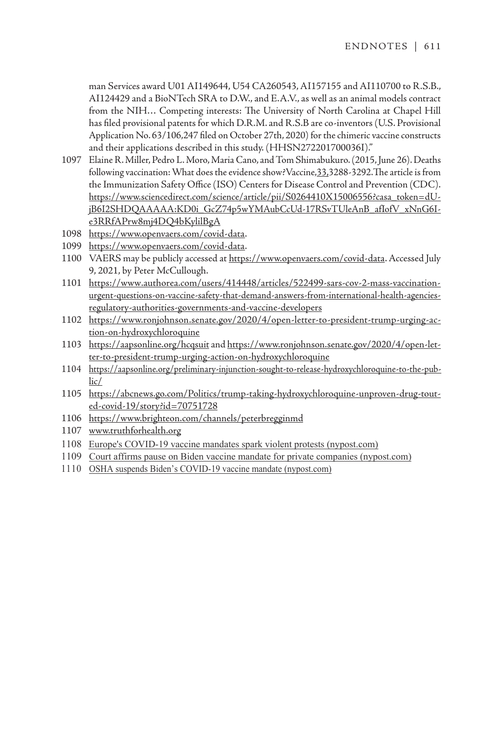man Services award U01 AI149644, U54 CA260543, AI157155 and AI110700 to R.S.B., AI124429 and a BioNTech SRA to D.W., and E.A.V., as well as an animal models contract from the NIH… Competing interests: The University of North Carolina at Chapel Hill has filed provisional patents for which D.R.M. and R.S.B are co-inventors (U.S. Provisional Application No. 63/106,247 filed on October 27th, 2020) for the chimeric vaccine constructs and their applications described in this study. (HHSN272201700036I)."

- 1097 Elaine R. Miller, Pedro L. Moro, Maria Cano, and Tom Shimabukuro. (2015, June 26). Deaths following vaccination: What does the evidence show?Vaccine,33,3288-3292.The article is from the Immunization Safety Office (ISO) Centers for Disease Control and Prevention (CDC). https://www.sciencedirect.com/science/article/pii/S0264410X15006556?casa\_token=dUjB6I2SHDQAAAAA:KD0i\_GcZ74p5wYMAubCcUd-17RSvTUleAnB\_afIofV\_xNnG6Ie3RRfAPrw8mj4DQ4bKylilBgA
- 1098 https://www.openvaers.com/covid-data.
- 1099 https://www.openvaers.com/covid-data.
- 1100 VAERS may be publicly accessed at https://www.openvaers.com/covid-data. Accessed July 9, 2021, by Peter McCullough.
- 1101 https://www.authorea.com/users/414448/articles/522499-sars-cov-2-mass-vaccinationurgent-questions-on-vaccine-safety-that-demand-answers-from-international-health-agenciesregulatory-authorities-governments-and-vaccine-developers
- 1102 https://www.ronjohnson.senate.gov/2020/4/open-letter-to-president-trump-urging-action-on-hydroxychloroquine
- 1103 https://aapsonline.org/hcqsuit and https://www.ronjohnson.senate.gov/2020/4/open-letter-to-president-trump-urging-action-on-hydroxychloroquine
- 1104 https://aapsonline.org/preliminary-injunction-sought-to-release-hydroxychloroquine-to-the-public/
- 1105 https://abcnews.go.com/Politics/trump-taking-hydroxychloroquine-unproven-drug-touted-covid-19/story?id=70751728
- 1106 https://www.brighteon.com/channels/peterbregginmd
- 1107 www.truthforhealth.org
- 1108 Europe's COVID-19 vaccine mandates spark violent protests [\(nypost.com\)](https://nypost.com/2021/11/21/europes-covid-19-vaccine-mandates-spark-violent-protests/)
- 1109 Court affirms pause on Biden vaccine mandate for private [companies \(nypost.com\)](Court affirms pause on Biden vaccine mandate for private companies (nypost.com))
- 1110 OSHA suspends Biden's COVID-19 vaccine mandate [\(nypost.com\)](https://nypost.com/2021/11/18/osha-suspends-bidens-covid-19-vaccine-mandate/)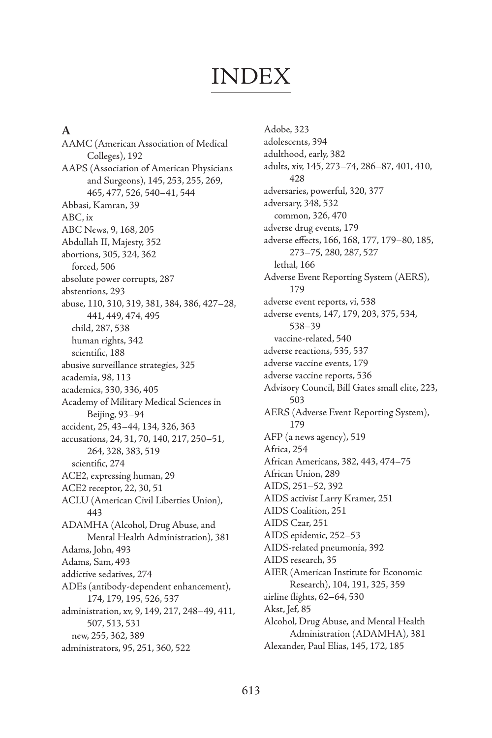## INDEX

#### **A**

AAMC (American Association of Medical Colleges), 192 AAPS (Association of American Physicians and Surgeons), 145, 253, 255, 269, 465, 477, 526, 540–41, 544 Abbasi, Kamran, 39 ABC, ix ABC News, 9, 168, 205 Abdullah II, Majesty, 352 abortions, 305, 324, 362 forced, 506 absolute power corrupts, 287 abstentions, 293 abuse, 110, 310, 319, 381, 384, 386, 427–28, 441, 449, 474, 495 child, 287, 538 human rights, 342 scientific, 188 abusive surveillance strategies, 325 academia, 98, 113 academics, 330, 336, 405 Academy of Military Medical Sciences in Beijing, 93–94 accident, 25, 43–44, 134, 326, 363 accusations, 24, 31, 70, 140, 217, 250–51, 264, 328, 383, 519 scientific, 274 ACE2, expressing human, 29 ACE2 receptor, 22, 30, 51 ACLU (American Civil Liberties Union), 443 ADAMHA (Alcohol, Drug Abuse, and Mental Health Administration), 381 Adams, John, 493 Adams, Sam, 493 addictive sedatives, 274 ADEs (antibody-dependent enhancement), 174, 179, 195, 526, 537 administration, xv, 9, 149, 217, 248–49, 411, 507, 513, 531 new, 255, 362, 389 administrators, 95, 251, 360, 522

Adobe, 323 adolescents, 394 adulthood, early, 382 adults, xiv, 145, 273–74, 286–87, 401, 410, 428 adversaries, powerful, 320, 377 adversary, 348, 532 common, 326, 470 adverse drug events, 179 adverse effects, 166, 168, 177, 179–80, 185, 273–75, 280, 287, 527 lethal, 166 Adverse Event Reporting System (AERS), 179 adverse event reports, vi, 538 adverse events, 147, 179, 203, 375, 534, 538–39 vaccine-related, 540 adverse reactions, 535, 537 adverse vaccine events, 179 adverse vaccine reports, 536 Advisory Council, Bill Gates small elite, 223, 503 AERS (Adverse Event Reporting System), 179 AFP (a news agency), 519 Africa, 254 African Americans, 382, 443, 474–75 African Union, 289 AIDS, 251–52, 392 AIDS activist Larry Kramer, 251 AIDS Coalition, 251 AIDS Czar, 251 AIDS epidemic, 252–53 AIDS-related pneumonia, 392 AIDS research, 35 AIER (American Institute for Economic Research), 104, 191, 325, 359 airline flights, 62–64, 530 Akst, Jef, 85 Alcohol, Drug Abuse, and Mental Health Administration (ADAMHA), 381 Alexander, Paul Elias, 145, 172, 185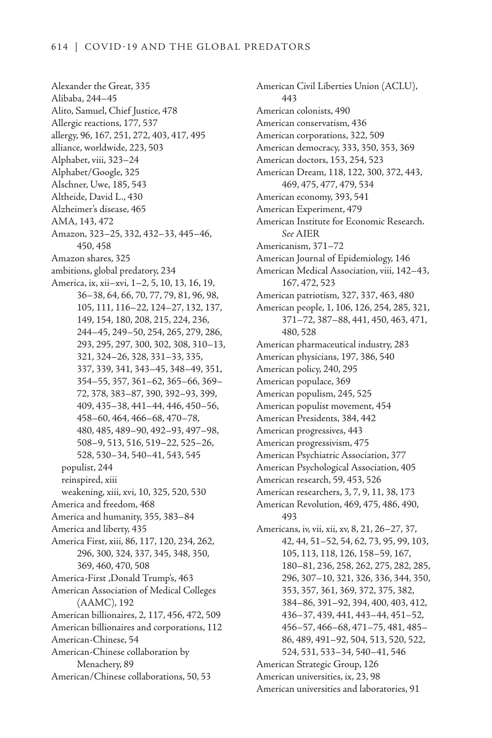Alexander the Great, 335 Alibaba, 244–45 Alito, Samuel, Chief Justice, 478 Allergic reactions, 177, 537 allergy, 96, 167, 251, 272, 403, 417, 495 alliance, worldwide, 223, 503 Alphabet, viii, 323–24 Alphabet/Google, 325 Alschner, Uwe, 185, 543 Altheide, David L., 430 Alzheimer's disease, 465 AMA, 143, 472 Amazon, 323–25, 332, 432–33, 445–46, 450, 458 Amazon shares, 325 ambitions, global predatory, 234 America, ix, xii–xvi, 1–2, 5, 10, 13, 16, 19, 36–38, 64, 66, 70, 77, 79, 81, 96, 98, 105, 111, 116–22, 124–27, 132, 137, 149, 154, 180, 208, 215, 224, 236, 244–45, 249–50, 254, 265, 279, 286, 293, 295, 297, 300, 302, 308, 310–13, 321, 324–26, 328, 331–33, 335, 337, 339, 341, 343–45, 348–49, 351, 354–55, 357, 361–62, 365–66, 369– 72, 378, 383–87, 390, 392–93, 399, 409, 435–38, 441–44, 446, 450–56, 458–60, 464, 466–68, 470–78, 480, 485, 489–90, 492–93, 497–98, 508–9, 513, 516, 519–22, 525–26, 528, 530–34, 540–41, 543, 545 populist, 244 reinspired, xiii weakening, xiii, xvi, 10, 325, 520, 530 America and freedom, 468 America and humanity, 355, 383–84 America and liberty, 435 America First, xiii, 86, 117, 120, 234, 262, 296, 300, 324, 337, 345, 348, 350, 369, 460, 470, 508 America-First ,Donald Trump's, 463 American Association of Medical Colleges (AAMC), 192 American billionaires, 2, 117, 456, 472, 509 American billionaires and corporations, 112 American-Chinese, 54 American-Chinese collaboration by Menachery, 89 American/Chinese collaborations, 50, 53

American Civil Liberties Union (ACLU), 443 American colonists, 490 American conservatism, 436 American corporations, 322, 509 American democracy, 333, 350, 353, 369 American doctors, 153, 254, 523 American Dream, 118, 122, 300, 372, 443, 469, 475, 477, 479, 534 American economy, 393, 541 American Experiment, 479 American Institute for Economic Research. *See* AIER Americanism, 371–72 American Journal of Epidemiology, 146 American Medical Association, viii, 142–43, 167, 472, 523 American patriotism, 327, 337, 463, 480 American people, 1, 106, 126, 254, 285, 321, 371–72, 387–88, 441, 450, 463, 471, 480, 528 American pharmaceutical industry, 283 American physicians, 197, 386, 540 American policy, 240, 295 American populace, 369 American populism, 245, 525 American populist movement, 454 American Presidents, 384, 442 American progressives, 443 American progressivism, 475 American Psychiatric Association, 377 American Psychological Association, 405 American research, 59, 453, 526 American researchers, 3, 7, 9, 11, 38, 173 American Revolution, 469, 475, 486, 490, 493 Americans, iv, vii, xii, xv, 8, 21, 26–27, 37, 42, 44, 51–52, 54, 62, 73, 95, 99, 103, 105, 113, 118, 126, 158–59, 167, 180–81, 236, 258, 262, 275, 282, 285, 296, 307–10, 321, 326, 336, 344, 350, 353, 357, 361, 369, 372, 375, 382, 384–86, 391–92, 394, 400, 403, 412, 436–37, 439, 441, 443–44, 451–52, 456–57, 466–68, 471–75, 481, 485– 86, 489, 491–92, 504, 513, 520, 522, 524, 531, 533–34, 540–41, 546 American Strategic Group, 126 American universities, ix, 23, 98 American universities and laboratories, 91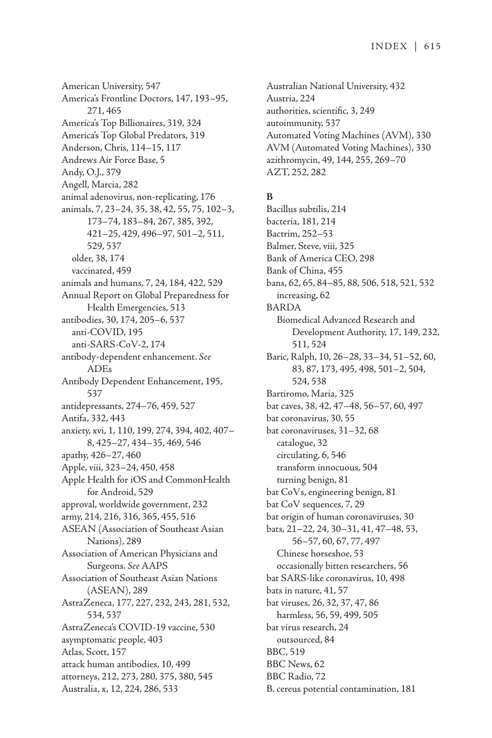American University, 547 America's Frontline Doctors, 147, 193–95, 271, 465 America's Top Billionaires, 319, 324 America's Top Global Predators, 319 Anderson, Chris, 114–15, 117 Andrews Air Force Base, 5 Andy, O.J., 379 Angell, Marcia, 282 animal adenovirus, non-replicating, 176 animals, 7, 23–24, 35, 38, 42, 55, 75, 102–3, 173–74, 183–84, 267, 385, 392, 421–25, 429, 496–97, 501–2, 511, 529, 537 older, 38, 174 vaccinated, 459 animals and humans, 7, 24, 184, 422, 529 Annual Report on Global Preparedness for Health Emergencies, 513 antibodies, 30, 174, 205–6, 537 anti-COVID, 195 anti-SARS-CoV-2, 174 antibody-dependent enhancement. *See* ADEs Antibody Dependent Enhancement, 195, 537 antidepressants, 274–76, 459, 527 Antifa, 332, 443 anxiety, xvi, 1, 110, 199, 274, 394, 402, 407– 8, 425–27, 434–35, 469, 546 apathy, 426–27, 460 Apple, viii, 323–24, 450, 458 Apple Health for iOS and CommonHealth for Android, 529 approval, worldwide government, 232 army, 214, 216, 316, 365, 455, 516 ASEAN (Association of Southeast Asian Nations), 289 Association of American Physicians and Surgeons. *See* AAPS Association of Southeast Asian Nations (ASEAN), 289 AstraZeneca, 177, 227, 232, 243, 281, 532, 534, 537 AstraZeneca's COVID-19 vaccine, 530 asymptomatic people, 403 Atlas, Scott, 157 attack human antibodies, 10, 499 attorneys, 212, 273, 280, 375, 380, 545 Australia, x, 12, 224, 286, 533

Australian National University, 432 Austria, 224 authorities, scientific, 3, 249 autoimmunity, 537 Automated Voting Machines (AVM), 330 AVM (Automated Voting Machines), 330 azithromycin, 49, 144, 255, 269–70 AZT, 252, 282

#### **B**

Bacillus subtilis, 214 bacteria, 181, 214 Bactrim, 252–53 Balmer, Steve, viii, 325 Bank of America CEO, 298 Bank of China, 455 bans, 62, 65, 84–85, 88, 506, 518, 521, 532 increasing, 62 BARDA Biomedical Advanced Research and Development Authority, 17, 149, 232, 511, 524 Baric, Ralph, 10, 26–28, 33–34, 51–52, 60, 83, 87, 173, 495, 498, 501–2, 504, 524, 538 Bartiromo, Maria, 325 bat caves, 38, 42, 47–48, 56–57, 60, 497 bat coronavirus, 30, 55 bat coronaviruses, 31–32, 68 catalogue, 32 circulating, 6, 546 transform innocuous, 504 turning benign, 81 bat CoVs, engineering benign, 81 bat CoV sequences, 7, 29 bat origin of human coronaviruses, 30 bats, 21–22, 24, 30–31, 41, 47–48, 53, 56–57, 60, 67, 77, 497 Chinese horseshoe, 53 occasionally bitten researchers, 56 bat SARS-like coronavirus, 10, 498 bats in nature, 41, 57 bat viruses, 26, 32, 37, 47, 86 harmless, 56, 59, 499, 505 bat virus research, 24 outsourced, 84 BBC, 519 BBC News, 62 BBC Radio, 72 B. cereus potential contamination, 181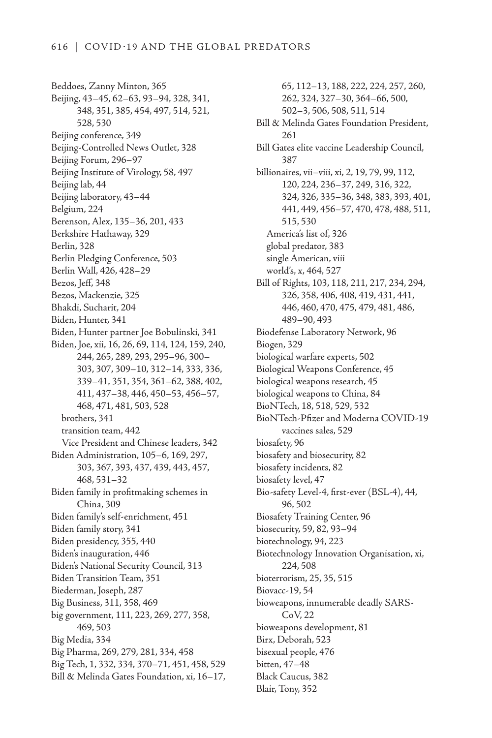Beddoes, Zanny Minton, 365 Beijing, 43–45, 62–63, 93–94, 328, 341, 348, 351, 385, 454, 497, 514, 521, 528, 530 Beijing conference, 349 Beijing-Controlled News Outlet, 328 Beijing Forum, 296–97 Beijing Institute of Virology, 58, 497 Beijing lab, 44 Beijing laboratory, 43–44 Belgium, 224 Berenson, Alex, 135–36, 201, 433 Berkshire Hathaway, 329 Berlin, 328 Berlin Pledging Conference, 503 Berlin Wall, 426, 428–29 Bezos, Jeff, 348 Bezos, Mackenzie, 325 Bhakdi, Sucharit, 204 Biden, Hunter, 341 Biden, Hunter partner Joe Bobulinski, 341 Biden, Joe, xii, 16, 26, 69, 114, 124, 159, 240, 244, 265, 289, 293, 295–96, 300– 303, 307, 309–10, 312–14, 333, 336, 339–41, 351, 354, 361–62, 388, 402, 411, 437–38, 446, 450–53, 456–57, 468, 471, 481, 503, 528 brothers, 341 transition team, 442 Vice President and Chinese leaders, 342 Biden Administration, 105–6, 169, 297, 303, 367, 393, 437, 439, 443, 457, 468, 531–32 Biden family in profitmaking schemes in China, 309 Biden family's self-enrichment, 451 Biden family story, 341 Biden presidency, 355, 440 Biden's inauguration, 446 Biden's National Security Council, 313 Biden Transition Team, 351 Biederman, Joseph, 287 Big Business, 311, 358, 469 big government, 111, 223, 269, 277, 358, 469, 503 Big Media, 334 Big Pharma, 269, 279, 281, 334, 458 Big Tech, 1, 332, 334, 370–71, 451, 458, 529 Bill & Melinda Gates Foundation, xi, 16–17,

65, 112–13, 188, 222, 224, 257, 260, 262, 324, 327–30, 364–66, 500, 502–3, 506, 508, 511, 514 Bill & Melinda Gates Foundation President, 261 Bill Gates elite vaccine Leadership Council, 387 billionaires, vii–viii, xi, 2, 19, 79, 99, 112, 120, 224, 236–37, 249, 316, 322, 324, 326, 335–36, 348, 383, 393, 401, 441, 449, 456–57, 470, 478, 488, 511, 515, 530 America's list of, 326 global predator, 383 single American, viii world's, x, 464, 527 Bill of Rights, 103, 118, 211, 217, 234, 294, 326, 358, 406, 408, 419, 431, 441, 446, 460, 470, 475, 479, 481, 486, 489–90, 493 Biodefense Laboratory Network, 96 Biogen, 329 biological warfare experts, 502 Biological Weapons Conference, 45 biological weapons research, 45 biological weapons to China, 84 BioNTech, 18, 518, 529, 532 BioNTech-Pfizer and Moderna COVID-19 vaccines sales, 529 biosafety, 96 biosafety and biosecurity, 82 biosafety incidents, 82 biosafety level, 47 Bio-safety Level-4, first-ever (BSL-4), 44, 96, 502 Biosafety Training Center, 96 biosecurity, 59, 82, 93–94 biotechnology, 94, 223 Biotechnology Innovation Organisation, xi, 224, 508 bioterrorism, 25, 35, 515 Biovacc-19, 54 bioweapons, innumerable deadly SARS-CoV, 22 bioweapons development, 81 Birx, Deborah, 523 bisexual people, 476 bitten, 47–48 Black Caucus, 382 Blair, Tony, 352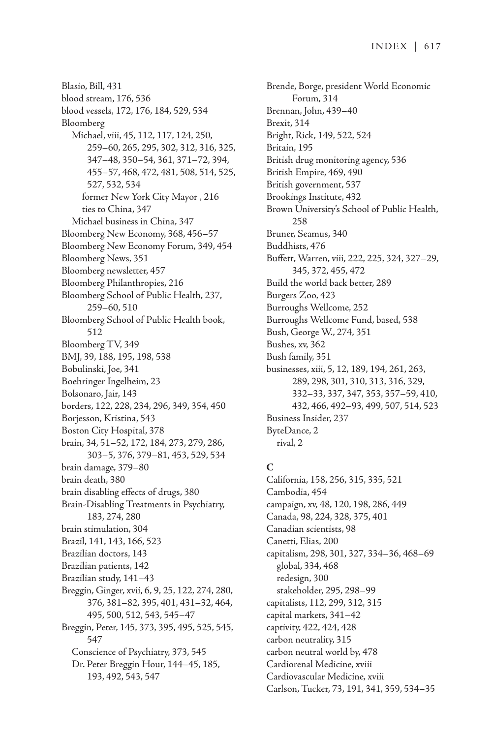Blasio, Bill, 431 blood stream, 176, 536 blood vessels, 172, 176, 184, 529, 534 Bloomberg Michael, viii, 45, 112, 117, 124, 250, 259–60, 265, 295, 302, 312, 316, 325, 347–48, 350–54, 361, 371–72, 394, 455–57, 468, 472, 481, 508, 514, 525, 527, 532, 534 former New York City Mayor , 216 ties to China, 347 Michael business in China, 347 Bloomberg New Economy, 368, 456–57 Bloomberg New Economy Forum, 349, 454 Bloomberg News, 351 Bloomberg newsletter, 457 Bloomberg Philanthropies, 216 Bloomberg School of Public Health, 237, 259–60, 510 Bloomberg School of Public Health book, 512 Bloomberg TV, 349 BMJ, 39, 188, 195, 198, 538 Bobulinski, Joe, 341 Boehringer Ingelheim, 23 Bolsonaro, Jair, 143 borders, 122, 228, 234, 296, 349, 354, 450 Borjesson, Kristina, 543 Boston City Hospital, 378 brain, 34, 51–52, 172, 184, 273, 279, 286, 303–5, 376, 379–81, 453, 529, 534 brain damage, 379–80 brain death, 380 brain disabling effects of drugs, 380 Brain-Disabling Treatments in Psychiatry, 183, 274, 280 brain stimulation, 304 Brazil, 141, 143, 166, 523 Brazilian doctors, 143 Brazilian patients, 142 Brazilian study, 141–43 Breggin, Ginger, xvii, 6, 9, 25, 122, 274, 280, 376, 381–82, 395, 401, 431–32, 464, 495, 500, 512, 543, 545–47 Breggin, Peter, 145, 373, 395, 495, 525, 545, 547 Conscience of Psychiatry, 373, 545 Dr. Peter Breggin Hour, 144–45, 185, 193, 492, 543, 547

Brende, Borge, president World Economic Forum, 314 Brennan, John, 439–40 Brexit, 314 Bright, Rick, 149, 522, 524 Britain, 195 British drug monitoring agency, 536 British Empire, 469, 490 British government, 537 Brookings Institute, 432 Brown University's School of Public Health, 258 Bruner, Seamus, 340 Buddhists, 476 Buffett, Warren, viii, 222, 225, 324, 327–29, 345, 372, 455, 472 Build the world back better, 289 Burgers Zoo, 423 Burroughs Wellcome, 252 Burroughs Wellcome Fund, based, 538 Bush, George W., 274, 351 Bushes, xv, 362 Bush family, 351 businesses, xiii, 5, 12, 189, 194, 261, 263, 289, 298, 301, 310, 313, 316, 329, 332–33, 337, 347, 353, 357–59, 410, 432, 466, 492–93, 499, 507, 514, 523 Business Insider, 237 ByteDance, 2 rival, 2

### **C**

California, 158, 256, 315, 335, 521 Cambodia, 454 campaign, xv, 48, 120, 198, 286, 449 Canada, 98, 224, 328, 375, 401 Canadian scientists, 98 Canetti, Elias, 200 capitalism, 298, 301, 327, 334–36, 468–69 global, 334, 468 redesign, 300 stakeholder, 295, 298–99 capitalists, 112, 299, 312, 315 capital markets, 341–42 captivity, 422, 424, 428 carbon neutrality, 315 carbon neutral world by, 478 Cardiorenal Medicine, xviii Cardiovascular Medicine, xviii Carlson, Tucker, 73, 191, 341, 359, 534–35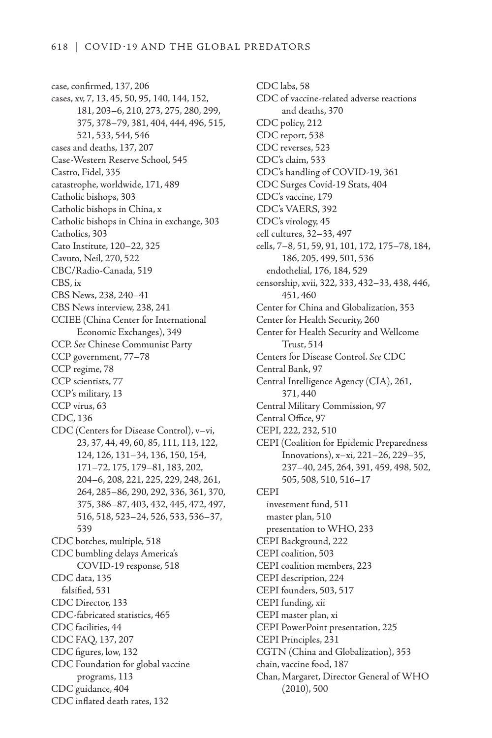case, confirmed, 137, 206 cases, xv, 7, 13, 45, 50, 95, 140, 144, 152, 181, 203–6, 210, 273, 275, 280, 299, 375, 378–79, 381, 404, 444, 496, 515, 521, 533, 544, 546 cases and deaths, 137, 207 Case-Western Reserve School, 545 Castro, Fidel, 335 catastrophe, worldwide, 171, 489 Catholic bishops, 303 Catholic bishops in China, x Catholic bishops in China in exchange, 303 Catholics, 303 Cato Institute, 120–22, 325 Cavuto, Neil, 270, 522 CBC/Radio-Canada, 519 CBS, ix CBS News, 238, 240–41 CBS News interview, 238, 241 CCIEE (China Center for International Economic Exchanges), 349 CCP. *See* Chinese Communist Party CCP government, 77–78 CCP regime, 78 CCP scientists, 77 CCP's military, 13 CCP virus, 63 CDC, 136 CDC (Centers for Disease Control), v–vi, 23, 37, 44, 49, 60, 85, 111, 113, 122, 124, 126, 131–34, 136, 150, 154, 171–72, 175, 179–81, 183, 202, 204–6, 208, 221, 225, 229, 248, 261, 264, 285–86, 290, 292, 336, 361, 370, 375, 386–87, 403, 432, 445, 472, 497, 516, 518, 523–24, 526, 533, 536–37, 539 CDC botches, multiple, 518 CDC bumbling delays America's COVID-19 response, 518 CDC data, 135 falsified, 531 CDC Director, 133 CDC-fabricated statistics, 465 CDC facilities, 44 CDC FAQ, 137, 207 CDC figures, low, 132 CDC Foundation for global vaccine programs, 113 CDC guidance, 404 CDC inflated death rates, 132

CDC labs, 58 CDC of vaccine-related adverse reactions and deaths, 370 CDC policy, 212 CDC report, 538 CDC reverses, 523 CDC's claim, 533 CDC's handling of COVID-19, 361 CDC Surges Covid-19 Stats, 404 CDC's vaccine, 179 CDC's VAERS, 392 CDC's virology, 45 cell cultures, 32–33, 497 cells, 7–8, 51, 59, 91, 101, 172, 175–78, 184, 186, 205, 499, 501, 536 endothelial, 176, 184, 529 censorship, xvii, 322, 333, 432–33, 438, 446, 451, 460 Center for China and Globalization, 353 Center for Health Security, 260 Center for Health Security and Wellcome Trust, 514 Centers for Disease Control. *See* CDC Central Bank, 97 Central Intelligence Agency (CIA), 261, 371, 440 Central Military Commission, 97 Central Office, 97 CEPI, 222, 232, 510 CEPI (Coalition for Epidemic Preparedness Innovations), x–xi, 221–26, 229–35, 237–40, 245, 264, 391, 459, 498, 502, 505, 508, 510, 516–17 CEPI investment fund, 511 master plan, 510 presentation to WHO, 233 CEPI Background, 222 CEPI coalition, 503 CEPI coalition members, 223 CEPI description, 224 CEPI founders, 503, 517 CEPI funding, xii CEPI master plan, xi CEPI PowerPoint presentation, 225 CEPI Principles, 231 CGTN (China and Globalization), 353 chain, vaccine food, 187 Chan, Margaret, Director General of WHO (2010), 500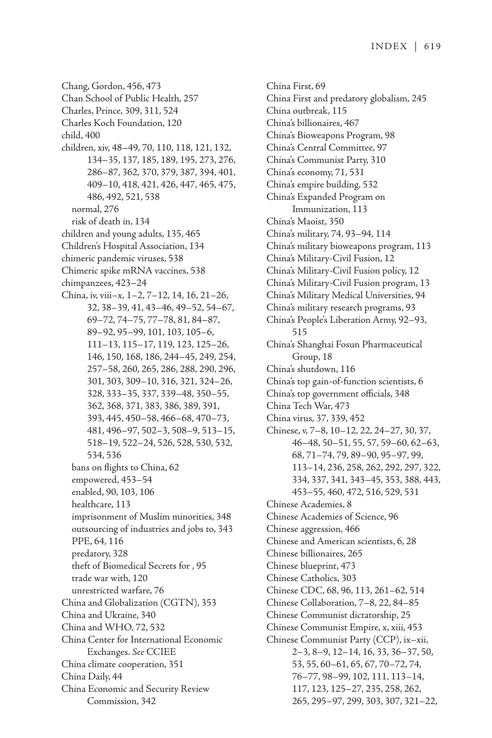Chang, Gordon, 456, 473 Chan School of Public Health, 257 Charles, Prince, 309, 311, 524 Charles Koch Foundation, 120 child, 400 children, xiv, 48–49, 70, 110, 118, 121, 132, 134–35, 137, 185, 189, 195, 273, 276, 286–87, 362, 370, 379, 387, 394, 401, 409–10, 418, 421, 426, 447, 465, 475, 486, 492, 521, 538 normal, 276 risk of death in, 134 children and young adults, 135, 465 Children's Hospital Association, 134 chimeric pandemic viruses, 538 Chimeric spike mRNA vaccines, 538 chimpanzees, 423–24 China, iv, viii–x, 1–2, 7–12, 14, 16, 21–26, 32, 38–39, 41, 43–46, 49–52, 54–67, 69–72, 74–75, 77–78, 81, 84–87, 89–92, 95–99, 101, 103, 105–6, 111–13, 115–17, 119, 123, 125–26, 146, 150, 168, 186, 244–45, 249, 254, 257–58, 260, 265, 286, 288, 290, 296, 301, 303, 309–10, 316, 321, 324–26, 328, 333–35, 337, 339–48, 350–55, 362, 368, 371, 383, 386, 389, 391, 393, 445, 450–58, 466–68, 470–73, 481, 496–97, 502–3, 508–9, 513–15, 518–19, 522–24, 526, 528, 530, 532, 534, 536 bans on flights to China, 62 empowered, 453–54 enabled, 90, 103, 106 healthcare, 113 imprisonment of Muslim minorities, 348 outsourcing of industries and jobs to, 343 PPE, 64, 116 predatory, 328 theft of Biomedical Secrets for , 95 trade war with, 120 unrestricted warfare, 76 China and Globalization (CGTN), 353 China and Ukraine, 340 China and WHO, 72, 532 China Center for International Economic Exchanges. *See* CCIEE China climate cooperation, 351 China Daily, 44 China Economic and Security Review Commission, 342

China First, 69 China First and predatory globalism, 245 China outbreak, 115 China's billionaires, 467 China's Bioweapons Program, 98 China's Central Committee, 97 China's Communist Party, 310 China's economy, 71, 531 China's empire building, 532 China's Expanded Program on Immunization, 113 China's Maoist, 350 China's military, 74, 93–94, 114 China's military bioweapons program, 113 China's Military-Civil Fusion, 12 China's Military-Civil Fusion policy, 12 China's Military-Civil Fusion program, 13 China's Military Medical Universities, 94 China's military research programs, 93 China's People's Liberation Army, 92–93, 515 China's Shanghai Fosun Pharmaceutical Group, 18 China's shutdown, 116 China's top gain-of-function scientists, 6 China's top government officials, 348 China Tech War, 473 China virus, 37, 339, 452 Chinese, v, 7–8, 10–12, 22, 24–27, 30, 37, 46–48, 50–51, 55, 57, 59–60, 62–63, 68, 71–74, 79, 89–90, 95–97, 99, 113–14, 236, 258, 262, 292, 297, 322, 334, 337, 341, 343–45, 353, 388, 443, 453–55, 460, 472, 516, 529, 531 Chinese Academies, 8 Chinese Academies of Science, 96 Chinese aggression, 466 Chinese and American scientists, 6, 28 Chinese billionaires, 265 Chinese blueprint, 473 Chinese Catholics, 303 Chinese CDC, 68, 96, 113, 261–62, 514 Chinese Collaboration, 7–8, 22, 84–85 Chinese Communist dictatorship, 25 Chinese Communist Empire, x, xiii, 453 Chinese Communist Party (CCP), ix–xii, 2–3, 8–9, 12–14, 16, 33, 36–37, 50, 53, 55, 60–61, 65, 67, 70–72, 74, 76–77, 98–99, 102, 111, 113–14, 117, 123, 125–27, 235, 258, 262, 265, 295–97, 299, 303, 307, 321–22,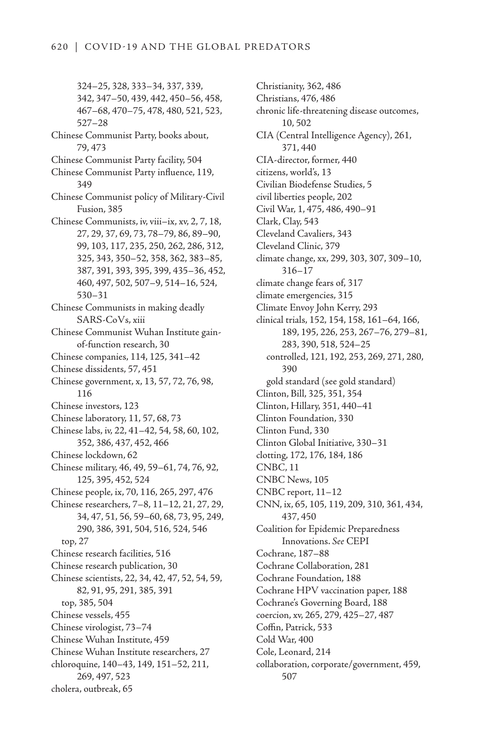324–25, 328, 333–34, 337, 339, 342, 347–50, 439, 442, 450–56, 458, 467–68, 470–75, 478, 480, 521, 523, 527–28 Chinese Communist Party, books about, 79, 473 Chinese Communist Party facility, 504 Chinese Communist Party influence, 119, 349 Chinese Communist policy of Military-Civil Fusion, 385 Chinese Communists, iv, viii–ix, xv, 2, 7, 18, 27, 29, 37, 69, 73, 78–79, 86, 89–90, 99, 103, 117, 235, 250, 262, 286, 312, 325, 343, 350–52, 358, 362, 383–85, 387, 391, 393, 395, 399, 435–36, 452, 460, 497, 502, 507–9, 514–16, 524, 530–31 Chinese Communists in making deadly SARS-CoVs, xiii Chinese Communist Wuhan Institute gainof-function research, 30 Chinese companies, 114, 125, 341–42 Chinese dissidents, 57, 451 Chinese government, x, 13, 57, 72, 76, 98, 116 Chinese investors, 123 Chinese laboratory, 11, 57, 68, 73 Chinese labs, iv, 22, 41–42, 54, 58, 60, 102, 352, 386, 437, 452, 466 Chinese lockdown, 62 Chinese military, 46, 49, 59–61, 74, 76, 92, 125, 395, 452, 524 Chinese people, ix, 70, 116, 265, 297, 476 Chinese researchers, 7–8, 11–12, 21, 27, 29, 34, 47, 51, 56, 59–60, 68, 73, 95, 249, 290, 386, 391, 504, 516, 524, 546 top, 27 Chinese research facilities, 516 Chinese research publication, 30 Chinese scientists, 22, 34, 42, 47, 52, 54, 59, 82, 91, 95, 291, 385, 391 top, 385, 504 Chinese vessels, 455 Chinese virologist, 73–74 Chinese Wuhan Institute, 459 Chinese Wuhan Institute researchers, 27 chloroquine, 140–43, 149, 151–52, 211, 269, 497, 523 cholera, outbreak, 65

Christianity, 362, 486 Christians, 476, 486 chronic life-threatening disease outcomes, 10, 502 CIA (Central Intelligence Agency), 261, 371, 440 CIA-director, former, 440 citizens, world's, 13 Civilian Biodefense Studies, 5 civil liberties people, 202 Civil War, 1, 475, 486, 490–91 Clark, Clay, 543 Cleveland Cavaliers, 343 Cleveland Clinic, 379 climate change, xx, 299, 303, 307, 309–10, 316–17 climate change fears of, 317 climate emergencies, 315 Climate Envoy John Kerry, 293 clinical trials, 152, 154, 158, 161–64, 166, 189, 195, 226, 253, 267–76, 279–81, 283, 390, 518, 524–25 controlled, 121, 192, 253, 269, 271, 280, 390 gold standard (see gold standard) Clinton, Bill, 325, 351, 354 Clinton, Hillary, 351, 440–41 Clinton Foundation, 330 Clinton Fund, 330 Clinton Global Initiative, 330–31 clotting, 172, 176, 184, 186 CNBC, 11 CNBC News, 105 CNBC report, 11–12 CNN, ix, 65, 105, 119, 209, 310, 361, 434, 437, 450 Coalition for Epidemic Preparedness Innovations. *See* CEPI Cochrane, 187–88 Cochrane Collaboration, 281 Cochrane Foundation, 188 Cochrane HPV vaccination paper, 188 Cochrane's Governing Board, 188 coercion, xv, 265, 279, 425–27, 487 Coffin, Patrick, 533 Cold War, 400 Cole, Leonard, 214 collaboration, corporate/government, 459, 507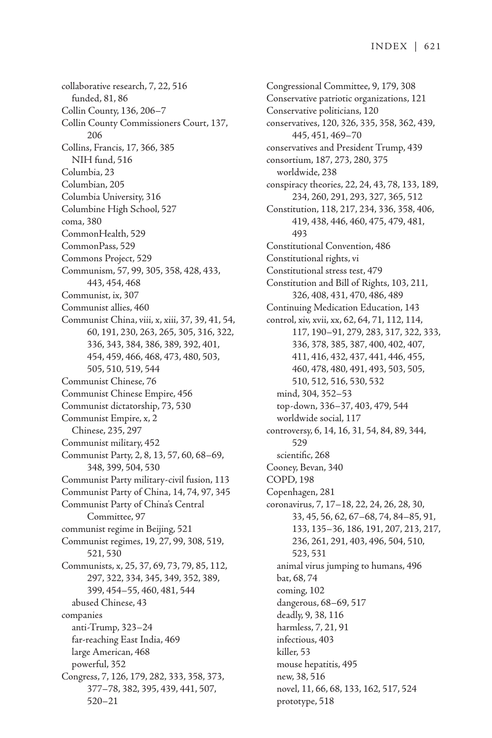collaborative research, 7, 22, 516 funded, 81, 86 Collin County, 136, 206–7 Collin County Commissioners Court, 137, 206 Collins, Francis, 17, 366, 385 NIH fund, 516 Columbia, 23 Columbian, 205 Columbia University, 316 Columbine High School, 527 coma, 380 CommonHealth, 529 CommonPass, 529 Commons Project, 529 Communism, 57, 99, 305, 358, 428, 433, 443, 454, 468 Communist, ix, 307 Communist allies, 460 Communist China, viii, x, xiii, 37, 39, 41, 54, 60, 191, 230, 263, 265, 305, 316, 322, 336, 343, 384, 386, 389, 392, 401, 454, 459, 466, 468, 473, 480, 503, 505, 510, 519, 544 Communist Chinese, 76 Communist Chinese Empire, 456 Communist dictatorship, 73, 530 Communist Empire, x, 2 Chinese, 235, 297 Communist military, 452 Communist Party, 2, 8, 13, 57, 60, 68–69, 348, 399, 504, 530 Communist Party military-civil fusion, 113 Communist Party of China, 14, 74, 97, 345 Communist Party of China's Central Committee, 97 communist regime in Beijing, 521 Communist regimes, 19, 27, 99, 308, 519, 521, 530 Communists, x, 25, 37, 69, 73, 79, 85, 112, 297, 322, 334, 345, 349, 352, 389, 399, 454–55, 460, 481, 544 abused Chinese, 43 companies anti-Trump, 323–24 far-reaching East India, 469 large American, 468 powerful, 352 Congress, 7, 126, 179, 282, 333, 358, 373, 377–78, 382, 395, 439, 441, 507, 520–21

Congressional Committee, 9, 179, 308 Conservative patriotic organizations, 121 Conservative politicians, 120 conservatives, 120, 326, 335, 358, 362, 439, 445, 451, 469–70 conservatives and President Trump, 439 consortium, 187, 273, 280, 375 worldwide, 238 conspiracy theories, 22, 24, 43, 78, 133, 189, 234, 260, 291, 293, 327, 365, 512 Constitution, 118, 217, 234, 336, 358, 406, 419, 438, 446, 460, 475, 479, 481, 493 Constitutional Convention, 486 Constitutional rights, vi Constitutional stress test, 479 Constitution and Bill of Rights, 103, 211, 326, 408, 431, 470, 486, 489 Continuing Medication Education, 143 control, xiv, xvii, xx, 62, 64, 71, 112, 114, 117, 190–91, 279, 283, 317, 322, 333, 336, 378, 385, 387, 400, 402, 407, 411, 416, 432, 437, 441, 446, 455, 460, 478, 480, 491, 493, 503, 505, 510, 512, 516, 530, 532 mind, 304, 352–53 top-down, 336–37, 403, 479, 544 worldwide social, 117 controversy, 6, 14, 16, 31, 54, 84, 89, 344, 529 scientific, 268 Cooney, Bevan, 340 COPD, 198 Copenhagen, 281 coronavirus, 7, 17–18, 22, 24, 26, 28, 30, 33, 45, 56, 62, 67–68, 74, 84–85, 91, 133, 135–36, 186, 191, 207, 213, 217, 236, 261, 291, 403, 496, 504, 510, 523, 531 animal virus jumping to humans, 496 bat, 68, 74 coming, 102 dangerous, 68–69, 517 deadly, 9, 38, 116 harmless, 7, 21, 91 infectious, 403 killer, 53 mouse hepatitis, 495 new, 38, 516 novel, 11, 66, 68, 133, 162, 517, 524 prototype, 518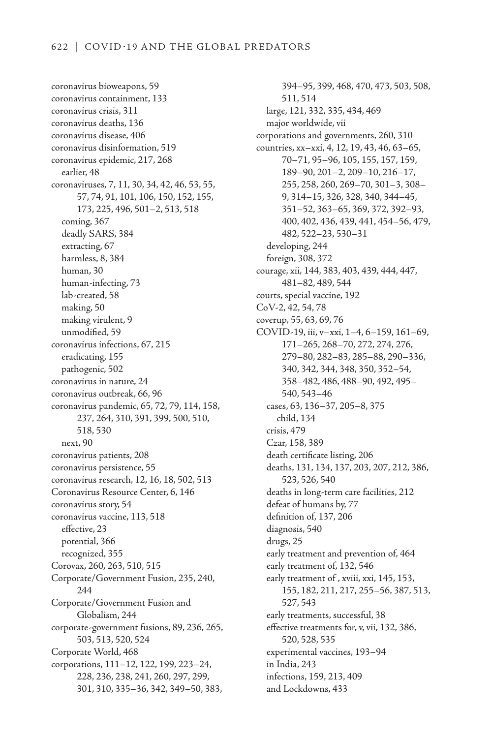coronavirus bioweapons, 59 coronavirus containment, 133 coronavirus crisis, 311 coronavirus deaths, 136 coronavirus disease, 406 coronavirus disinformation, 519 coronavirus epidemic, 217, 268 earlier, 48 coronaviruses, 7, 11, 30, 34, 42, 46, 53, 55, 57, 74, 91, 101, 106, 150, 152, 155, 173, 225, 496, 501–2, 513, 518 coming, 367 deadly SARS, 384 extracting, 67 harmless, 8, 384 human, 30 human-infecting, 73 lab-created, 58 making, 50 making virulent, 9 unmodified, 59 coronavirus infections, 67, 215 eradicating, 155 pathogenic, 502 coronavirus in nature, 24 coronavirus outbreak, 66, 96 coronavirus pandemic, 65, 72, 79, 114, 158, 237, 264, 310, 391, 399, 500, 510, 518, 530 next, 90 coronavirus patients, 208 coronavirus persistence, 55 coronavirus research, 12, 16, 18, 502, 513 Coronavirus Resource Center, 6, 146 coronavirus story, 54 coronavirus vaccine, 113, 518 effective, 23 potential, 366 recognized, 355 Corovax, 260, 263, 510, 515 Corporate/Government Fusion, 235, 240, 244 Corporate/Government Fusion and Globalism, 244 corporate-government fusions, 89, 236, 265, 503, 513, 520, 524 Corporate World, 468 corporations, 111–12, 122, 199, 223–24, 228, 236, 238, 241, 260, 297, 299, 301, 310, 335–36, 342, 349–50, 383,

394–95, 399, 468, 470, 473, 503, 508, 511, 514 large, 121, 332, 335, 434, 469 major worldwide, vii corporations and governments, 260, 310 countries, xx–xxi, 4, 12, 19, 43, 46, 63–65, 70–71, 95–96, 105, 155, 157, 159, 189–90, 201–2, 209–10, 216–17, 255, 258, 260, 269–70, 301–3, 308– 9, 314–15, 326, 328, 340, 344–45, 351–52, 363–65, 369, 372, 392–93, 400, 402, 436, 439, 441, 454–56, 479, 482, 522–23, 530–31 developing, 244 foreign, 308, 372 courage, xii, 144, 383, 403, 439, 444, 447, 481–82, 489, 544 courts, special vaccine, 192 CoV-2, 42, 54, 78 coverup, 55, 63, 69, 76 COVID-19, iii, v–xxi, 1–4, 6–159, 161–69, 171–265, 268–70, 272, 274, 276, 279–80, 282–83, 285–88, 290–336, 340, 342, 344, 348, 350, 352–54, 358–482, 486, 488–90, 492, 495– 540, 543–46 cases, 63, 136–37, 205–8, 375 child, 134 crisis, 479 Czar, 158, 389 death certificate listing, 206 deaths, 131, 134, 137, 203, 207, 212, 386, 523, 526, 540 deaths in long-term care facilities, 212 defeat of humans by, 77 definition of, 137, 206 diagnosis, 540 drugs, 25 early treatment and prevention of, 464 early treatment of, 132, 546 early treatment of , xviii, xxi, 145, 153, 155, 182, 211, 217, 255–56, 387, 513, 527, 543 early treatments, successful, 38 effective treatments for, v, vii, 132, 386, 520, 528, 535 experimental vaccines, 193–94 in India, 243 infections, 159, 213, 409 and Lockdowns, 433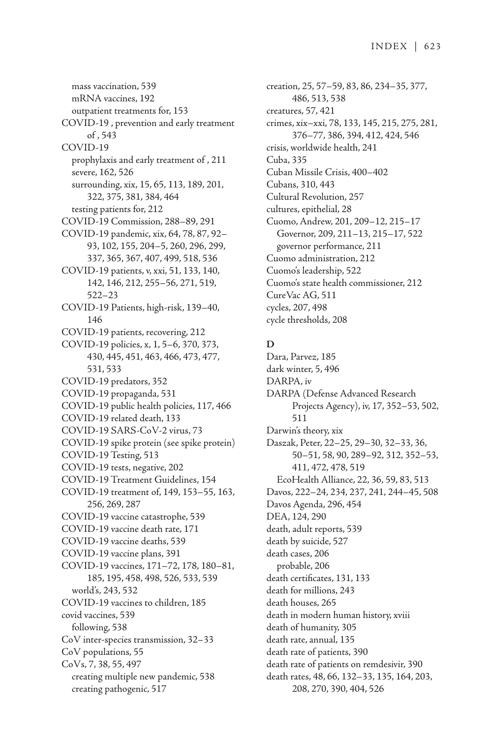mass vaccination, 539 mRNA vaccines, 192 outpatient treatments for, 153 COVID-19 , prevention and early treatment of , 543 COVID-19 prophylaxis and early treatment of , 211 severe, 162, 526 surrounding, xix, 15, 65, 113, 189, 201, 322, 375, 381, 384, 464 testing patients for, 212 COVID-19 Commission, 288–89, 291 COVID-19 pandemic, xix, 64, 78, 87, 92– 93, 102, 155, 204–5, 260, 296, 299, 337, 365, 367, 407, 499, 518, 536 COVID-19 patients, v, xxi, 51, 133, 140, 142, 146, 212, 255–56, 271, 519, 522–23 COVID-19 Patients, high-risk, 139–40, 146 COVID-19 patients, recovering, 212 COVID-19 policies, x, 1, 5–6, 370, 373, 430, 445, 451, 463, 466, 473, 477, 531, 533 COVID-19 predators, 352 COVID-19 propaganda, 531 COVID-19 public health policies, 117, 466 COVID-19 related death, 133 COVID-19 SARS-CoV-2 virus, 73 COVID-19 spike protein (see spike protein) COVID-19 Testing, 513 COVID-19 tests, negative, 202 COVID-19 Treatment Guidelines, 154 COVID-19 treatment of, 149, 153–55, 163, 256, 269, 287 COVID-19 vaccine catastrophe, 539 COVID-19 vaccine death rate, 171 COVID-19 vaccine deaths, 539 COVID-19 vaccine plans, 391 COVID-19 vaccines, 171–72, 178, 180–81, 185, 195, 458, 498, 526, 533, 539 world's, 243, 532 COVID-19 vaccines to children, 185 covid vaccines, 539 following, 538 CoV inter-species transmission, 32–33 CoV populations, 55 CoVs, 7, 38, 55, 497 creating multiple new pandemic, 538 creating pathogenic, 517

creation, 25, 57–59, 83, 86, 234–35, 377, 486, 513, 538 creatures, 57, 421 crimes, xix–xxi, 78, 133, 145, 215, 275, 281, 376–77, 386, 394, 412, 424, 546 crisis, worldwide health, 241 Cuba, 335 Cuban Missile Crisis, 400–402 Cubans, 310, 443 Cultural Revolution, 257 cultures, epithelial, 28 Cuomo, Andrew, 201, 209–12, 215–17 Governor, 209, 211–13, 215–17, 522 governor performance, 211 Cuomo administration, 212 Cuomo's leadership, 522 Cuomo's state health commissioner, 212 CureVac AG, 511 cycles, 207, 498 cycle thresholds, 208

## **D**

Dara, Parvez, 185 dark winter, 5, 496 DARPA, iv DARPA (Defense Advanced Research Projects Agency), iv, 17, 352–53, 502, 511 Darwin's theory, xix Daszak, Peter, 22–25, 29–30, 32–33, 36, 50–51, 58, 90, 289–92, 312, 352–53, 411, 472, 478, 519 EcoHealth Alliance, 22, 36, 59, 83, 513 Davos, 222–24, 234, 237, 241, 244–45, 508 Davos Agenda, 296, 454 DEA, 124, 290 death, adult reports, 539 death by suicide, 527 death cases, 206 probable, 206 death certificates, 131, 133 death for millions, 243 death houses, 265 death in modern human history, xviii death of humanity, 305 death rate, annual, 135 death rate of patients, 390 death rate of patients on remdesivir, 390 death rates, 48, 66, 132–33, 135, 164, 203, 208, 270, 390, 404, 526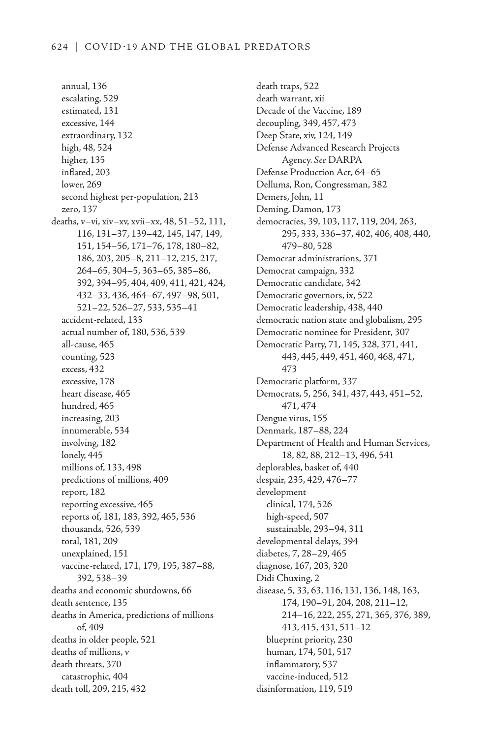annual, 136 escalating, 529 estimated, 131 excessive, 144 extraordinary, 132 high, 48, 524 higher, 135 inflated, 203 lower, 269 second highest per-population, 213 zero, 137 deaths, v–vi, xiv–xv, xvii–xx, 48, 51–52, 111, 116, 131–37, 139–42, 145, 147, 149, 151, 154–56, 171–76, 178, 180–82, 186, 203, 205–8, 211–12, 215, 217, 264–65, 304–5, 363–65, 385–86, 392, 394–95, 404, 409, 411, 421, 424, 432–33, 436, 464–67, 497–98, 501, 521–22, 526–27, 533, 535–41 accident-related, 133 actual number of, 180, 536, 539 all-cause, 465 counting, 523 excess, 432 excessive, 178 heart disease, 465 hundred, 465 increasing, 203 innumerable, 534 involving, 182 lonely, 445 millions of, 133, 498 predictions of millions, 409 report, 182 reporting excessive, 465 reports of, 181, 183, 392, 465, 536 thousands, 526, 539 total, 181, 209 unexplained, 151 vaccine-related, 171, 179, 195, 387–88, 392, 538–39 deaths and economic shutdowns, 66 death sentence, 135 deaths in America, predictions of millions of, 409 deaths in older people, 521 deaths of millions, v death threats, 370 catastrophic, 404 death toll, 209, 215, 432

death traps, 522 death warrant, xii Decade of the Vaccine, 189 decoupling, 349, 457, 473 Deep State, xiv, 124, 149 Defense Advanced Research Projects Agency. *See* DARPA Defense Production Act, 64–65 Dellums, Ron, Congressman, 382 Demers, John, 11 Deming, Damon, 173 democracies, 39, 103, 117, 119, 204, 263, 295, 333, 336–37, 402, 406, 408, 440, 479–80, 528 Democrat administrations, 371 Democrat campaign, 332 Democratic candidate, 342 Democratic governors, ix, 522 Democratic leadership, 438, 440 democratic nation state and globalism, 295 Democratic nominee for President, 307 Democratic Party, 71, 145, 328, 371, 441, 443, 445, 449, 451, 460, 468, 471, 473 Democratic platform, 337 Democrats, 5, 256, 341, 437, 443, 451–52, 471, 474 Dengue virus, 155 Denmark, 187–88, 224 Department of Health and Human Services, 18, 82, 88, 212–13, 496, 541 deplorables, basket of, 440 despair, 235, 429, 476–77 development clinical, 174, 526 high-speed, 507 sustainable, 293–94, 311 developmental delays, 394 diabetes, 7, 28–29, 465 diagnose, 167, 203, 320 Didi Chuxing, 2 disease, 5, 33, 63, 116, 131, 136, 148, 163, 174, 190–91, 204, 208, 211–12, 214–16, 222, 255, 271, 365, 376, 389, 413, 415, 431, 511–12 blueprint priority, 230 human, 174, 501, 517 inflammatory, 537 vaccine-induced, 512 disinformation, 119, 519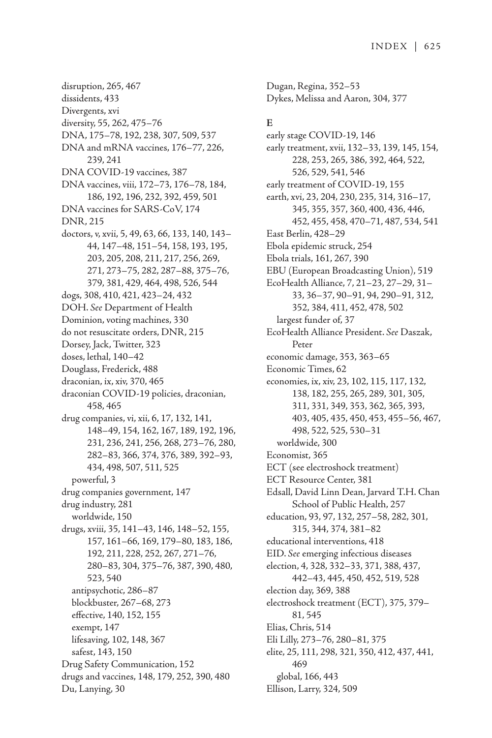disruption, 265, 467 dissidents, 433 Divergents, xvi diversity, 55, 262, 475–76 DNA, 175–78, 192, 238, 307, 509, 537 DNA and mRNA vaccines, 176–77, 226, 239, 241 DNA COVID-19 vaccines, 387 DNA vaccines, viii, 172–73, 176–78, 184, 186, 192, 196, 232, 392, 459, 501 DNA vaccines for SARS-CoV, 174 DNR, 215 doctors, v, xvii, 5, 49, 63, 66, 133, 140, 143– 44, 147–48, 151–54, 158, 193, 195, 203, 205, 208, 211, 217, 256, 269, 271, 273–75, 282, 287–88, 375–76, 379, 381, 429, 464, 498, 526, 544 dogs, 308, 410, 421, 423–24, 432 DOH. *See* Department of Health Dominion, voting machines, 330 do not resuscitate orders, DNR, 215 Dorsey, Jack, Twitter, 323 doses, lethal, 140–42 Douglass, Frederick, 488 draconian, ix, xiv, 370, 465 draconian COVID-19 policies, draconian, 458, 465 drug companies, vi, xii, 6, 17, 132, 141, 148–49, 154, 162, 167, 189, 192, 196, 231, 236, 241, 256, 268, 273–76, 280, 282–83, 366, 374, 376, 389, 392–93, 434, 498, 507, 511, 525 powerful, 3 drug companies government, 147 drug industry, 281 worldwide, 150 drugs, xviii, 35, 141–43, 146, 148–52, 155, 157, 161–66, 169, 179–80, 183, 186, 192, 211, 228, 252, 267, 271–76, 280–83, 304, 375–76, 387, 390, 480, 523, 540 antipsychotic, 286–87 blockbuster, 267–68, 273 effective, 140, 152, 155 exempt, 147 lifesaving, 102, 148, 367 safest, 143, 150 Drug Safety Communication, 152 drugs and vaccines, 148, 179, 252, 390, 480 Du, Lanying, 30

Dugan, Regina, 352–53 Dykes, Melissa and Aaron, 304, 377

#### **E**

early stage COVID-19, 146 early treatment, xvii, 132–33, 139, 145, 154, 228, 253, 265, 386, 392, 464, 522, 526, 529, 541, 546 early treatment of COVID-19, 155 earth, xvi, 23, 204, 230, 235, 314, 316–17, 345, 355, 357, 360, 400, 436, 446, 452, 455, 458, 470–71, 487, 534, 541 East Berlin, 428–29 Ebola epidemic struck, 254 Ebola trials, 161, 267, 390 EBU (European Broadcasting Union), 519 EcoHealth Alliance, 7, 21–23, 27–29, 31– 33, 36–37, 90–91, 94, 290–91, 312, 352, 384, 411, 452, 478, 502 largest funder of, 37 EcoHealth Alliance President. *See* Daszak, Peter economic damage, 353, 363–65 Economic Times, 62 economies, ix, xiv, 23, 102, 115, 117, 132, 138, 182, 255, 265, 289, 301, 305, 311, 331, 349, 353, 362, 365, 393, 403, 405, 435, 450, 453, 455–56, 467, 498, 522, 525, 530–31 worldwide, 300 Economist, 365 ECT (see electroshock treatment) ECT Resource Center, 381 Edsall, David Linn Dean, Jarvard T.H. Chan School of Public Health, 257 education, 93, 97, 132, 257–58, 282, 301, 315, 344, 374, 381–82 educational interventions, 418 EID. *See* emerging infectious diseases election, 4, 328, 332–33, 371, 388, 437, 442–43, 445, 450, 452, 519, 528 election day, 369, 388 electroshock treatment (ECT), 375, 379– 81, 545 Elias, Chris, 514 Eli Lilly, 273–76, 280–81, 375 elite, 25, 111, 298, 321, 350, 412, 437, 441, 469 global, 166, 443 Ellison, Larry, 324, 509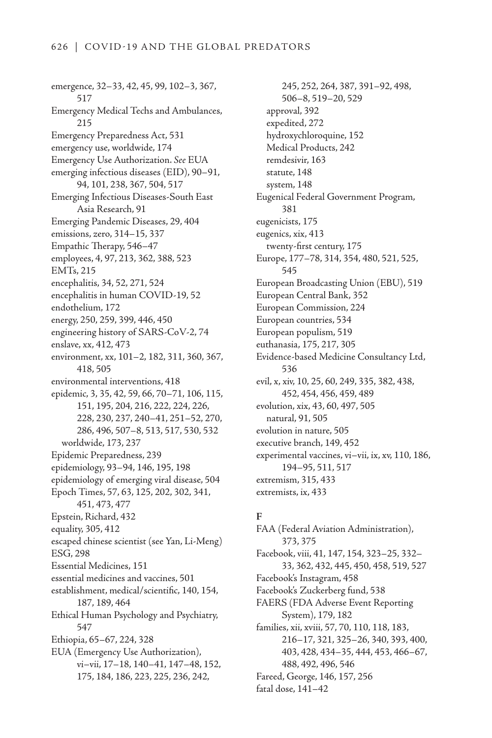emergence, 32–33, 42, 45, 99, 102–3, 367, 517 Emergency Medical Techs and Ambulances, 215 Emergency Preparedness Act, 531 emergency use, worldwide, 174 Emergency Use Authorization. *See* EUA emerging infectious diseases (EID), 90–91, 94, 101, 238, 367, 504, 517 Emerging Infectious Diseases-South East Asia Research, 91 Emerging Pandemic Diseases, 29, 404 emissions, zero, 314–15, 337 Empathic Therapy, 546–47 employees, 4, 97, 213, 362, 388, 523 EMTs, 215 encephalitis, 34, 52, 271, 524 encephalitis in human COVID-19, 52 endothelium, 172 energy, 250, 259, 399, 446, 450 engineering history of SARS-CoV-2, 74 enslave, xx, 412, 473 environment, xx, 101–2, 182, 311, 360, 367, 418, 505 environmental interventions, 418 epidemic, 3, 35, 42, 59, 66, 70–71, 106, 115, 151, 195, 204, 216, 222, 224, 226, 228, 230, 237, 240–41, 251–52, 270, 286, 496, 507–8, 513, 517, 530, 532 worldwide, 173, 237 Epidemic Preparedness, 239 epidemiology, 93–94, 146, 195, 198 epidemiology of emerging viral disease, 504 Epoch Times, 57, 63, 125, 202, 302, 341, 451, 473, 477 Epstein, Richard, 432 equality, 305, 412 escaped chinese scientist (see Yan, Li-Meng) ESG, 298 Essential Medicines, 151 essential medicines and vaccines, 501 establishment, medical/scientific, 140, 154, 187, 189, 464 Ethical Human Psychology and Psychiatry, 547 Ethiopia, 65–67, 224, 328 EUA (Emergency Use Authorization), vi–vii, 17–18, 140–41, 147–48, 152, 175, 184, 186, 223, 225, 236, 242,

245, 252, 264, 387, 391–92, 498, 506–8, 519–20, 529 approval, 392 expedited, 272 hydroxychloroquine, 152 Medical Products, 242 remdesivir, 163 statute, 148 system, 148 Eugenical Federal Government Program, 381 eugenicists, 175 eugenics, xix, 413 twenty-first century, 175 Europe, 177–78, 314, 354, 480, 521, 525, 545 European Broadcasting Union (EBU), 519 European Central Bank, 352 European Commission, 224 European countries, 534 European populism, 519 euthanasia, 175, 217, 305 Evidence-based Medicine Consultancy Ltd, 536 evil, x, xiv, 10, 25, 60, 249, 335, 382, 438, 452, 454, 456, 459, 489 evolution, xix, 43, 60, 497, 505 natural, 91, 505 evolution in nature, 505 executive branch, 149, 452 experimental vaccines, vi–vii, ix, xv, 110, 186, 194–95, 511, 517 extremism, 315, 433 extremists, ix, 433

### **F**

FAA (Federal Aviation Administration), 373, 375 Facebook, viii, 41, 147, 154, 323–25, 332– 33, 362, 432, 445, 450, 458, 519, 527 Facebook's Instagram, 458 Facebook's Zuckerberg fund, 538 FAERS (FDA Adverse Event Reporting System), 179, 182 families, xii, xviii, 57, 70, 110, 118, 183, 216–17, 321, 325–26, 340, 393, 400, 403, 428, 434–35, 444, 453, 466–67, 488, 492, 496, 546 Fareed, George, 146, 157, 256 fatal dose, 141–42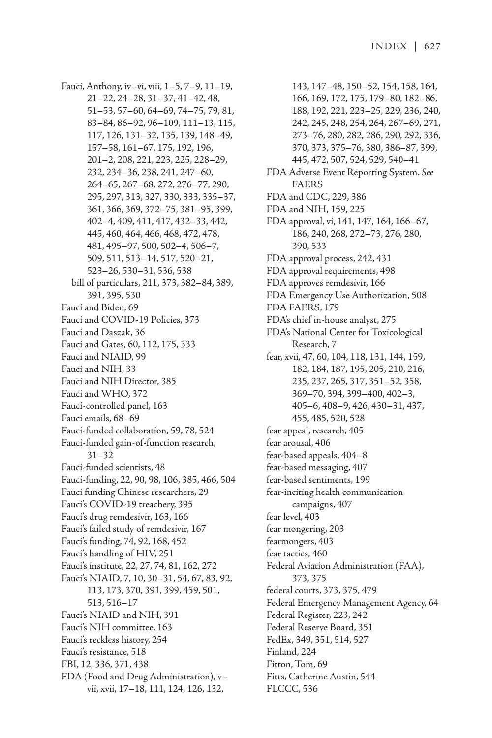143, 147–48, 150–52, 154, 158, 164, 166, 169, 172, 175, 179–80, 182–86, 188, 192, 221, 223–25, 229, 236, 240,

Fauci, Anthony, iv–vi, viii, 1–5, 7–9, 11–19, 21–22, 24–28, 31–37, 41–42, 48, 51–53, 57–60, 64–69, 74–75, 79, 81, 83–84, 86–92, 96–109, 111–13, 115, 117, 126, 131–32, 135, 139, 148–49, 157–58, 161–67, 175, 192, 196, 201–2, 208, 221, 223, 225, 228–29, 232, 234–36, 238, 241, 247–60, 264–65, 267–68, 272, 276–77, 290, 295, 297, 313, 327, 330, 333, 335–37, 361, 366, 369, 372–75, 381–95, 399, 402–4, 409, 411, 417, 432–33, 442, 445, 460, 464, 466, 468, 472, 478, 481, 495–97, 500, 502–4, 506–7, 509, 511, 513–14, 517, 520–21, 523–26, 530–31, 536, 538 bill of particulars, 211, 373, 382–84, 389, 391, 395, 530 Fauci and Biden, 69 Fauci and COVID-19 Policies, 373 Fauci and Daszak, 36 Fauci and Gates, 60, 112, 175, 333 Fauci and NIAID, 99 Fauci and NIH, 33 Fauci and NIH Director, 385 Fauci and WHO, 372 Fauci-controlled panel, 163 Fauci emails, 68–69 Fauci-funded collaboration, 59, 78, 524 Fauci-funded gain-of-function research, 31–32 Fauci-funded scientists, 48 Fauci-funding, 22, 90, 98, 106, 385, 466, 504 Fauci funding Chinese researchers, 29 Fauci's COVID-19 treachery, 395 Fauci's drug remdesivir, 163, 166 Fauci's failed study of remdesivir, 167 Fauci's funding, 74, 92, 168, 452 Fauci's handling of HIV, 251 Fauci's institute, 22, 27, 74, 81, 162, 272 Fauci's NIAID, 7, 10, 30–31, 54, 67, 83, 92, 113, 173, 370, 391, 399, 459, 501, 513, 516–17 Fauci's NIAID and NIH, 391 Fauci's NIH committee, 163 Fauci's reckless history, 254 Fauci's resistance, 518 FBI, 12, 336, 371, 438 FDA (Food and Drug Administration), v– vii, xvii, 17–18, 111, 124, 126, 132,

242, 245, 248, 254, 264, 267–69, 271, 273–76, 280, 282, 286, 290, 292, 336, 370, 373, 375–76, 380, 386–87, 399, 445, 472, 507, 524, 529, 540–41 FDA Adverse Event Reporting System. *See* FAERS FDA and CDC, 229, 386 FDA and NIH, 159, 225 FDA approval, vi, 141, 147, 164, 166–67, 186, 240, 268, 272–73, 276, 280, 390, 533 FDA approval process, 242, 431 FDA approval requirements, 498 FDA approves remdesivir, 166 FDA Emergency Use Authorization, 508 FDA FAERS, 179 FDA's chief in-house analyst, 275 FDA's National Center for Toxicological Research, 7 fear, xvii, 47, 60, 104, 118, 131, 144, 159, 182, 184, 187, 195, 205, 210, 216, 235, 237, 265, 317, 351–52, 358, 369–70, 394, 399–400, 402–3, 405–6, 408–9, 426, 430–31, 437, 455, 485, 520, 528 fear appeal, research, 405 fear arousal, 406 fear-based appeals, 404–8 fear-based messaging, 407 fear-based sentiments, 199 fear-inciting health communication campaigns, 407 fear level, 403 fear mongering, 203 fearmongers, 403 fear tactics, 460 Federal Aviation Administration (FAA), 373, 375 federal courts, 373, 375, 479 Federal Emergency Management Agency, 64 Federal Register, 223, 242 Federal Reserve Board, 351 FedEx, 349, 351, 514, 527

- Finland, 224
- Fitton, Tom, 69

FLCCC, 536

Fitts, Catherine Austin, 544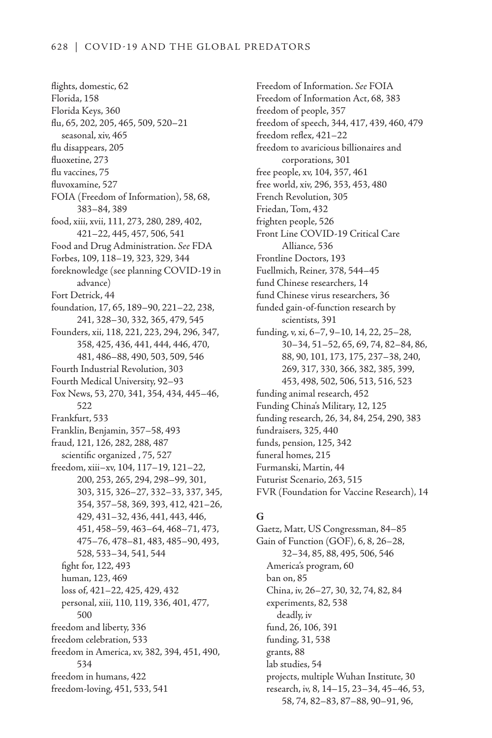flights, domestic, 62 Florida, 158 Florida Keys, 360 flu, 65, 202, 205, 465, 509, 520–21 seasonal, xiv, 465 flu disappears, 205 fluoxetine, 273 flu vaccines, 75 fluvoxamine, 527 FOIA (Freedom of Information), 58, 68, 383–84, 389 food, xiii, xvii, 111, 273, 280, 289, 402, 421–22, 445, 457, 506, 541 Food and Drug Administration. *See* FDA Forbes, 109, 118–19, 323, 329, 344 foreknowledge (see planning COVID-19 in advance) Fort Detrick, 44 foundation, 17, 65, 189–90, 221–22, 238, 241, 328–30, 332, 365, 479, 545 Founders, xii, 118, 221, 223, 294, 296, 347, 358, 425, 436, 441, 444, 446, 470, 481, 486–88, 490, 503, 509, 546 Fourth Industrial Revolution, 303 Fourth Medical University, 92–93 Fox News, 53, 270, 341, 354, 434, 445–46, 522 Frankfurt, 533 Franklin, Benjamin, 357–58, 493 fraud, 121, 126, 282, 288, 487 scientific organized , 75, 527 freedom, xiii–xv, 104, 117–19, 121–22, 200, 253, 265, 294, 298–99, 301, 303, 315, 326–27, 332–33, 337, 345, 354, 357–58, 369, 393, 412, 421–26, 429, 431–32, 436, 441, 443, 446, 451, 458–59, 463–64, 468–71, 473, 475–76, 478–81, 483, 485–90, 493, 528, 533–34, 541, 544 fight for, 122, 493 human, 123, 469 loss of, 421–22, 425, 429, 432 personal, xiii, 110, 119, 336, 401, 477, 500 freedom and liberty, 336 freedom celebration, 533 freedom in America, xv, 382, 394, 451, 490, 534 freedom in humans, 422 freedom-loving, 451, 533, 541

Freedom of Information. *See* FOIA Freedom of Information Act, 68, 383 freedom of people, 357 freedom of speech, 344, 417, 439, 460, 479 freedom reflex, 421–22 freedom to avaricious billionaires and corporations, 301 free people, xv, 104, 357, 461 free world, xiv, 296, 353, 453, 480 French Revolution, 305 Friedan, Tom, 432 frighten people, 526 Front Line COVID-19 Critical Care Alliance, 536 Frontline Doctors, 193 Fuellmich, Reiner, 378, 544–45 fund Chinese researchers, 14 fund Chinese virus researchers, 36 funded gain-of-function research by scientists, 391 funding, v, xi, 6–7, 9–10, 14, 22, 25–28, 30–34, 51–52, 65, 69, 74, 82–84, 86, 88, 90, 101, 173, 175, 237–38, 240, 269, 317, 330, 366, 382, 385, 399, 453, 498, 502, 506, 513, 516, 523 funding animal research, 452 Funding China's Military, 12, 125 funding research, 26, 34, 84, 254, 290, 383 fundraisers, 325, 440 funds, pension, 125, 342 funeral homes, 215 Furmanski, Martin, 44 Futurist Scenario, 263, 515 FVR (Foundation for Vaccine Research), 14

# **G**

Gaetz, Matt, US Congressman, 84–85 Gain of Function (GOF), 6, 8, 26–28, 32–34, 85, 88, 495, 506, 546 America's program, 60 ban on, 85 China, iv, 26–27, 30, 32, 74, 82, 84 experiments, 82, 538 deadly, iv fund, 26, 106, 391 funding, 31, 538 grants, 88 lab studies, 54 projects, multiple Wuhan Institute, 30 research, iv, 8, 14–15, 23–34, 45–46, 53, 58, 74, 82–83, 87–88, 90–91, 96,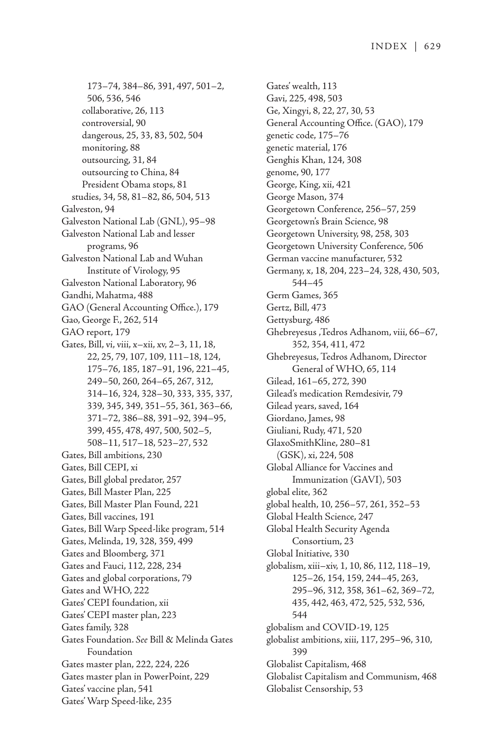173–74, 384–86, 391, 497, 501–2, 506, 536, 546 collaborative, 26, 113 controversial, 90 dangerous, 25, 33, 83, 502, 504 monitoring, 88 outsourcing, 31, 84 outsourcing to China, 84 President Obama stops, 81 studies, 34, 58, 81–82, 86, 504, 513 Galveston, 94 Galveston National Lab (GNL), 95–98 Galveston National Lab and lesser programs, 96 Galveston National Lab and Wuhan Institute of Virology, 95 Galveston National Laboratory, 96 Gandhi, Mahatma, 488 GAO (General Accounting Office.), 179 Gao, George F., 262, 514 GAO report, 179 Gates, Bill, vi, viii, x–xii, xv, 2–3, 11, 18, 22, 25, 79, 107, 109, 111–18, 124, 175–76, 185, 187–91, 196, 221–45, 249–50, 260, 264–65, 267, 312, 314–16, 324, 328–30, 333, 335, 337, 339, 345, 349, 351–55, 361, 363–66, 371–72, 386–88, 391–92, 394–95, 399, 455, 478, 497, 500, 502–5, 508–11, 517–18, 523–27, 532 Gates, Bill ambitions, 230 Gates, Bill CEPI, xi Gates, Bill global predator, 257 Gates, Bill Master Plan, 225 Gates, Bill Master Plan Found, 221 Gates, Bill vaccines, 191 Gates, Bill Warp Speed-like program, 514 Gates, Melinda, 19, 328, 359, 499 Gates and Bloomberg, 371 Gates and Fauci, 112, 228, 234 Gates and global corporations, 79 Gates and WHO, 222 Gates' CEPI foundation, xii Gates' CEPI master plan, 223 Gates family, 328 Gates Foundation. *See* Bill & Melinda Gates Foundation Gates master plan, 222, 224, 226 Gates master plan in PowerPoint, 229 Gates' vaccine plan, 541 Gates' Warp Speed-like, 235

Gates' wealth, 113 Gavi, 225, 498, 503 Ge, Xingyi, 8, 22, 27, 30, 53 General Accounting Office. (GAO), 179 genetic code, 175–76 genetic material, 176 Genghis Khan, 124, 308 genome, 90, 177 George, King, xii, 421 George Mason, 374 Georgetown Conference, 256–57, 259 Georgetown's Brain Science, 98 Georgetown University, 98, 258, 303 Georgetown University Conference, 506 German vaccine manufacturer, 532 Germany, x, 18, 204, 223–24, 328, 430, 503, 544–45 Germ Games, 365 Gertz, Bill, 473 Gettysburg, 486 Ghebreyesus ,Tedros Adhanom, viii, 66–67, 352, 354, 411, 472 Ghebreyesus, Tedros Adhanom, Director General of WHO, 65, 114 Gilead, 161–65, 272, 390 Gilead's medication Remdesivir, 79 Gilead years, saved, 164 Giordano, James, 98 Giuliani, Rudy, 471, 520 GlaxoSmithKline, 280–81 (GSK), xi, 224, 508 Global Alliance for Vaccines and Immunization (GAVI), 503 global elite, 362 global health, 10, 256–57, 261, 352–53 Global Health Science, 247 Global Health Security Agenda Consortium, 23 Global Initiative, 330 globalism, xiii–xiv, 1, 10, 86, 112, 118–19, 125–26, 154, 159, 244–45, 263, 295–96, 312, 358, 361–62, 369–72, 435, 442, 463, 472, 525, 532, 536, 544 globalism and COVID-19, 125 globalist ambitions, xiii, 117, 295–96, 310, 399 Globalist Capitalism, 468 Globalist Capitalism and Communism, 468 Globalist Censorship, 53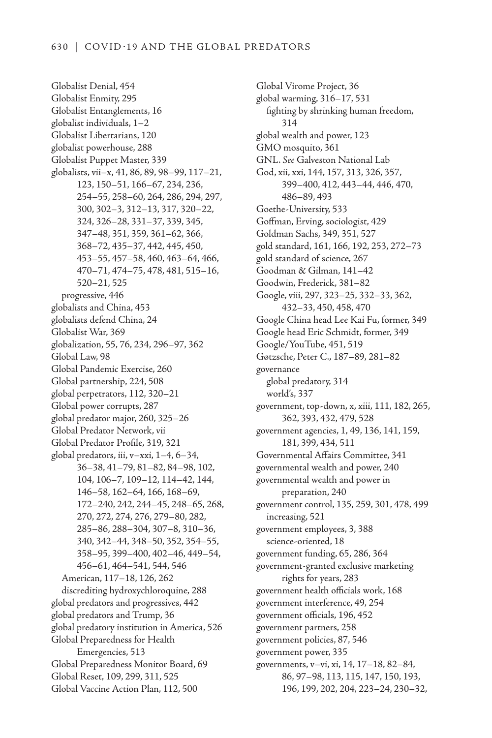Globalist Denial, 454 Globalist Enmity, 295 Globalist Entanglements, 16 globalist individuals, 1–2 Globalist Libertarians, 120 globalist powerhouse, 288 Globalist Puppet Master, 339 globalists, vii–x, 41, 86, 89, 98–99, 117–21, 123, 150–51, 166–67, 234, 236, 254–55, 258–60, 264, 286, 294, 297, 300, 302–3, 312–13, 317, 320–22, 324, 326–28, 331–37, 339, 345, 347–48, 351, 359, 361–62, 366, 368–72, 435–37, 442, 445, 450, 453–55, 457–58, 460, 463–64, 466, 470–71, 474–75, 478, 481, 515–16, 520–21, 525 progressive, 446 globalists and China, 453 globalists defend China, 24 Globalist War, 369 globalization, 55, 76, 234, 296–97, 362 Global Law, 98 Global Pandemic Exercise, 260 Global partnership, 224, 508 global perpetrators, 112, 320–21 Global power corrupts, 287 global predator major, 260, 325–26 Global Predator Network, vii Global Predator Profile, 319, 321 global predators, iii, v–xxi, 1–4, 6–34, 36–38, 41–79, 81–82, 84–98, 102, 104, 106–7, 109–12, 114–42, 144, 146–58, 162–64, 166, 168–69, 172–240, 242, 244–45, 248–65, 268, 270, 272, 274, 276, 279–80, 282, 285–86, 288–304, 307–8, 310–36, 340, 342–44, 348–50, 352, 354–55, 358–95, 399–400, 402–46, 449–54, 456–61, 464–541, 544, 546 American, 117–18, 126, 262 discrediting hydroxychloroquine, 288 global predators and progressives, 442 global predators and Trump, 36 global predatory institution in America, 526 Global Preparedness for Health Emergencies, 513 Global Preparedness Monitor Board, 69 Global Reset, 109, 299, 311, 525 Global Vaccine Action Plan, 112, 500

Global Virome Project, 36 global warming, 316–17, 531 fighting by shrinking human freedom, 314 global wealth and power, 123 GMO mosquito, 361 GNL. *See* Galveston National Lab God, xii, xxi, 144, 157, 313, 326, 357, 399–400, 412, 443–44, 446, 470, 486–89, 493 Goethe-University, 533 Goffman, Erving, sociologist, 429 Goldman Sachs, 349, 351, 527 gold standard, 161, 166, 192, 253, 272–73 gold standard of science, 267 Goodman & Gilman, 141–42 Goodwin, Frederick, 381–82 Google, viii, 297, 323–25, 332–33, 362, 432–33, 450, 458, 470 Google China head Lee Kai Fu, former, 349 Google head Eric Schmidt, former, 349 Google/YouTube, 451, 519 Gøtzsche, Peter C., 187–89, 281–82 governance global predatory, 314 world's, 337 government, top-down, x, xiii, 111, 182, 265, 362, 393, 432, 479, 528 government agencies, 1, 49, 136, 141, 159, 181, 399, 434, 511 Governmental Affairs Committee, 341 governmental wealth and power, 240 governmental wealth and power in preparation, 240 government control, 135, 259, 301, 478, 499 increasing, 521 government employees, 3, 388 science-oriented, 18 government funding, 65, 286, 364 government-granted exclusive marketing rights for years, 283 government health officials work, 168 government interference, 49, 254 government officials, 196, 452 government partners, 258 government policies, 87, 546 government power, 335 governments, v–vi, xi, 14, 17–18, 82–84, 86, 97–98, 113, 115, 147, 150, 193, 196, 199, 202, 204, 223–24, 230–32,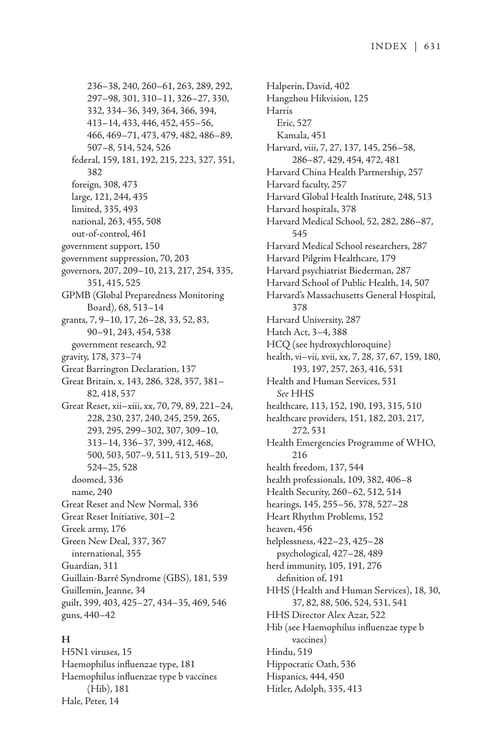236–38, 240, 260–61, 263, 289, 292, 297–98, 301, 310–11, 326–27, 330, 332, 334–36, 349, 364, 366, 394, 413–14, 433, 446, 452, 455–56, 466, 469–71, 473, 479, 482, 486–89, 507–8, 514, 524, 526 federal, 159, 181, 192, 215, 223, 327, 351, 382 foreign, 308, 473 large, 121, 244, 435 limited, 335, 493 national, 263, 455, 508 out-of-control, 461 government support, 150 government suppression, 70, 203 governors, 207, 209–10, 213, 217, 254, 335, 351, 415, 525 GPMB (Global Preparedness Monitoring Board), 68, 513–14 grants, 7, 9–10, 17, 26–28, 33, 52, 83, 90–91, 243, 454, 538 government research, 92 gravity, 178, 373–74 Great Barrington Declaration, 137 Great Britain, x, 143, 286, 328, 357, 381– 82, 418, 537 Great Reset, xii–xiii, xx, 70, 79, 89, 221–24, 228, 230, 237, 240, 245, 259, 265, 293, 295, 299–302, 307, 309–10, 313–14, 336–37, 399, 412, 468, 500, 503, 507–9, 511, 513, 519–20, 524–25, 528 doomed, 336 name, 240 Great Reset and New Normal, 336 Great Reset Initiative, 301–2 Greek army, 176 Green New Deal, 337, 367 international, 355 Guardian, 311 Guillain-Barré Syndrome (GBS), 181, 539 Guillemin, Jeanne, 34 guilt, 399, 403, 425–27, 434–35, 469, 546 guns, 440–42

### **H**

H5N1 viruses, 15 Haemophilus influenzae type, 181 Haemophilus influenzae type b vaccines (Hib), 181 Hale, Peter, 14

Halperin, David, 402 Hangzhou Hikvision, 125 Harris Eric, 527 Kamala, 451 Harvard, viii, 7, 27, 137, 145, 256–58, 286–87, 429, 454, 472, 481 Harvard China Health Partnership, 257 Harvard faculty, 257 Harvard Global Health Institute, 248, 513 Harvard hospitals, 378 Harvard Medical School, 52, 282, 286–87, 545 Harvard Medical School researchers, 287 Harvard Pilgrim Healthcare, 179 Harvard psychiatrist Biederman, 287 Harvard School of Public Health, 14, 507 Harvard's Massachusetts General Hospital, 378 Harvard University, 287 Hatch Act, 3–4, 388 HCQ (see hydroxychloroquine) health, vi–vii, xvii, xx, 7, 28, 37, 67, 159, 180, 193, 197, 257, 263, 416, 531 Health and Human Services, 531 *See* HHS healthcare, 113, 152, 190, 193, 315, 510 healthcare providers, 151, 182, 203, 217, 272, 531 Health Emergencies Programme of WHO, 216 health freedom, 137, 544 health professionals, 109, 382, 406–8 Health Security, 260–62, 512, 514 hearings, 145, 255–56, 378, 527–28 Heart Rhythm Problems, 152 heaven, 456 helplessness, 422–23, 425–28 psychological, 427–28, 489 herd immunity, 105, 191, 276 definition of, 191 HHS (Health and Human Services), 18, 30, 37, 82, 88, 506, 524, 531, 541 HHS Director Alex Azar, 522 Hib (see Haemophilus influenzae type b vaccines) Hindu, 519 Hippocratic Oath, 536 Hispanics, 444, 450 Hitler, Adolph, 335, 413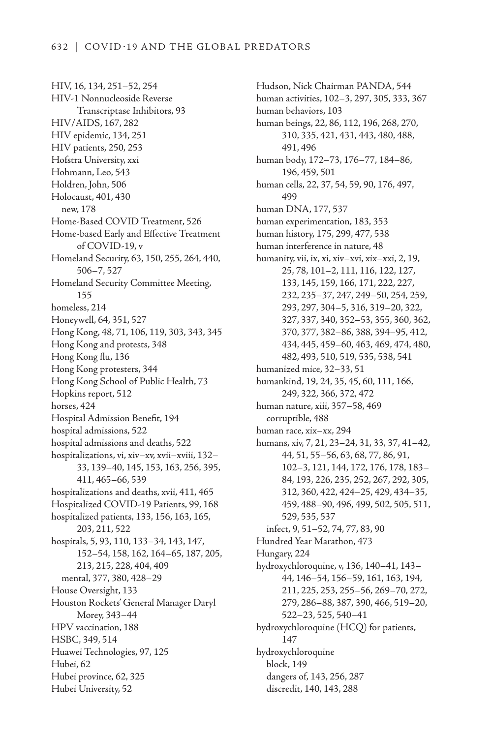HIV, 16, 134, 251–52, 254 HIV-1 Nonnucleoside Reverse Transcriptase Inhibitors, 93 HIV/AIDS, 167, 282 HIV epidemic, 134, 251 HIV patients, 250, 253 Hofstra University, xxi Hohmann, Leo, 543 Holdren, John, 506 Holocaust, 401, 430 new, 178 Home-Based COVID Treatment, 526 Home-based Early and Effective Treatment of COVID-19, v Homeland Security, 63, 150, 255, 264, 440, 506–7, 527 Homeland Security Committee Meeting, 155 homeless, 214 Honeywell, 64, 351, 527 Hong Kong, 48, 71, 106, 119, 303, 343, 345 Hong Kong and protests, 348 Hong Kong flu, 136 Hong Kong protesters, 344 Hong Kong School of Public Health, 73 Hopkins report, 512 horses, 424 Hospital Admission Benefit, 194 hospital admissions, 522 hospital admissions and deaths, 522 hospitalizations, vi, xiv–xv, xvii–xviii, 132– 33, 139–40, 145, 153, 163, 256, 395, 411, 465–66, 539 hospitalizations and deaths, xvii, 411, 465 Hospitalized COVID-19 Patients, 99, 168 hospitalized patients, 133, 156, 163, 165, 203, 211, 522 hospitals, 5, 93, 110, 133–34, 143, 147, 152–54, 158, 162, 164–65, 187, 205, 213, 215, 228, 404, 409 mental, 377, 380, 428–29 House Oversight, 133 Houston Rockets' General Manager Daryl Morey, 343–44 HPV vaccination, 188 HSBC, 349, 514 Huawei Technologies, 97, 125 Hubei, 62 Hubei province, 62, 325 Hubei University, 52

Hudson, Nick Chairman PANDA, 544 human activities, 102–3, 297, 305, 333, 367 human behaviors, 103 human beings, 22, 86, 112, 196, 268, 270, 310, 335, 421, 431, 443, 480, 488, 491, 496 human body, 172–73, 176–77, 184–86, 196, 459, 501 human cells, 22, 37, 54, 59, 90, 176, 497, 499 human DNA, 177, 537 human experimentation, 183, 353 human history, 175, 299, 477, 538 human interference in nature, 48 humanity, vii, ix, xi, xiv–xvi, xix–xxi, 2, 19, 25, 78, 101–2, 111, 116, 122, 127, 133, 145, 159, 166, 171, 222, 227, 232, 235–37, 247, 249–50, 254, 259, 293, 297, 304–5, 316, 319–20, 322, 327, 337, 340, 352–53, 355, 360, 362, 370, 377, 382–86, 388, 394–95, 412, 434, 445, 459–60, 463, 469, 474, 480, 482, 493, 510, 519, 535, 538, 541 humanized mice, 32–33, 51 humankind, 19, 24, 35, 45, 60, 111, 166, 249, 322, 366, 372, 472 human nature, xiii, 357–58, 469 corruptible, 488 human race, xix–xx, 294 humans, xiv, 7, 21, 23–24, 31, 33, 37, 41–42, 44, 51, 55–56, 63, 68, 77, 86, 91, 102–3, 121, 144, 172, 176, 178, 183– 84, 193, 226, 235, 252, 267, 292, 305, 312, 360, 422, 424–25, 429, 434–35, 459, 488–90, 496, 499, 502, 505, 511, 529, 535, 537 infect, 9, 51–52, 74, 77, 83, 90 Hundred Year Marathon, 473 Hungary, 224 hydroxychloroquine, v, 136, 140–41, 143– 44, 146–54, 156–59, 161, 163, 194, 211, 225, 253, 255–56, 269–70, 272, 279, 286–88, 387, 390, 466, 519–20, 522–23, 525, 540–41 hydroxychloroquine (HCQ) for patients, 147 hydroxychloroquine block, 149 dangers of, 143, 256, 287 discredit, 140, 143, 288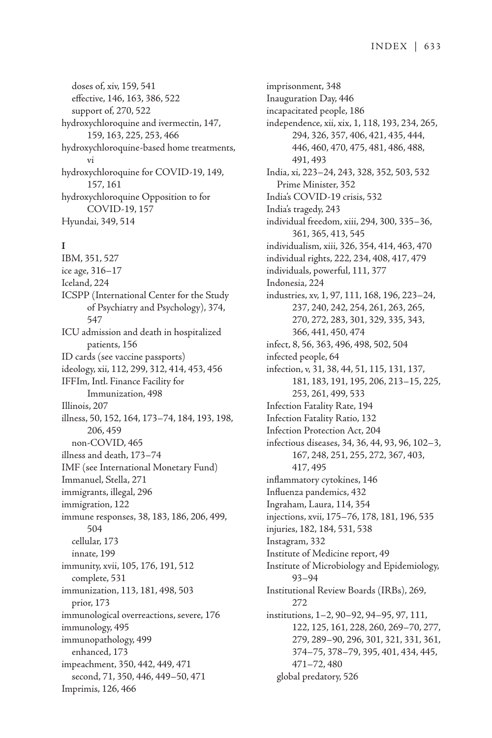doses of, xiv, 159, 541 effective, 146, 163, 386, 522 support of, 270, 522 hydroxychloroquine and ivermectin, 147, 159, 163, 225, 253, 466 hydroxychloroquine-based home treatments, vi hydroxychloroquine for COVID-19, 149, 157, 161 hydroxychloroquine Opposition to for COVID-19, 157 Hyundai, 349, 514

# **I**

IBM, 351, 527 ice age, 316–17 Iceland, 224 ICSPP (International Center for the Study of Psychiatry and Psychology), 374, 547 ICU admission and death in hospitalized patients, 156 ID cards (see vaccine passports) ideology, xii, 112, 299, 312, 414, 453, 456 IFFIm, Intl. Finance Facility for Immunization, 498 Illinois, 207 illness, 50, 152, 164, 173–74, 184, 193, 198, 206, 459 non-COVID, 465 illness and death, 173–74 IMF (see International Monetary Fund) Immanuel, Stella, 271 immigrants, illegal, 296 immigration, 122 immune responses, 38, 183, 186, 206, 499, 504 cellular, 173 innate, 199 immunity, xvii, 105, 176, 191, 512 complete, 531 immunization, 113, 181, 498, 503 prior, 173 immunological overreactions, severe, 176 immunology, 495 immunopathology, 499 enhanced, 173 impeachment, 350, 442, 449, 471 second, 71, 350, 446, 449–50, 471 Imprimis, 126, 466

imprisonment, 348 Inauguration Day, 446 incapacitated people, 186 independence, xii, xix, 1, 118, 193, 234, 265, 294, 326, 357, 406, 421, 435, 444, 446, 460, 470, 475, 481, 486, 488, 491, 493 India, xi, 223–24, 243, 328, 352, 503, 532 Prime Minister, 352 India's COVID-19 crisis, 532 India's tragedy, 243 individual freedom, xiii, 294, 300, 335–36, 361, 365, 413, 545 individualism, xiii, 326, 354, 414, 463, 470 individual rights, 222, 234, 408, 417, 479 individuals, powerful, 111, 377 Indonesia, 224 industries, xv, 1, 97, 111, 168, 196, 223–24, 237, 240, 242, 254, 261, 263, 265, 270, 272, 283, 301, 329, 335, 343, 366, 441, 450, 474 infect, 8, 56, 363, 496, 498, 502, 504 infected people, 64 infection, v, 31, 38, 44, 51, 115, 131, 137, 181, 183, 191, 195, 206, 213–15, 225, 253, 261, 499, 533 Infection Fatality Rate, 194 Infection Fatality Ratio, 132 Infection Protection Act, 204 infectious diseases, 34, 36, 44, 93, 96, 102–3, 167, 248, 251, 255, 272, 367, 403, 417, 495 inflammatory cytokines, 146 Influenza pandemics, 432 Ingraham, Laura, 114, 354 injections, xvii, 175–76, 178, 181, 196, 535 injuries, 182, 184, 531, 538 Instagram, 332 Institute of Medicine report, 49 Institute of Microbiology and Epidemiology, 93–94 Institutional Review Boards (IRBs), 269, 272 institutions, 1–2, 90–92, 94–95, 97, 111, 122, 125, 161, 228, 260, 269–70, 277, 279, 289–90, 296, 301, 321, 331, 361, 374–75, 378–79, 395, 401, 434, 445, 471–72, 480 global predatory, 526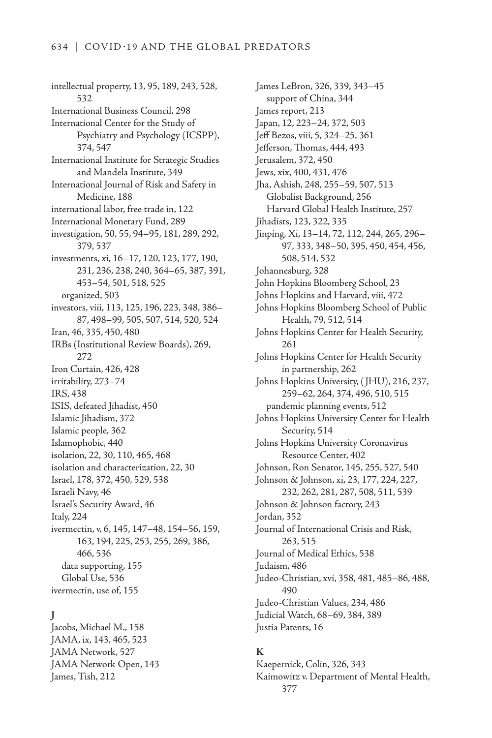intellectual property, 13, 95, 189, 243, 528, 532 International Business Council, 298 International Center for the Study of Psychiatry and Psychology (ICSPP), 374, 547 International Institute for Strategic Studies and Mandela Institute, 349 International Journal of Risk and Safety in Medicine, 188 international labor, free trade in, 122 International Monetary Fund, 289 investigation, 50, 55, 94–95, 181, 289, 292, 379, 537 investments, xi, 16–17, 120, 123, 177, 190, 231, 236, 238, 240, 364–65, 387, 391, 453–54, 501, 518, 525 organized, 503 investors, viii, 113, 125, 196, 223, 348, 386– 87, 498–99, 505, 507, 514, 520, 524 Iran, 46, 335, 450, 480 IRBs (Institutional Review Boards), 269, 272 Iron Curtain, 426, 428 irritability, 273–74 IRS, 438 ISIS, defeated Jihadist, 450 Islamic Jihadism, 372 Islamic people, 362 Islamophobic, 440 isolation, 22, 30, 110, 465, 468 isolation and characterization, 22, 30 Israel, 178, 372, 450, 529, 538 Israeli Navy, 46 Israel's Security Award, 46 Italy, 224 ivermectin, v, 6, 145, 147–48, 154–56, 159, 163, 194, 225, 253, 255, 269, 386, 466, 536 data supporting, 155 Global Use, 536 ivermectin, use of, 155

# **J**

Jacobs, Michael M., 158 JAMA, ix, 143, 465, 523 JAMA Network, 527 JAMA Network Open, 143 James, Tish, 212

James LeBron, 326, 339, 343–45 support of China, 344 James report, 213 Japan, 12, 223–24, 372, 503 Jeff Bezos, viii, 5, 324–25, 361 Jefferson, Thomas, 444, 493 Jerusalem, 372, 450 Jews, xix, 400, 431, 476 Jha, Ashish, 248, 255–59, 507, 513 Globalist Background, 256 Harvard Global Health Institute, 257 Jihadists, 123, 322, 335 Jinping, Xi, 13–14, 72, 112, 244, 265, 296– 97, 333, 348–50, 395, 450, 454, 456, 508, 514, 532 Johannesburg, 328 John Hopkins Bloomberg School, 23 Johns Hopkins and Harvard, viii, 472 Johns Hopkins Bloomberg School of Public Health, 79, 512, 514 Johns Hopkins Center for Health Security, 261 Johns Hopkins Center for Health Security in partnership, 262 Johns Hopkins University, ( JHU), 216, 237, 259–62, 264, 374, 496, 510, 515 pandemic planning events, 512 Johns Hopkins University Center for Health Security, 514 Johns Hopkins University Coronavirus Resource Center, 402 Johnson, Ron Senator, 145, 255, 527, 540 Johnson & Johnson, xi, 23, 177, 224, 227, 232, 262, 281, 287, 508, 511, 539 Johnson & Johnson factory, 243 Jordan, 352 Journal of International Crisis and Risk, 263, 515 Journal of Medical Ethics, 538 Judaism, 486 Judeo-Christian, xvi, 358, 481, 485–86, 488, 490 Judeo-Christian Values, 234, 486 Judicial Watch, 68–69, 384, 389 Justia Patents, 16

#### **K**

Kaepernick, Colin, 326, 343 Kaimowitz v. Department of Mental Health, 377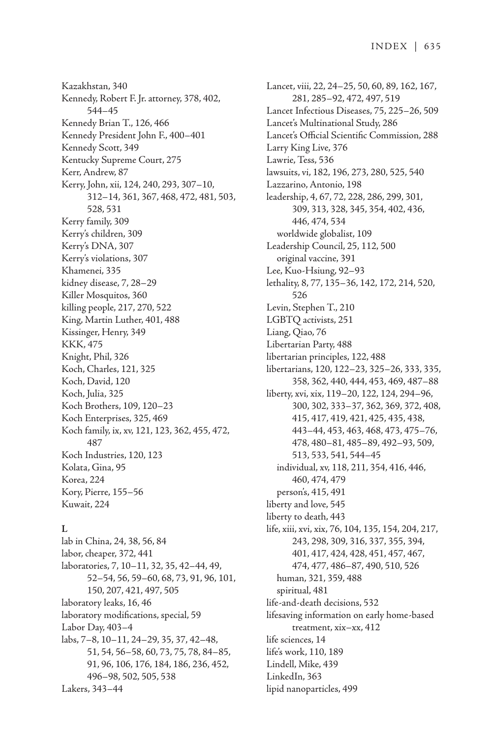Kazakhstan, 340 Kennedy, Robert F. Jr. attorney, 378, 402, 544–45 Kennedy Brian T., 126, 466 Kennedy President John F., 400–401 Kennedy Scott, 349 Kentucky Supreme Court, 275 Kerr, Andrew, 87 Kerry, John, xii, 124, 240, 293, 307–10, 312–14, 361, 367, 468, 472, 481, 503, 528, 531 Kerry family, 309 Kerry's children, 309 Kerry's DNA, 307 Kerry's violations, 307 Khamenei, 335 kidney disease, 7, 28–29 Killer Mosquitos, 360 killing people, 217, 270, 522 King, Martin Luther, 401, 488 Kissinger, Henry, 349 KKK, 475 Knight, Phil, 326 Koch, Charles, 121, 325 Koch, David, 120 Koch, Julia, 325 Koch Brothers, 109, 120–23 Koch Enterprises, 325, 469 Koch family, ix, xv, 121, 123, 362, 455, 472, 487 Koch Industries, 120, 123 Kolata, Gina, 95 Korea, 224 Kory, Pierre, 155–56 Kuwait, 224

## **L**

lab in China, 24, 38, 56, 84 labor, cheaper, 372, 441 laboratories, 7, 10–11, 32, 35, 42–44, 49, 52–54, 56, 59–60, 68, 73, 91, 96, 101, 150, 207, 421, 497, 505 laboratory leaks, 16, 46 laboratory modifications, special, 59 Labor Day, 403–4 labs, 7–8, 10–11, 24–29, 35, 37, 42–48, 51, 54, 56–58, 60, 73, 75, 78, 84–85, 91, 96, 106, 176, 184, 186, 236, 452, 496–98, 502, 505, 538 Lakers, 343–44

Lancet, viii, 22, 24–25, 50, 60, 89, 162, 167, 281, 285–92, 472, 497, 519 Lancet Infectious Diseases, 75, 225–26, 509 Lancet's Multinational Study, 286 Lancet's Official Scientific Commission, 288 Larry King Live, 376 Lawrie, Tess, 536 lawsuits, vi, 182, 196, 273, 280, 525, 540 Lazzarino, Antonio, 198 leadership, 4, 67, 72, 228, 286, 299, 301, 309, 313, 328, 345, 354, 402, 436, 446, 474, 534 worldwide globalist, 109 Leadership Council, 25, 112, 500 original vaccine, 391 Lee, Kuo-Hsiung, 92–93 lethality, 8, 77, 135–36, 142, 172, 214, 520, 526 Levin, Stephen T., 210 LGBTQ activists, 251 Liang, Qiao, 76 Libertarian Party, 488 libertarian principles, 122, 488 libertarians, 120, 122–23, 325–26, 333, 335, 358, 362, 440, 444, 453, 469, 487–88 liberty, xvi, xix, 119–20, 122, 124, 294–96, 300, 302, 333–37, 362, 369, 372, 408, 415, 417, 419, 421, 425, 435, 438, 443–44, 453, 463, 468, 473, 475–76, 478, 480–81, 485–89, 492–93, 509, 513, 533, 541, 544–45 individual, xv, 118, 211, 354, 416, 446, 460, 474, 479 person's, 415, 491 liberty and love, 545 liberty to death, 443 life, xiii, xvi, xix, 76, 104, 135, 154, 204, 217, 243, 298, 309, 316, 337, 355, 394, 401, 417, 424, 428, 451, 457, 467, 474, 477, 486–87, 490, 510, 526 human, 321, 359, 488 spiritual, 481 life-and-death decisions, 532 lifesaving information on early home-based treatment, xix–xx, 412 life sciences, 14 life's work, 110, 189 Lindell, Mike, 439 LinkedIn, 363 lipid nanoparticles, 499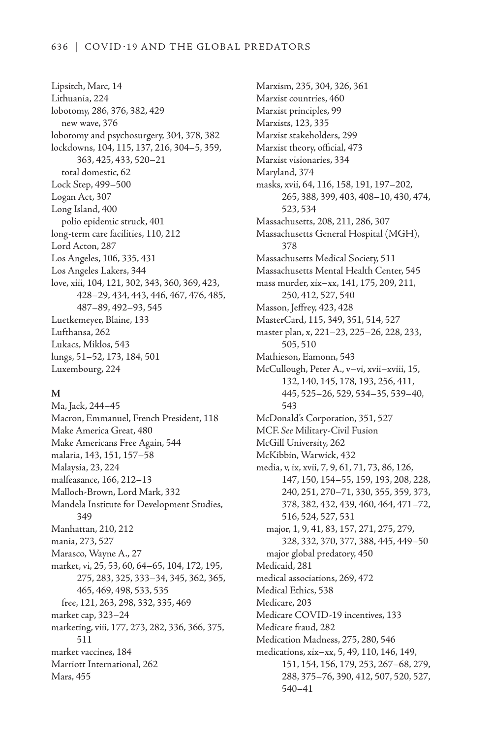Lipsitch, Marc, 14 Lithuania, 224 lobotomy, 286, 376, 382, 429 new wave, 376 lobotomy and psychosurgery, 304, 378, 382 lockdowns, 104, 115, 137, 216, 304–5, 359, 363, 425, 433, 520–21 total domestic, 62 Lock Step, 499–500 Logan Act, 307 Long Island, 400 polio epidemic struck, 401 long-term care facilities, 110, 212 Lord Acton, 287 Los Angeles, 106, 335, 431 Los Angeles Lakers, 344 love, xiii, 104, 121, 302, 343, 360, 369, 423, 428–29, 434, 443, 446, 467, 476, 485, 487–89, 492–93, 545 Luetkemeyer, Blaine, 133 Lufthansa, 262 Lukacs, Miklos, 543 lungs, 51–52, 173, 184, 501 Luxembourg, 224

### **M**

Ma, Jack, 244–45 Macron, Emmanuel, French President, 118 Make America Great, 480 Make Americans Free Again, 544 malaria, 143, 151, 157–58 Malaysia, 23, 224 malfeasance, 166, 212–13 Malloch-Brown, Lord Mark, 332 Mandela Institute for Development Studies, 349 Manhattan, 210, 212 mania, 273, 527 Marasco, Wayne A., 27 market, vi, 25, 53, 60, 64–65, 104, 172, 195, 275, 283, 325, 333–34, 345, 362, 365, 465, 469, 498, 533, 535 free, 121, 263, 298, 332, 335, 469 market cap, 323–24 marketing, viii, 177, 273, 282, 336, 366, 375, 511 market vaccines, 184 Marriott International, 262 Mars, 455

Marxism, 235, 304, 326, 361 Marxist countries, 460 Marxist principles, 99 Marxists, 123, 335 Marxist stakeholders, 299 Marxist theory, official, 473 Marxist visionaries, 334 Maryland, 374 masks, xvii, 64, 116, 158, 191, 197–202, 265, 388, 399, 403, 408–10, 430, 474, 523, 534 Massachusetts, 208, 211, 286, 307 Massachusetts General Hospital (MGH), 378 Massachusetts Medical Society, 511 Massachusetts Mental Health Center, 545 mass murder, xix–xx, 141, 175, 209, 211, 250, 412, 527, 540 Masson, Jeffrey, 423, 428 MasterCard, 115, 349, 351, 514, 527 master plan, x, 221–23, 225–26, 228, 233, 505, 510 Mathieson, Eamonn, 543 McCullough, Peter A., v–vi, xvii–xviii, 15, 132, 140, 145, 178, 193, 256, 411, 445, 525–26, 529, 534–35, 539–40, 543 McDonald's Corporation, 351, 527 MCF. *See* Military-Civil Fusion McGill University, 262 McKibbin, Warwick, 432 media, v, ix, xvii, 7, 9, 61, 71, 73, 86, 126, 147, 150, 154–55, 159, 193, 208, 228, 240, 251, 270–71, 330, 355, 359, 373, 378, 382, 432, 439, 460, 464, 471–72, 516, 524, 527, 531 major, 1, 9, 41, 83, 157, 271, 275, 279, 328, 332, 370, 377, 388, 445, 449–50 major global predatory, 450 Medicaid, 281 medical associations, 269, 472 Medical Ethics, 538 Medicare, 203 Medicare COVID-19 incentives, 133 Medicare fraud, 282 Medication Madness, 275, 280, 546 medications, xix–xx, 5, 49, 110, 146, 149, 151, 154, 156, 179, 253, 267–68, 279, 288, 375–76, 390, 412, 507, 520, 527, 540–41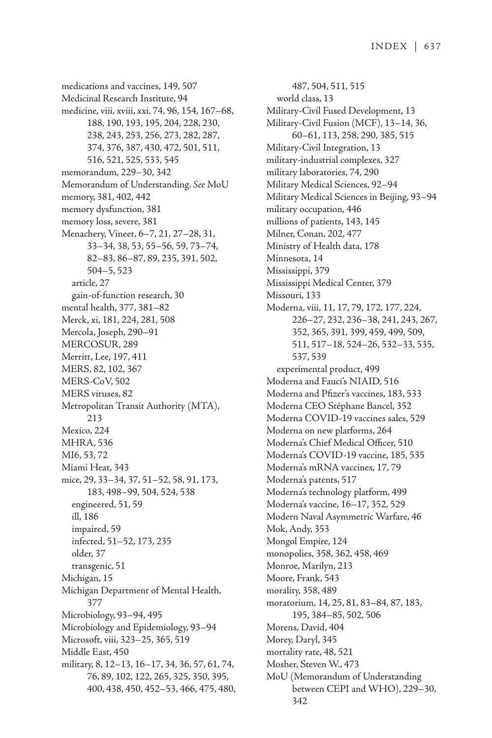medications and vaccines, 149, 507 Medicinal Research Institute, 94 medicine, viii, xviii, xxi, 74, 96, 154, 167–68, 188, 190, 193, 195, 204, 228, 230, 238, 243, 253, 256, 273, 282, 287, 374, 376, 387, 430, 472, 501, 511, 516, 521, 525, 533, 545 memorandum, 229–30, 342 Memorandum of Understanding. *See* MoU memory, 381, 402, 442 memory dysfunction, 381 memory loss, severe, 381 Menachery, Vineet, 6–7, 21, 27–28, 31, 33–34, 38, 53, 55–56, 59, 73–74, 82–83, 86–87, 89, 235, 391, 502, 504–5, 523 article, 27 gain-of-function research, 30 mental health, 377, 381–82 Merck, xi, 181, 224, 281, 508 Mercola, Joseph, 290–91 MERCOSUR, 289 Merritt, Lee, 197, 411 MERS, 82, 102, 367 MERS-CoV, 502 MERS viruses, 82 Metropolitan Transit Authority (MTA), 213 Mexico, 224 MHRA, 536 MI6, 53, 72 Miami Heat, 343 mice, 29, 33–34, 37, 51–52, 58, 91, 173, 183, 498–99, 504, 524, 538 engineered, 51, 59 ill, 186 impaired, 59 infected, 51–52, 173, 235 older, 37 transgenic, 51 Michigan, 15 Michigan Department of Mental Health, 377 Microbiology, 93–94, 495 Microbiology and Epidemiology, 93–94 Microsoft, viii, 323–25, 365, 519 Middle East, 450 military, 8, 12–13, 16–17, 34, 36, 57, 61, 74, 76, 89, 102, 122, 265, 325, 350, 395, 400, 438, 450, 452–53, 466, 475, 480,

487, 504, 511, 515 world class, 13 Military-Civil Fused Development, 13 Military-Civil Fusion (MCF), 13–14, 36, 60–61, 113, 258, 290, 385, 515 Military-Civil Integration, 13 military-industrial complexes, 327 military laboratories, 74, 290 Military Medical Sciences, 92–94 Military Medical Sciences in Beijing, 93–94 military occupation, 446 millions of patients, 143, 145 Milner, Conan, 202, 477 Ministry of Health data, 178 Minnesota, 14 Mississippi, 379 Mississippi Medical Center, 379 Missouri, 133 Moderna, viii, 11, 17, 79, 172, 177, 224, 226–27, 232, 236–38, 241, 243, 267, 352, 365, 391, 399, 459, 499, 509, 511, 517–18, 524–26, 532–33, 535, 537, 539 experimental product, 499 Moderna and Fauci's NIAID, 516 Moderna and Pfizer's vaccines, 183, 533 Moderna CEO Stéphane Bancel, 352 Moderna COVID-19 vaccines sales, 529 Moderna on new platforms, 264 Moderna's Chief Medical Officer, 510 Moderna's COVID-19 vaccine, 185, 535 Moderna's mRNA vaccines, 17, 79 Moderna's patents, 517 Moderna's technology platform, 499 Moderna's vaccine, 16–17, 352, 529 Modern Naval Asymmetric Warfare, 46 Mok, Andy, 353 Mongol Empire, 124 monopolies, 358, 362, 458, 469 Monroe, Marilyn, 213 Moore, Frank, 543 morality, 358, 489 moratorium, 14, 25, 81, 83–84, 87, 183, 195, 384–85, 502, 506 Morens, David, 404 Morey, Daryl, 345 mortality rate, 48, 521 Mosher, Steven W., 473 MoU (Memorandum of Understanding between CEPI and WHO), 229–30, 342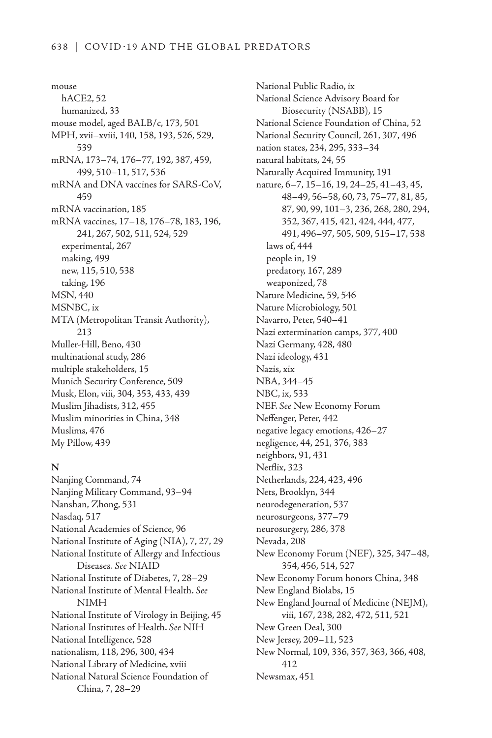mouse hACE2, 52 humanized, 33 mouse model, aged BALB/c, 173, 501 MPH, xvii–xviii, 140, 158, 193, 526, 529, 539 mRNA, 173–74, 176–77, 192, 387, 459, 499, 510–11, 517, 536 mRNA and DNA vaccines for SARS-CoV, 459 mRNA vaccination, 185 mRNA vaccines, 17–18, 176–78, 183, 196, 241, 267, 502, 511, 524, 529 experimental, 267 making, 499 new, 115, 510, 538 taking, 196 MSN, 440 MSNBC, ix MTA (Metropolitan Transit Authority), 213 Muller-Hill, Beno, 430 multinational study, 286 multiple stakeholders, 15 Munich Security Conference, 509 Musk, Elon, viii, 304, 353, 433, 439 Muslim Jihadists, 312, 455 Muslim minorities in China, 348 Muslims, 476 My Pillow, 439

### **N**

Nanjing Command, 74 Nanjing Military Command, 93–94 Nanshan, Zhong, 531 Nasdaq, 517 National Academies of Science, 96 National Institute of Aging (NIA), 7, 27, 29 National Institute of Allergy and Infectious Diseases. *See* NIAID National Institute of Diabetes, 7, 28–29 National Institute of Mental Health. *See* NIMH National Institute of Virology in Beijing, 45 National Institutes of Health. *See* NIH National Intelligence, 528 nationalism, 118, 296, 300, 434 National Library of Medicine, xviii National Natural Science Foundation of China, 7, 28–29

National Public Radio, ix National Science Advisory Board for Biosecurity (NSABB), 15 National Science Foundation of China, 52 National Security Council, 261, 307, 496 nation states, 234, 295, 333–34 natural habitats, 24, 55 Naturally Acquired Immunity, 191 nature, 6–7, 15–16, 19, 24–25, 41–43, 45, 48–49, 56–58, 60, 73, 75–77, 81, 85, 87, 90, 99, 101–3, 236, 268, 280, 294, 352, 367, 415, 421, 424, 444, 477, 491, 496–97, 505, 509, 515–17, 538 laws of, 444 people in, 19 predatory, 167, 289 weaponized, 78 Nature Medicine, 59, 546 Nature Microbiology, 501 Navarro, Peter, 540–41 Nazi extermination camps, 377, 400 Nazi Germany, 428, 480 Nazi ideology, 431 Nazis, xix NBA, 344–45 NBC, ix, 533 NEF. *See* New Economy Forum Neffenger, Peter, 442 negative legacy emotions, 426–27 negligence, 44, 251, 376, 383 neighbors, 91, 431 Netflix, 323 Netherlands, 224, 423, 496 Nets, Brooklyn, 344 neurodegeneration, 537 neurosurgeons, 377–79 neurosurgery, 286, 378 Nevada, 208 New Economy Forum (NEF), 325, 347–48, 354, 456, 514, 527 New Economy Forum honors China, 348 New England Biolabs, 15 New England Journal of Medicine (NEJM), viii, 167, 238, 282, 472, 511, 521 New Green Deal, 300 New Jersey, 209–11, 523 New Normal, 109, 336, 357, 363, 366, 408,  $412$ Newsmax, 451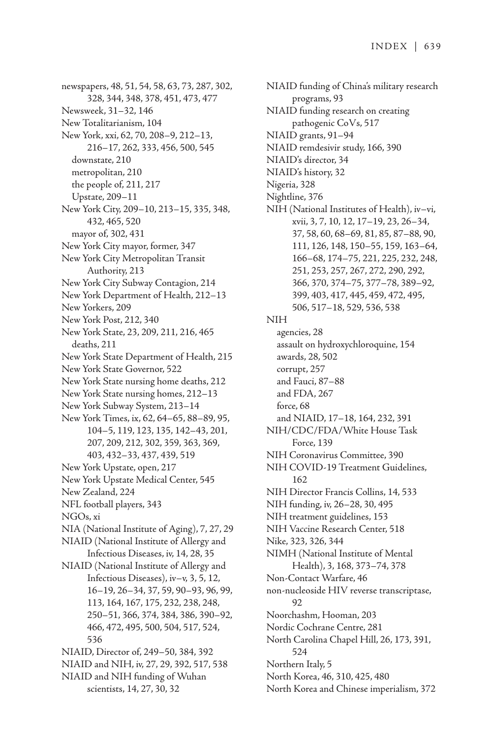newspapers, 48, 51, 54, 58, 63, 73, 287, 302, 328, 344, 348, 378, 451, 473, 477 Newsweek, 31–32, 146 New Totalitarianism, 104 New York, xxi, 62, 70, 208–9, 212–13, 216–17, 262, 333, 456, 500, 545 downstate, 210 metropolitan, 210 the people of, 211, 217 Upstate, 209–11 New York City, 209–10, 213–15, 335, 348, 432, 465, 520 mayor of, 302, 431 New York City mayor, former, 347 New York City Metropolitan Transit Authority, 213 New York City Subway Contagion, 214 New York Department of Health, 212–13 New Yorkers, 209 New York Post, 212, 340 New York State, 23, 209, 211, 216, 465 deaths, 211 New York State Department of Health, 215 New York State Governor, 522 New York State nursing home deaths, 212 New York State nursing homes, 212–13 New York Subway System, 213–14 New York Times, ix, 62, 64–65, 88–89, 95, 104–5, 119, 123, 135, 142–43, 201, 207, 209, 212, 302, 359, 363, 369, 403, 432–33, 437, 439, 519 New York Upstate, open, 217 New York Upstate Medical Center, 545 New Zealand, 224 NFL football players, 343 NGOs, xi NIA (National Institute of Aging), 7, 27, 29 NIAID (National Institute of Allergy and Infectious Diseases, iv, 14, 28, 35 NIAID (National Institute of Allergy and Infectious Diseases), iv–v, 3, 5, 12, 16–19, 26–34, 37, 59, 90–93, 96, 99, 113, 164, 167, 175, 232, 238, 248, 250–51, 366, 374, 384, 386, 390–92, 466, 472, 495, 500, 504, 517, 524, 536 NIAID, Director of, 249–50, 384, 392 NIAID and NIH, iv, 27, 29, 392, 517, 538 NIAID and NIH funding of Wuhan scientists, 14, 27, 30, 32

NIAID funding of China's military research programs, 93 NIAID funding research on creating pathogenic CoVs, 517 NIAID grants, 91–94 NIAID remdesivir study, 166, 390 NIAID's director, 34 NIAID's history, 32 Nigeria, 328 Nightline, 376 NIH (National Institutes of Health), iv–vi, xvii, 3, 7, 10, 12, 17–19, 23, 26–34, 37, 58, 60, 68–69, 81, 85, 87–88, 90, 111, 126, 148, 150–55, 159, 163–64, 166–68, 174–75, 221, 225, 232, 248, 251, 253, 257, 267, 272, 290, 292, 366, 370, 374–75, 377–78, 389–92, 399, 403, 417, 445, 459, 472, 495, 506, 517–18, 529, 536, 538 NIH agencies, 28 assault on hydroxychloroquine, 154 awards, 28, 502 corrupt, 257 and Fauci, 87–88 and FDA, 267 force, 68 and NIAID, 17–18, 164, 232, 391 NIH/CDC/FDA/White House Task Force, 139 NIH Coronavirus Committee, 390 NIH COVID-19 Treatment Guidelines, 162 NIH Director Francis Collins, 14, 533 NIH funding, iv, 26–28, 30, 495 NIH treatment guidelines, 153 NIH Vaccine Research Center, 518 Nike, 323, 326, 344 NIMH (National Institute of Mental Health), 3, 168, 373–74, 378 Non-Contact Warfare, 46 non-nucleoside HIV reverse transcriptase, 92 Noorchashm, Hooman, 203 Nordic Cochrane Centre, 281 North Carolina Chapel Hill, 26, 173, 391, 524 Northern Italy, 5 North Korea, 46, 310, 425, 480 North Korea and Chinese imperialism, 372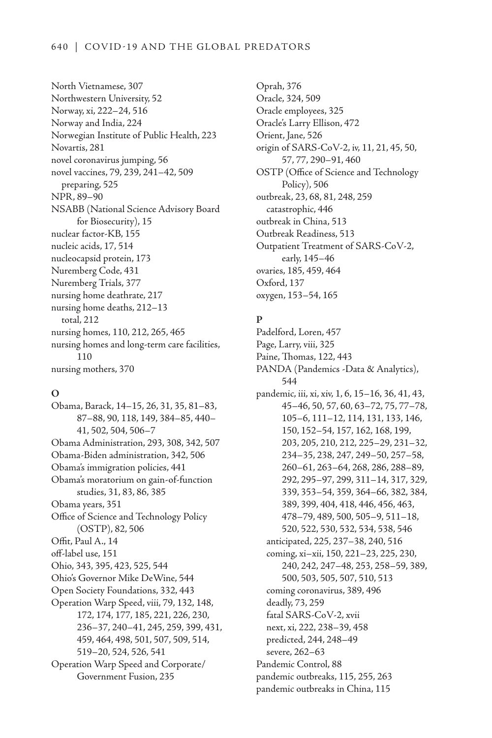North Vietnamese, 307 Northwestern University, 52 Norway, xi, 222–24, 516 Norway and India, 224 Norwegian Institute of Public Health, 223 Novartis, 281 novel coronavirus jumping, 56 novel vaccines, 79, 239, 241–42, 509 preparing, 525 NPR, 89–90 NSABB (National Science Advisory Board for Biosecurity), 15 nuclear factor-KB, 155 nucleic acids, 17, 514 nucleocapsid protein, 173 Nuremberg Code, 431 Nuremberg Trials, 377 nursing home deathrate, 217 nursing home deaths, 212–13 total, 212 nursing homes, 110, 212, 265, 465 nursing homes and long-term care facilities, 110 nursing mothers, 370

## **O**

Obama, Barack, 14–15, 26, 31, 35, 81–83, 87–88, 90, 118, 149, 384–85, 440– 41, 502, 504, 506–7 Obama Administration, 293, 308, 342, 507 Obama-Biden administration, 342, 506 Obama's immigration policies, 441 Obama's moratorium on gain-of-function studies, 31, 83, 86, 385 Obama years, 351 Office of Science and Technology Policy (OSTP), 82, 506 Offit, Paul A., 14 off-label use, 151 Ohio, 343, 395, 423, 525, 544 Ohio's Governor Mike DeWine, 544 Open Society Foundations, 332, 443 Operation Warp Speed, viii, 79, 132, 148, 172, 174, 177, 185, 221, 226, 230, 236–37, 240–41, 245, 259, 399, 431, 459, 464, 498, 501, 507, 509, 514, 519–20, 524, 526, 541 Operation Warp Speed and Corporate/ Government Fusion, 235

Oprah, 376 Oracle, 324, 509 Oracle employees, 325 Oracle's Larry Ellison, 472 Orient, Jane, 526 origin of SARS-CoV-2, iv, 11, 21, 45, 50, 57, 77, 290–91, 460 OSTP (Office of Science and Technology Policy), 506 outbreak, 23, 68, 81, 248, 259 catastrophic, 446 outbreak in China, 513 Outbreak Readiness, 513 Outpatient Treatment of SARS-CoV-2, early, 145–46 ovaries, 185, 459, 464 Oxford, 137 oxygen, 153–54, 165

### **P**

Padelford, Loren, 457 Page, Larry, viii, 325 Paine, Thomas, 122, 443 PANDA (Pandemics -Data & Analytics), 544 pandemic, iii, xi, xiv, 1, 6, 15–16, 36, 41, 43, 45–46, 50, 57, 60, 63–72, 75, 77–78, 105–6, 111–12, 114, 131, 133, 146, 150, 152–54, 157, 162, 168, 199, 203, 205, 210, 212, 225–29, 231–32, 234–35, 238, 247, 249–50, 257–58, 260–61, 263–64, 268, 286, 288–89, 292, 295–97, 299, 311–14, 317, 329, 339, 353–54, 359, 364–66, 382, 384, 389, 399, 404, 418, 446, 456, 463, 478–79, 489, 500, 505–9, 511–18, 520, 522, 530, 532, 534, 538, 546 anticipated, 225, 237–38, 240, 516 coming, xi–xii, 150, 221–23, 225, 230, 240, 242, 247–48, 253, 258–59, 389, 500, 503, 505, 507, 510, 513 coming coronavirus, 389, 496 deadly, 73, 259 fatal SARS-CoV-2, xvii next, xi, 222, 238–39, 458 predicted, 244, 248–49 severe, 262–63 Pandemic Control, 88 pandemic outbreaks, 115, 255, 263 pandemic outbreaks in China, 115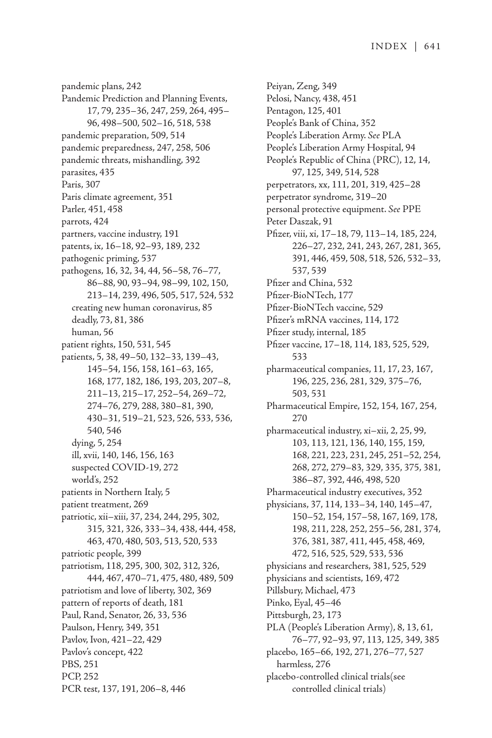pandemic plans, 242 Pandemic Prediction and Planning Events, 17, 79, 235–36, 247, 259, 264, 495– 96, 498–500, 502–16, 518, 538 pandemic preparation, 509, 514 pandemic preparedness, 247, 258, 506 pandemic threats, mishandling, 392 parasites, 435 Paris, 307 Paris climate agreement, 351 Parler, 451, 458 parrots, 424 partners, vaccine industry, 191 patents, ix, 16–18, 92–93, 189, 232 pathogenic priming, 537 pathogens, 16, 32, 34, 44, 56–58, 76–77, 86–88, 90, 93–94, 98–99, 102, 150, 213–14, 239, 496, 505, 517, 524, 532 creating new human coronavirus, 85 deadly, 73, 81, 386 human, 56 patient rights, 150, 531, 545 patients, 5, 38, 49–50, 132–33, 139–43, 145–54, 156, 158, 161–63, 165, 168, 177, 182, 186, 193, 203, 207–8, 211–13, 215–17, 252–54, 269–72, 274–76, 279, 288, 380–81, 390, 430–31, 519–21, 523, 526, 533, 536, 540, 546 dying, 5, 254 ill, xvii, 140, 146, 156, 163 suspected COVID-19, 272 world's, 252 patients in Northern Italy, 5 patient treatment, 269 patriotic, xii–xiii, 37, 234, 244, 295, 302, 315, 321, 326, 333–34, 438, 444, 458, 463, 470, 480, 503, 513, 520, 533 patriotic people, 399 patriotism, 118, 295, 300, 302, 312, 326, 444, 467, 470–71, 475, 480, 489, 509 patriotism and love of liberty, 302, 369 pattern of reports of death, 181 Paul, Rand, Senator, 26, 33, 536 Paulson, Henry, 349, 351 Pavlov, Ivon, 421–22, 429 Pavlov's concept, 422 PBS, 251 PCP, 252 PCR test, 137, 191, 206–8, 446

Peiyan, Zeng, 349 Pelosi, Nancy, 438, 451 Pentagon, 125, 401 People's Bank of China, 352 People's Liberation Army. *See* PLA People's Liberation Army Hospital, 94 People's Republic of China (PRC), 12, 14, 97, 125, 349, 514, 528 perpetrators, xx, 111, 201, 319, 425–28 perpetrator syndrome, 319–20 personal protective equipment. *See* PPE Peter Daszak, 91 Pfizer, viii, xi, 17–18, 79, 113–14, 185, 224, 226–27, 232, 241, 243, 267, 281, 365, 391, 446, 459, 508, 518, 526, 532–33, 537, 539 Pfizer and China, 532 Pfizer-BioNTech, 177 Pfizer-BioNTech vaccine, 529 Pfizer's mRNA vaccines, 114, 172 Pfizer study, internal, 185 Pfizer vaccine, 17–18, 114, 183, 525, 529, 533 pharmaceutical companies, 11, 17, 23, 167, 196, 225, 236, 281, 329, 375–76, 503, 531 Pharmaceutical Empire, 152, 154, 167, 254, 270 pharmaceutical industry, xi–xii, 2, 25, 99, 103, 113, 121, 136, 140, 155, 159, 168, 221, 223, 231, 245, 251–52, 254, 268, 272, 279–83, 329, 335, 375, 381, 386–87, 392, 446, 498, 520 Pharmaceutical industry executives, 352 physicians, 37, 114, 133–34, 140, 145–47, 150–52, 154, 157–58, 167, 169, 178, 198, 211, 228, 252, 255–56, 281, 374, 376, 381, 387, 411, 445, 458, 469, 472, 516, 525, 529, 533, 536 physicians and researchers, 381, 525, 529 physicians and scientists, 169, 472 Pillsbury, Michael, 473 Pinko, Eyal, 45–46 Pittsburgh, 23, 173 PLA (People's Liberation Army), 8, 13, 61, 76–77, 92–93, 97, 113, 125, 349, 385 placebo, 165–66, 192, 271, 276–77, 527 harmless, 276 placebo-controlled clinical trials(see controlled clinical trials)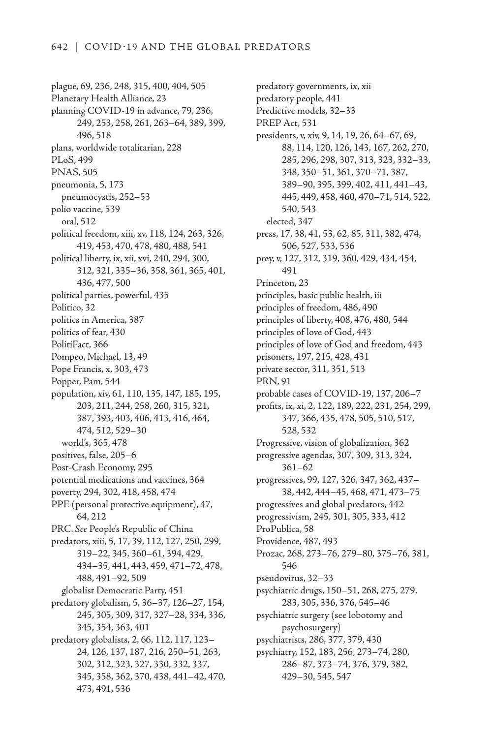plague, 69, 236, 248, 315, 400, 404, 505 Planetary Health Alliance, 23 planning COVID-19 in advance, 79, 236, 249, 253, 258, 261, 263–64, 389, 399, 496, 518 plans, worldwide totalitarian, 228 PLoS, 499 PNAS, 505 pneumonia, 5, 173 pneumocystis, 252–53 polio vaccine, 539 oral, 512 political freedom, xiii, xv, 118, 124, 263, 326, 419, 453, 470, 478, 480, 488, 541 political liberty, ix, xii, xvi, 240, 294, 300, 312, 321, 335–36, 358, 361, 365, 401, 436, 477, 500 political parties, powerful, 435 Politico, 32 politics in America, 387 politics of fear, 430 PolitiFact, 366 Pompeo, Michael, 13, 49 Pope Francis, x, 303, 473 Popper, Pam, 544 population, xiv, 61, 110, 135, 147, 185, 195, 203, 211, 244, 258, 260, 315, 321, 387, 393, 403, 406, 413, 416, 464, 474, 512, 529–30 world's, 365, 478 positives, false, 205–6 Post-Crash Economy, 295 potential medications and vaccines, 364 poverty, 294, 302, 418, 458, 474 PPE (personal protective equipment), 47, 64, 212 PRC. *See* People's Republic of China predators, xiii, 5, 17, 39, 112, 127, 250, 299, 319–22, 345, 360–61, 394, 429, 434–35, 441, 443, 459, 471–72, 478, 488, 491–92, 509 globalist Democratic Party, 451 predatory globalism, 5, 36–37, 126–27, 154, 245, 305, 309, 317, 327–28, 334, 336, 345, 354, 363, 401 predatory globalists, 2, 66, 112, 117, 123– 24, 126, 137, 187, 216, 250–51, 263, 302, 312, 323, 327, 330, 332, 337, 345, 358, 362, 370, 438, 441–42, 470, 473, 491, 536

predatory governments, ix, xii predatory people, 441 Predictive models, 32–33 PREP Act, 531 presidents, v, xiv, 9, 14, 19, 26, 64–67, 69, 88, 114, 120, 126, 143, 167, 262, 270, 285, 296, 298, 307, 313, 323, 332–33, 348, 350–51, 361, 370–71, 387, 389–90, 395, 399, 402, 411, 441–43, 445, 449, 458, 460, 470–71, 514, 522, 540, 543 elected, 347 press, 17, 38, 41, 53, 62, 85, 311, 382, 474, 506, 527, 533, 536 prey, v, 127, 312, 319, 360, 429, 434, 454, 491 Princeton, 23 principles, basic public health, iii principles of freedom, 486, 490 principles of liberty, 408, 476, 480, 544 principles of love of God, 443 principles of love of God and freedom, 443 prisoners, 197, 215, 428, 431 private sector, 311, 351, 513 PRN, 91 probable cases of COVID-19, 137, 206–7 profits, ix, xi, 2, 122, 189, 222, 231, 254, 299, 347, 366, 435, 478, 505, 510, 517, 528, 532 Progressive, vision of globalization, 362 progressive agendas, 307, 309, 313, 324, 361–62 progressives, 99, 127, 326, 347, 362, 437– 38, 442, 444–45, 468, 471, 473–75 progressives and global predators, 442 progressivism, 245, 301, 305, 333, 412 ProPublica, 58 Providence, 487, 493 Prozac, 268, 273–76, 279–80, 375–76, 381, 546 pseudovirus, 32–33 psychiatric drugs, 150–51, 268, 275, 279, 283, 305, 336, 376, 545–46 psychiatric surgery (see lobotomy and psychosurgery) psychiatrists, 286, 377, 379, 430 psychiatry, 152, 183, 256, 273–74, 280, 286–87, 373–74, 376, 379, 382, 429–30, 545, 547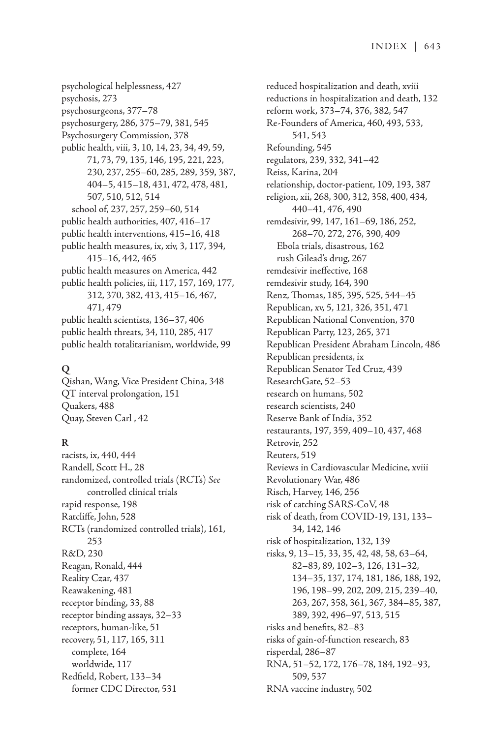psychological helplessness, 427 psychosis, 273 psychosurgeons, 377–78 psychosurgery, 286, 375–79, 381, 545 Psychosurgery Commission, 378 public health, viii, 3, 10, 14, 23, 34, 49, 59, 71, 73, 79, 135, 146, 195, 221, 223, 230, 237, 255–60, 285, 289, 359, 387, 404–5, 415–18, 431, 472, 478, 481, 507, 510, 512, 514 school of, 237, 257, 259–60, 514 public health authorities, 407, 416–17 public health interventions, 415–16, 418 public health measures, ix, xiv, 3, 117, 394, 415–16, 442, 465 public health measures on America, 442 public health policies, iii, 117, 157, 169, 177, 312, 370, 382, 413, 415–16, 467, 471, 479 public health scientists, 136–37, 406 public health threats, 34, 110, 285, 417 public health totalitarianism, worldwide, 99

## **Q**

Qishan, Wang, Vice President China, 348 QT interval prolongation, 151 Quakers, 488 Quay, Steven Carl , 42

## **R**

racists, ix, 440, 444 Randell, Scott H., 28 randomized, controlled trials (RCTs) *See* controlled clinical trials rapid response, 198 Ratcliffe, John, 528 RCTs (randomized controlled trials), 161, 253 R&D, 230 Reagan, Ronald, 444 Reality Czar, 437 Reawakening, 481 receptor binding, 33, 88 receptor binding assays, 32–33 receptors, human-like, 51 recovery, 51, 117, 165, 311 complete, 164 worldwide, 117 Redfield, Robert, 133–34 former CDC Director, 531

reduced hospitalization and death, xviii reductions in hospitalization and death, 132 reform work, 373–74, 376, 382, 547 Re-Founders of America, 460, 493, 533, 541, 543 Refounding, 545 regulators, 239, 332, 341–42 Reiss, Karina, 204 relationship, doctor-patient, 109, 193, 387 religion, xii, 268, 300, 312, 358, 400, 434, 440–41, 476, 490 remdesivir, 99, 147, 161–69, 186, 252, 268–70, 272, 276, 390, 409 Ebola trials, disastrous, 162 rush Gilead's drug, 267 remdesivir ineffective, 168 remdesivir study, 164, 390 Renz, Thomas, 185, 395, 525, 544–45 Republican, xv, 5, 121, 326, 351, 471 Republican National Convention, 370 Republican Party, 123, 265, 371 Republican President Abraham Lincoln, 486 Republican presidents, ix Republican Senator Ted Cruz, 439 ResearchGate, 52–53 research on humans, 502 research scientists, 240 Reserve Bank of India, 352 restaurants, 197, 359, 409–10, 437, 468 Retrovir, 252 Reuters, 519 Reviews in Cardiovascular Medicine, xviii Revolutionary War, 486 Risch, Harvey, 146, 256 risk of catching SARS-CoV, 48 risk of death, from COVID-19, 131, 133– 34, 142, 146 risk of hospitalization, 132, 139 risks, 9, 13–15, 33, 35, 42, 48, 58, 63–64, 82–83, 89, 102–3, 126, 131–32, 134–35, 137, 174, 181, 186, 188, 192, 196, 198–99, 202, 209, 215, 239–40, 263, 267, 358, 361, 367, 384–85, 387, 389, 392, 496–97, 513, 515 risks and benefits, 82–83 risks of gain-of-function research, 83 risperdal, 286–87 RNA, 51–52, 172, 176–78, 184, 192–93, 509, 537 RNA vaccine industry, 502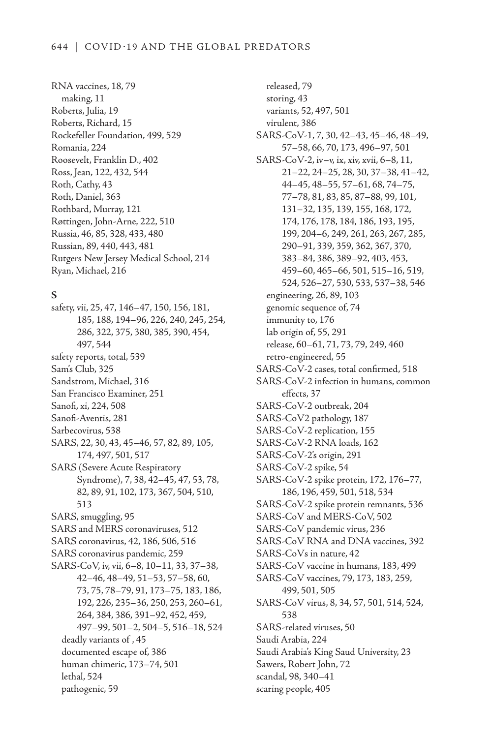RNA vaccines, 18, 79 making, 11 Roberts, Julia, 19 Roberts, Richard, 15 Rockefeller Foundation, 499, 529 Romania, 224 Roosevelt, Franklin D., 402 Ross, Jean, 122, 432, 544 Roth, Cathy, 43 Roth, Daniel, 363 Rothbard, Murray, 121 Røttingen, John-Arne, 222, 510 Russia, 46, 85, 328, 433, 480 Russian, 89, 440, 443, 481 Rutgers New Jersey Medical School, 214 Ryan, Michael, 216

### **S**

safety, vii, 25, 47, 146–47, 150, 156, 181, 185, 188, 194–96, 226, 240, 245, 254, 286, 322, 375, 380, 385, 390, 454, 497, 544 safety reports, total, 539 Sam's Club, 325 Sandstrom, Michael, 316 San Francisco Examiner, 251 Sanofi, xi, 224, 508 Sanofi-Aventis, 281 Sarbecovirus, 538 SARS, 22, 30, 43, 45–46, 57, 82, 89, 105, 174, 497, 501, 517 SARS (Severe Acute Respiratory Syndrome), 7, 38, 42–45, 47, 53, 78, 82, 89, 91, 102, 173, 367, 504, 510, 513 SARS, smuggling, 95 SARS and MERS coronaviruses, 512 SARS coronavirus, 42, 186, 506, 516 SARS coronavirus pandemic, 259 SARS-CoV, iv, vii, 6–8, 10–11, 33, 37–38, 42–46, 48–49, 51–53, 57–58, 60, 73, 75, 78–79, 91, 173–75, 183, 186, 192, 226, 235–36, 250, 253, 260–61, 264, 384, 386, 391–92, 452, 459, 497–99, 501–2, 504–5, 516–18, 524 deadly variants of , 45 documented escape of, 386 human chimeric, 173–74, 501 lethal, 524 pathogenic, 59

released, 79 storing, 43 variants, 52, 497, 501 virulent, 386 SARS-CoV-1, 7, 30, 42–43, 45–46, 48–49, 57–58, 66, 70, 173, 496–97, 501 SARS-CoV-2, iv–v, ix, xiv, xvii, 6–8, 11, 21–22, 24–25, 28, 30, 37–38, 41–42, 44–45, 48–55, 57–61, 68, 74–75, 77–78, 81, 83, 85, 87–88, 99, 101, 131–32, 135, 139, 155, 168, 172, 174, 176, 178, 184, 186, 193, 195, 199, 204–6, 249, 261, 263, 267, 285, 290–91, 339, 359, 362, 367, 370, 383–84, 386, 389–92, 403, 453, 459–60, 465–66, 501, 515–16, 519, 524, 526–27, 530, 533, 537–38, 546 engineering, 26, 89, 103 genomic sequence of, 74 immunity to, 176 lab origin of, 55, 291 release, 60–61, 71, 73, 79, 249, 460 retro-engineered, 55 SARS-CoV-2 cases, total confirmed, 518 SARS-CoV-2 infection in humans, common effects, 37 SARS-CoV-2 outbreak, 204 SARS-CoV2 pathology, 187 SARS-CoV-2 replication, 155 SARS-CoV-2 RNA loads, 162 SARS-CoV-2's origin, 291 SARS-CoV-2 spike, 54 SARS-CoV-2 spike protein, 172, 176–77, 186, 196, 459, 501, 518, 534 SARS-CoV-2 spike protein remnants, 536 SARS-CoV and MERS-CoV, 502 SARS-CoV pandemic virus, 236 SARS-CoV RNA and DNA vaccines, 392 SARS-CoVs in nature, 42 SARS-CoV vaccine in humans, 183, 499 SARS-CoV vaccines, 79, 173, 183, 259, 499, 501, 505 SARS-CoV virus, 8, 34, 57, 501, 514, 524, 538 SARS-related viruses, 50 Saudi Arabia, 224 Saudi Arabia's King Saud University, 23 Sawers, Robert John, 72 scandal, 98, 340–41 scaring people, 405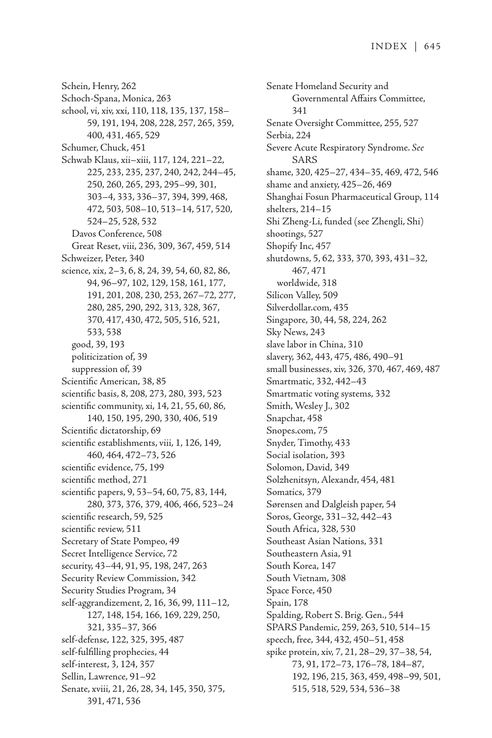Schein, Henry, 262 Schoch-Spana, Monica, 263 school, vi, xiv, xxi, 110, 118, 135, 137, 158– 59, 191, 194, 208, 228, 257, 265, 359, 400, 431, 465, 529 Schumer, Chuck, 451 Schwab Klaus, xii–xiii, 117, 124, 221–22, 225, 233, 235, 237, 240, 242, 244–45, 250, 260, 265, 293, 295–99, 301, 303–4, 333, 336–37, 394, 399, 468, 472, 503, 508–10, 513–14, 517, 520, 524–25, 528, 532 Davos Conference, 508 Great Reset, viii, 236, 309, 367, 459, 514 Schweizer, Peter, 340 science, xix, 2–3, 6, 8, 24, 39, 54, 60, 82, 86, 94, 96–97, 102, 129, 158, 161, 177, 191, 201, 208, 230, 253, 267–72, 277, 280, 285, 290, 292, 313, 328, 367, 370, 417, 430, 472, 505, 516, 521, 533, 538 good, 39, 193 politicization of, 39 suppression of, 39 Scientific American, 38, 85 scientific basis, 8, 208, 273, 280, 393, 523 scientific community, xi, 14, 21, 55, 60, 86, 140, 150, 195, 290, 330, 406, 519 Scientific dictatorship, 69 scientific establishments, viii, 1, 126, 149, 460, 464, 472–73, 526 scientific evidence, 75, 199 scientific method, 271 scientific papers, 9, 53–54, 60, 75, 83, 144, 280, 373, 376, 379, 406, 466, 523–24 scientific research, 59, 525 scientific review, 511 Secretary of State Pompeo, 49 Secret Intelligence Service, 72 security, 43–44, 91, 95, 198, 247, 263 Security Review Commission, 342 Security Studies Program, 34 self-aggrandizement, 2, 16, 36, 99, 111–12, 127, 148, 154, 166, 169, 229, 250, 321, 335–37, 366 self-defense, 122, 325, 395, 487 self-fulfilling prophecies, 44 self-interest, 3, 124, 357 Sellin, Lawrence, 91–92 Senate, xviii, 21, 26, 28, 34, 145, 350, 375, 391, 471, 536

Senate Homeland Security and Governmental Affairs Committee, 341 Senate Oversight Committee, 255, 527 Serbia, 224 Severe Acute Respiratory Syndrome. *See* SARS shame, 320, 425–27, 434–35, 469, 472, 546 shame and anxiety, 425–26, 469 Shanghai Fosun Pharmaceutical Group, 114 shelters, 214–15 Shi Zheng-Li, funded (see Zhengli, Shi) shootings, 527 Shopify Inc, 457 shutdowns, 5, 62, 333, 370, 393, 431–32, 467, 471 worldwide, 318 Silicon Valley, 509 Silverdollar.com, 435 Singapore, 30, 44, 58, 224, 262 Sky News, 243 slave labor in China, 310 slavery, 362, 443, 475, 486, 490–91 small businesses, xiv, 326, 370, 467, 469, 487 Smartmatic, 332, 442–43 Smartmatic voting systems, 332 Smith, Wesley J., 302 Snapchat, 458 Snopes.com, 75 Snyder, Timothy, 433 Social isolation, 393 Solomon, David, 349 Solzhenitsyn, Alexandr, 454, 481 Somatics, 379 Sørensen and Dalgleish paper, 54 Soros, George, 331–32, 442–43 South Africa, 328, 530 Southeast Asian Nations, 331 Southeastern Asia, 91 South Korea, 147 South Vietnam, 308 Space Force, 450 Spain, 178 Spalding, Robert S. Brig. Gen., 544 SPARS Pandemic, 259, 263, 510, 514–15 speech, free, 344, 432, 450–51, 458 spike protein, xiv, 7, 21, 28–29, 37–38, 54, 73, 91, 172–73, 176–78, 184–87, 192, 196, 215, 363, 459, 498–99, 501, 515, 518, 529, 534, 536–38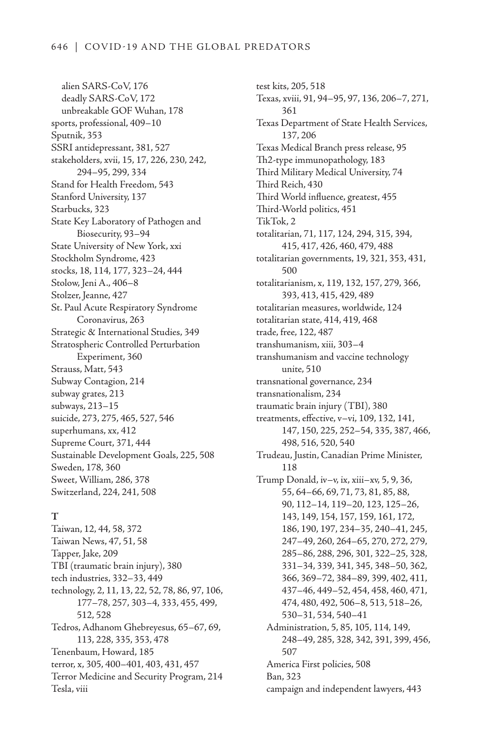alien SARS-CoV, 176 deadly SARS-CoV, 172 unbreakable GOF Wuhan, 178 sports, professional, 409–10 Sputnik, 353 SSRI antidepressant, 381, 527 stakeholders, xvii, 15, 17, 226, 230, 242, 294–95, 299, 334 Stand for Health Freedom, 543 Stanford University, 137 Starbucks, 323 State Key Laboratory of Pathogen and Biosecurity, 93–94 State University of New York, xxi Stockholm Syndrome, 423 stocks, 18, 114, 177, 323–24, 444 Stolow, Jeni A., 406–8 Stolzer, Jeanne, 427 St. Paul Acute Respiratory Syndrome Coronavirus, 263 Strategic & International Studies, 349 Stratospheric Controlled Perturbation Experiment, 360 Strauss, Matt, 543 Subway Contagion, 214 subway grates, 213 subways, 213–15 suicide, 273, 275, 465, 527, 546 superhumans, xx, 412 Supreme Court, 371, 444 Sustainable Development Goals, 225, 508 Sweden, 178, 360 Sweet, William, 286, 378 Switzerland, 224, 241, 508

## **T**

Taiwan, 12, 44, 58, 372 Taiwan News, 47, 51, 58 Tapper, Jake, 209 TBI (traumatic brain injury), 380 tech industries, 332–33, 449 technology, 2, 11, 13, 22, 52, 78, 86, 97, 106, 177–78, 257, 303–4, 333, 455, 499, 512, 528 Tedros, Adhanom Ghebreyesus, 65–67, 69, 113, 228, 335, 353, 478 Tenenbaum, Howard, 185 terror, x, 305, 400–401, 403, 431, 457 Terror Medicine and Security Program, 214 Tesla, viii

test kits, 205, 518 Texas, xviii, 91, 94–95, 97, 136, 206–7, 271, 361 Texas Department of State Health Services, 137, 206 Texas Medical Branch press release, 95 Th2-type immunopathology, 183 Third Military Medical University, 74 Third Reich, 430 Third World influence, greatest, 455 Third-World politics, 451 TikTok, 2 totalitarian, 71, 117, 124, 294, 315, 394, 415, 417, 426, 460, 479, 488 totalitarian governments, 19, 321, 353, 431, 500 totalitarianism, x, 119, 132, 157, 279, 366, 393, 413, 415, 429, 489 totalitarian measures, worldwide, 124 totalitarian state, 414, 419, 468 trade, free, 122, 487 transhumanism, xiii, 303–4 transhumanism and vaccine technology unite, 510 transnational governance, 234 transnationalism, 234 traumatic brain injury (TBI), 380 treatments, effective, v–vi, 109, 132, 141, 147, 150, 225, 252–54, 335, 387, 466, 498, 516, 520, 540 Trudeau, Justin, Canadian Prime Minister, 118 Trump Donald, iv–v, ix, xiii–xv, 5, 9, 36, 55, 64–66, 69, 71, 73, 81, 85, 88, 90, 112–14, 119–20, 123, 125–26, 143, 149, 154, 157, 159, 161, 172, 186, 190, 197, 234–35, 240–41, 245, 247–49, 260, 264–65, 270, 272, 279, 285–86, 288, 296, 301, 322–25, 328, 331–34, 339, 341, 345, 348–50, 362, 366, 369–72, 384–89, 399, 402, 411, 437–46, 449–52, 454, 458, 460, 471, 474, 480, 492, 506–8, 513, 518–26, 530–31, 534, 540–41 Administration, 5, 85, 105, 114, 149, 248–49, 285, 328, 342, 391, 399, 456, 507 America First policies, 508 Ban, 323 campaign and independent lawyers, 443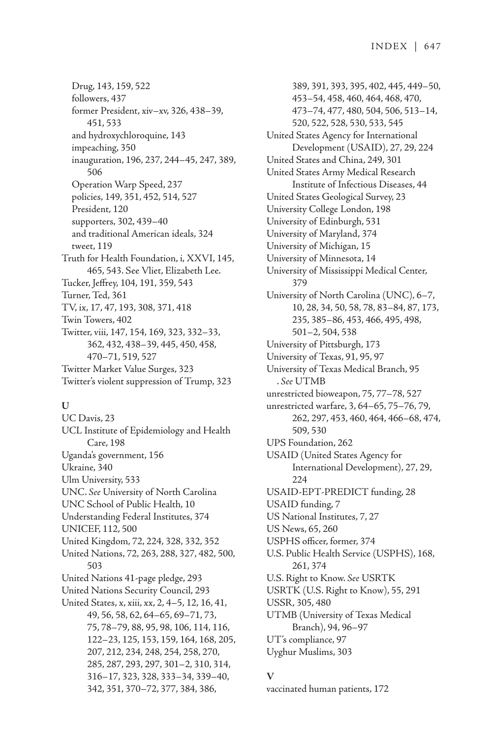Drug, 143, 159, 522 followers, 437 former President, xiv–xv, 326, 438–39, 451, 533 and hydroxychloroquine, 143 impeaching, 350 inauguration, 196, 237, 244–45, 247, 389, 506 Operation Warp Speed, 237 policies, 149, 351, 452, 514, 527 President, 120 supporters, 302, 439–40 and traditional American ideals, 324 tweet, 119 Truth for Health Foundation, i, XXVI, 145, 465, 543. See Vliet, Elizabeth Lee. Tucker, Jeffrey, 104, 191, 359, 543 Turner, Ted, 361 TV, ix, 17, 47, 193, 308, 371, 418 Twin Towers, 402 Twitter, viii, 147, 154, 169, 323, 332–33, 362, 432, 438–39, 445, 450, 458, 470–71, 519, 527 Twitter Market Value Surges, 323 Twitter's violent suppression of Trump, 323

## **U**

UC Davis, 23 UCL Institute of Epidemiology and Health Care, 198 Uganda's government, 156 Ukraine, 340 Ulm University, 533 UNC. *See* University of North Carolina UNC School of Public Health, 10 Understanding Federal Institutes, 374 UNICEF, 112, 500 United Kingdom, 72, 224, 328, 332, 352 United Nations, 72, 263, 288, 327, 482, 500, 503 United Nations 41-page pledge, 293 United Nations Security Council, 293 United States, x, xiii, xx, 2, 4–5, 12, 16, 41, 49, 56, 58, 62, 64–65, 69–71, 73, 75, 78–79, 88, 95, 98, 106, 114, 116, 122–23, 125, 153, 159, 164, 168, 205, 207, 212, 234, 248, 254, 258, 270, 285, 287, 293, 297, 301–2, 310, 314, 316–17, 323, 328, 333–34, 339–40, 342, 351, 370–72, 377, 384, 386,

389, 391, 393, 395, 402, 445, 449–50, 453–54, 458, 460, 464, 468, 470, 473–74, 477, 480, 504, 506, 513–14, 520, 522, 528, 530, 533, 545 United States Agency for International Development (USAID), 27, 29, 224 United States and China, 249, 301 United States Army Medical Research Institute of Infectious Diseases, 44 United States Geological Survey, 23 University College London, 198 University of Edinburgh, 531 University of Maryland, 374 University of Michigan, 15 University of Minnesota, 14 University of Mississippi Medical Center, 379 University of North Carolina (UNC), 6–7, 10, 28, 34, 50, 58, 78, 83–84, 87, 173, 235, 385–86, 453, 466, 495, 498, 501–2, 504, 538 University of Pittsburgh, 173 University of Texas, 91, 95, 97 University of Texas Medical Branch, 95 . *See* UTMB unrestricted bioweapon, 75, 77–78, 527 unrestricted warfare, 3, 64–65, 75–76, 79, 262, 297, 453, 460, 464, 466–68, 474, 509, 530 UPS Foundation, 262 USAID (United States Agency for International Development), 27, 29, 224 USAID-EPT-PREDICT funding, 28 USAID funding, 7 US National Institutes, 7, 27 US News, 65, 260 USPHS officer, former, 374 U.S. Public Health Service (USPHS), 168, 261, 374 U.S. Right to Know. *See* USRTK USRTK (U.S. Right to Know), 55, 291 USSR, 305, 480 UTMB (University of Texas Medical Branch), 94, 96–97 UT's compliance, 97 Uyghur Muslims, 303

### **V**

vaccinated human patients, 172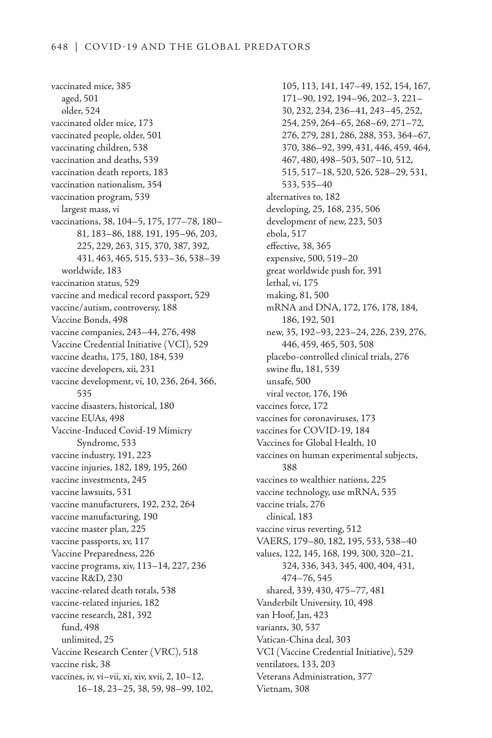vaccinated mice, 385 aged, 501 older, 524 vaccinated older mice, 173 vaccinated people, older, 501 vaccinating children, 538 vaccination and deaths, 539 vaccination death reports, 183 vaccination nationalism, 354 vaccination program, 539 largest mass, vi vaccinations, 38, 104–5, 175, 177–78, 180– 81, 183–86, 188, 191, 195–96, 203, 225, 229, 263, 315, 370, 387, 392, 431, 463, 465, 515, 533–36, 538–39 worldwide, 183 vaccination status, 529 vaccine and medical record passport, 529 vaccine/autism, controversy, 188 Vaccine Bonds, 498 vaccine companies, 243–44, 276, 498 Vaccine Credential Initiative (VCI), 529 vaccine deaths, 175, 180, 184, 539 vaccine developers, xii, 231 vaccine development, vi, 10, 236, 264, 366, 535 vaccine disasters, historical, 180 vaccine EUAs, 498 Vaccine-Induced Covid-19 Mimicry Syndrome, 533 vaccine industry, 191, 223 vaccine injuries, 182, 189, 195, 260 vaccine investments, 245 vaccine lawsuits, 531 vaccine manufacturers, 192, 232, 264 vaccine manufacturing, 190 vaccine master plan, 225 vaccine passports, xv, 117 Vaccine Preparedness, 226 vaccine programs, xiv, 113–14, 227, 236 vaccine R&D, 230 vaccine-related death totals, 538 vaccine-related injuries, 182 vaccine research, 281, 392 fund, 498 unlimited, 25 Vaccine Research Center (VRC), 518 vaccine risk, 38 vaccines, iv, vi–vii, xi, xiv, xvii, 2, 10–12, 16–18, 23–25, 38, 59, 98–99, 102,

105, 113, 141, 147–49, 152, 154, 167, 171–90, 192, 194–96, 202–3, 221– 30, 232, 234, 236–41, 243–45, 252, 254, 259, 264–65, 268–69, 271–72, 276, 279, 281, 286, 288, 353, 364–67, 370, 386–92, 399, 431, 446, 459, 464, 467, 480, 498–503, 507–10, 512, 515, 517–18, 520, 526, 528–29, 531, 533, 535–40 alternatives to, 182 developing, 25, 168, 235, 506 development of new, 223, 503 ebola, 517 effective, 38, 365 expensive, 500, 519–20 great worldwide push for, 391 lethal, vi, 175 making, 81, 500 mRNA and DNA, 172, 176, 178, 184, 186, 192, 501 new, 35, 192–93, 223–24, 226, 239, 276, 446, 459, 465, 503, 508 placebo-controlled clinical trials, 276 swine flu, 181, 539 unsafe, 500 viral vector, 176, 196 vaccines force, 172 vaccines for coronaviruses, 173 vaccines for COVID-19, 184 Vaccines for Global Health, 10 vaccines on human experimental subjects, 388 vaccines to wealthier nations, 225 vaccine technology, use mRNA, 535 vaccine trials, 276 clinical, 183 vaccine virus reverting, 512 VAERS, 179–80, 182, 195, 533, 538–40 values, 122, 145, 168, 199, 300, 320–21, 324, 336, 343, 345, 400, 404, 431, 474–76, 545 shared, 339, 430, 475–77, 481 Vanderbilt University, 10, 498 van Hoof, Jan, 423 variants, 30, 537 Vatican-China deal, 303 VCI (Vaccine Credential Initiative), 529 ventilators, 133, 203 Veterans Administration, 377 Vietnam, 308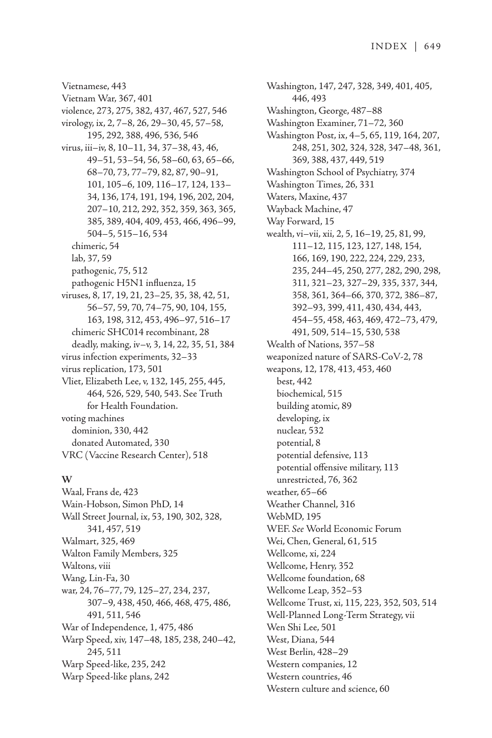Vietnamese, 443 Vietnam War, 367, 401 violence, 273, 275, 382, 437, 467, 527, 546 virology, ix, 2, 7–8, 26, 29–30, 45, 57–58, 195, 292, 388, 496, 536, 546 virus, iii–iv, 8, 10–11, 34, 37–38, 43, 46, 49–51, 53–54, 56, 58–60, 63, 65–66, 68–70, 73, 77–79, 82, 87, 90–91, 101, 105–6, 109, 116–17, 124, 133– 34, 136, 174, 191, 194, 196, 202, 204, 207–10, 212, 292, 352, 359, 363, 365, 385, 389, 404, 409, 453, 466, 496–99, 504–5, 515–16, 534 chimeric, 54 lab, 37, 59 pathogenic, 75, 512 pathogenic H5N1 influenza, 15 viruses, 8, 17, 19, 21, 23–25, 35, 38, 42, 51, 56–57, 59, 70, 74–75, 90, 104, 155, 163, 198, 312, 453, 496–97, 516–17 chimeric SHC014 recombinant, 28 deadly, making, iv–v, 3, 14, 22, 35, 51, 384 virus infection experiments, 32–33 virus replication, 173, 501 Vliet, Elizabeth Lee, v, 132, 145, 255, 445, 464, 526, 529, 540, 543. See Truth for Health Foundation. voting machines dominion, 330, 442 donated Automated, 330 VRC (Vaccine Research Center), 518

### **W**

Waal, Frans de, 423 Wain-Hobson, Simon PhD, 14 Wall Street Journal, ix, 53, 190, 302, 328, 341, 457, 519 Walmart, 325, 469 Walton Family Members, 325 Waltons, viii Wang, Lin-Fa, 30 war, 24, 76–77, 79, 125–27, 234, 237, 307–9, 438, 450, 466, 468, 475, 486, 491, 511, 546 War of Independence, 1, 475, 486 Warp Speed, xiv, 147–48, 185, 238, 240–42, 245, 511 Warp Speed-like, 235, 242 Warp Speed-like plans, 242

Washington, 147, 247, 328, 349, 401, 405, 446, 493 Washington, George, 487–88 Washington Examiner, 71–72, 360 Washington Post, ix, 4–5, 65, 119, 164, 207, 248, 251, 302, 324, 328, 347–48, 361, 369, 388, 437, 449, 519 Washington School of Psychiatry, 374 Washington Times, 26, 331 Waters, Maxine, 437 Wayback Machine, 47 Way Forward, 15 wealth, vi–vii, xii, 2, 5, 16–19, 25, 81, 99, 111–12, 115, 123, 127, 148, 154, 166, 169, 190, 222, 224, 229, 233, 235, 244–45, 250, 277, 282, 290, 298, 311, 321–23, 327–29, 335, 337, 344, 358, 361, 364–66, 370, 372, 386–87, 392–93, 399, 411, 430, 434, 443, 454–55, 458, 463, 469, 472–73, 479, 491, 509, 514–15, 530, 538 Wealth of Nations, 357–58 weaponized nature of SARS-CoV-2, 78 weapons, 12, 178, 413, 453, 460 best, 442 biochemical, 515 building atomic, 89 developing, ix nuclear, 532 potential, 8 potential defensive, 113 potential offensive military, 113 unrestricted, 76, 362 weather, 65–66 Weather Channel, 316 WebMD, 195 WEF. *See* World Economic Forum Wei, Chen, General, 61, 515 Wellcome, xi, 224 Wellcome, Henry, 352 Wellcome foundation, 68 Wellcome Leap, 352–53 Wellcome Trust, xi, 115, 223, 352, 503, 514 Well-Planned Long-Term Strategy, vii Wen Shi Lee, 501 West, Diana, 544 West Berlin, 428–29 Western companies, 12 Western countries, 46 Western culture and science, 60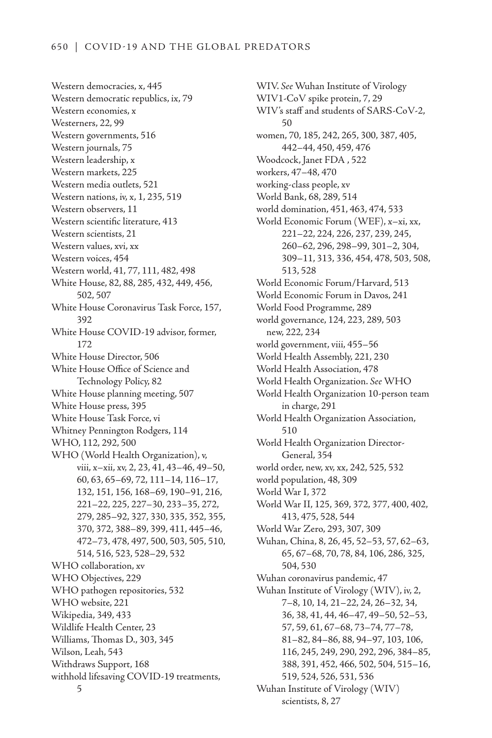Western democracies, x, 445 Western democratic republics, ix, 79 Western economies, x Westerners, 22, 99 Western governments, 516 Western journals, 75 Western leadership, x Western markets, 225 Western media outlets, 521 Western nations, iv, x, 1, 235, 519 Western observers, 11 Western scientific literature, 413 Western scientists, 21 Western values, xvi, xx Western voices, 454 Western world, 41, 77, 111, 482, 498 White House, 82, 88, 285, 432, 449, 456, 502, 507 White House Coronavirus Task Force, 157, 392 White House COVID-19 advisor, former, 172 White House Director, 506 White House Office of Science and Technology Policy, 82 White House planning meeting, 507 White House press, 395 White House Task Force, vi Whitney Pennington Rodgers, 114 WHO, 112, 292, 500 WHO (World Health Organization), v, viii, x–xii, xv, 2, 23, 41, 43–46, 49–50, 60, 63, 65–69, 72, 111–14, 116–17, 132, 151, 156, 168–69, 190–91, 216, 221–22, 225, 227–30, 233–35, 272, 279, 285–92, 327, 330, 335, 352, 355, 370, 372, 388–89, 399, 411, 445–46, 472–73, 478, 497, 500, 503, 505, 510, 514, 516, 523, 528–29, 532 WHO collaboration, xv WHO Objectives, 229 WHO pathogen repositories, 532 WHO website, 221 Wikipedia, 349, 433 Wildlife Health Center, 23 Williams, Thomas D., 303, 345 Wilson, Leah, 543 Withdraws Support, 168 withhold lifesaving COVID-19 treatments, 5

WIV. *See* Wuhan Institute of Virology WIV1-CoV spike protein, 7, 29 WIV's staff and students of SARS-CoV-2, 50 women, 70, 185, 242, 265, 300, 387, 405, 442–44, 450, 459, 476 Woodcock, Janet FDA , 522 workers, 47–48, 470 working-class people, xv World Bank, 68, 289, 514 world domination, 451, 463, 474, 533 World Economic Forum (WEF), x–xi, xx, 221–22, 224, 226, 237, 239, 245, 260–62, 296, 298–99, 301–2, 304, 309–11, 313, 336, 454, 478, 503, 508, 513, 528 World Economic Forum/Harvard, 513 World Economic Forum in Davos, 241 World Food Programme, 289 world governance, 124, 223, 289, 503 new, 222, 234 world government, viii, 455–56 World Health Assembly, 221, 230 World Health Association, 478 World Health Organization. *See* WHO World Health Organization 10-person team in charge, 291 World Health Organization Association, 510 World Health Organization Director-General, 354 world order, new, xv, xx, 242, 525, 532 world population, 48, 309 World War I, 372 World War II, 125, 369, 372, 377, 400, 402, 413, 475, 528, 544 World War Zero, 293, 307, 309 Wuhan, China, 8, 26, 45, 52–53, 57, 62–63, 65, 67–68, 70, 78, 84, 106, 286, 325, 504, 530 Wuhan coronavirus pandemic, 47 Wuhan Institute of Virology (WIV), iv, 2, 7–8, 10, 14, 21–22, 24, 26–32, 34, 36, 38, 41, 44, 46–47, 49–50, 52–53, 57, 59, 61, 67–68, 73–74, 77–78, 81–82, 84–86, 88, 94–97, 103, 106, 116, 245, 249, 290, 292, 296, 384–85, 388, 391, 452, 466, 502, 504, 515–16, 519, 524, 526, 531, 536 Wuhan Institute of Virology (WIV) scientists, 8, 27